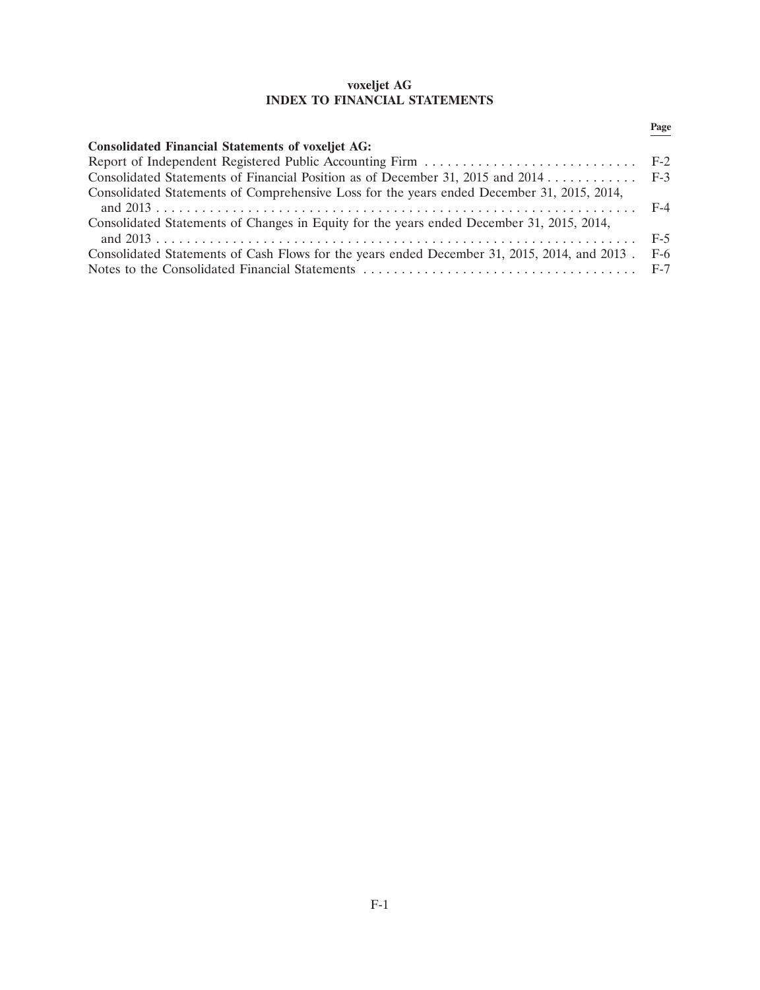## **voxeljet AG INDEX TO FINANCIAL STATEMENTS**

|                                                                                              | Page  |
|----------------------------------------------------------------------------------------------|-------|
| <b>Consolidated Financial Statements of voxeljet AG:</b>                                     |       |
|                                                                                              |       |
|                                                                                              |       |
| Consolidated Statements of Comprehensive Loss for the years ended December 31, 2015, 2014,   |       |
|                                                                                              |       |
| Consolidated Statements of Changes in Equity for the years ended December 31, 2015, 2014,    |       |
|                                                                                              | $F-5$ |
| Consolidated Statements of Cash Flows for the years ended December 31, 2015, 2014, and 2013. | $F-6$ |
|                                                                                              |       |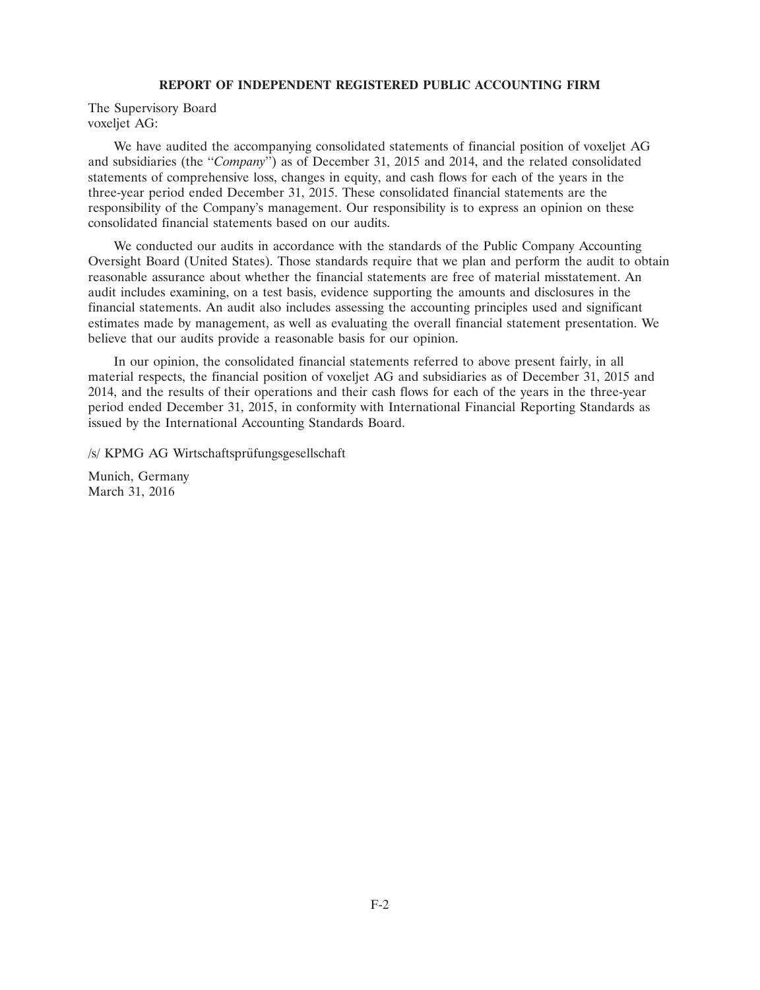## **REPORT OF INDEPENDENT REGISTERED PUBLIC ACCOUNTING FIRM**

The Supervisory Board voxeljet AG:

We have audited the accompanying consolidated statements of financial position of voxeljet AG and subsidiaries (the ''*Company*'') as of December 31, 2015 and 2014, and the related consolidated statements of comprehensive loss, changes in equity, and cash flows for each of the years in the three-year period ended December 31, 2015. These consolidated financial statements are the responsibility of the Company's management. Our responsibility is to express an opinion on these consolidated financial statements based on our audits.

We conducted our audits in accordance with the standards of the Public Company Accounting Oversight Board (United States). Those standards require that we plan and perform the audit to obtain reasonable assurance about whether the financial statements are free of material misstatement. An audit includes examining, on a test basis, evidence supporting the amounts and disclosures in the financial statements. An audit also includes assessing the accounting principles used and significant estimates made by management, as well as evaluating the overall financial statement presentation. We believe that our audits provide a reasonable basis for our opinion.

In our opinion, the consolidated financial statements referred to above present fairly, in all material respects, the financial position of voxeljet AG and subsidiaries as of December 31, 2015 and 2014, and the results of their operations and their cash flows for each of the years in the three-year period ended December 31, 2015, in conformity with International Financial Reporting Standards as issued by the International Accounting Standards Board.

/s/ KPMG AG Wirtschaftsprufungsgesellschaft ¨

Munich, Germany March 31, 2016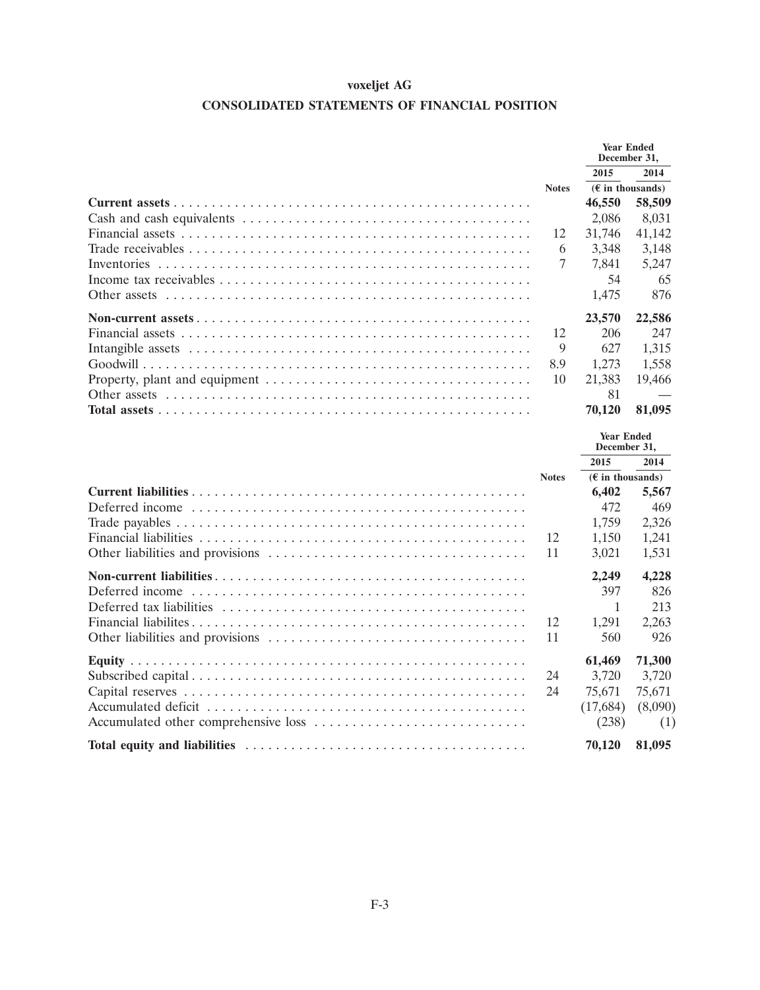# **CONSOLIDATED STATEMENTS OF FINANCIAL POSITION**

|              |        | <b>Year Ended</b><br>December 31. |
|--------------|--------|-----------------------------------|
|              | 2015   | 2014                              |
| <b>Notes</b> |        | $(\epsilon$ in thousands)         |
|              | 46,550 | 58,509                            |
|              | 2.086  | 8,031                             |
| 12           | 31,746 | 41,142                            |
| 6            | 3.348  | 3,148                             |
| 7            | 7,841  | 5,247                             |
|              | 54     | -65                               |
|              | 1.475  | 876                               |
|              | 23,570 | 22,586                            |
| 12           | 206    | 247                               |
| 9            | 627    | 1.315                             |
| 8.9          | 1.273  | 1,558                             |
| 10           | 21.383 | 19.466                            |
|              | 81     |                                   |
|              | 70,120 | 81,095                            |

|              | <b>Year Ended</b><br>December 31, |         |
|--------------|-----------------------------------|---------|
|              | 2015                              | 2014    |
| <b>Notes</b> | $(\epsilon$ in thousands)         |         |
|              | 6.402                             | 5,567   |
|              | 472                               | 469     |
|              | 1,759                             | 2,326   |
| 12           | 1,150                             | 1,241   |
| 11           | 3,021                             | 1,531   |
|              | 2,249                             | 4,228   |
|              | 397                               | 826     |
|              | 1                                 | 213     |
| 12           | 1,291                             | 2,263   |
| 11           | 560                               | 926     |
|              | 61,469                            | 71,300  |
| 24           | 3,720                             | 3,720   |
| 24           | 75,671                            | 75,671  |
|              | (17,684)                          | (8,090) |
|              | (238)                             | (1)     |
|              | 70,120                            | 81,095  |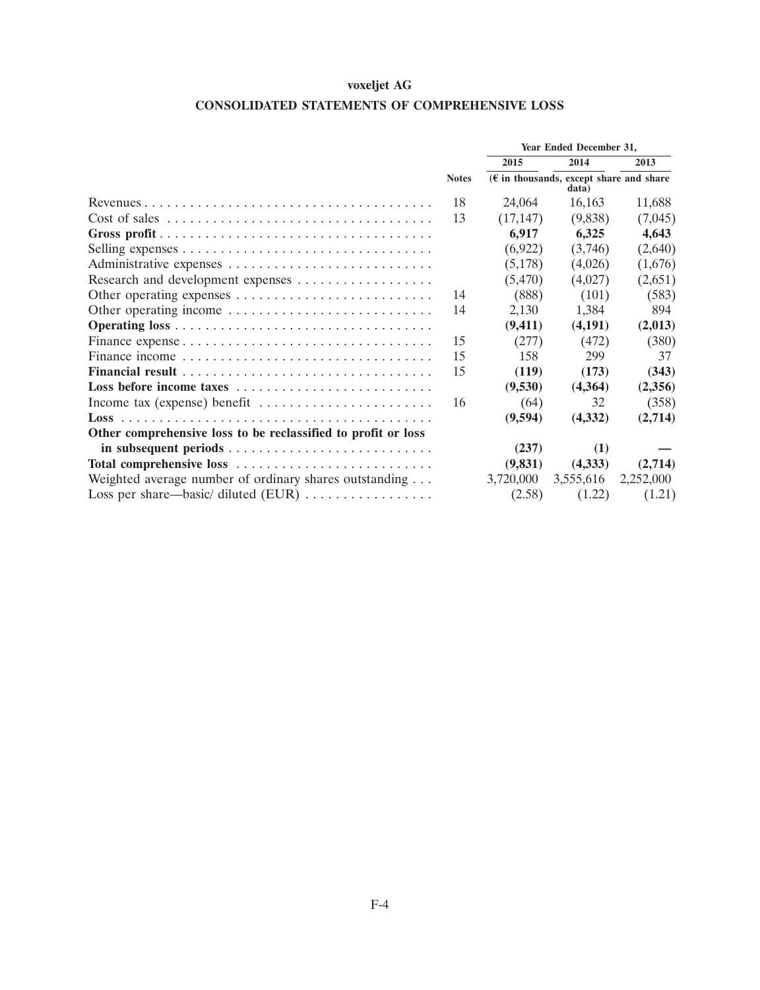# **CONSOLIDATED STATEMENTS OF COMPREHENSIVE LOSS**

|                                                                          |              | <b>Year Ended December 31.</b> |                                                           |           |  |
|--------------------------------------------------------------------------|--------------|--------------------------------|-----------------------------------------------------------|-----------|--|
|                                                                          |              | 2015                           | 2014                                                      | 2013      |  |
|                                                                          | <b>Notes</b> |                                | $(\epsilon$ in thousands, except share and share<br>data) |           |  |
|                                                                          | 18           | 24,064                         | 16,163                                                    | 11,688    |  |
|                                                                          | 13           | (17, 147)                      | (9,838)                                                   | (7,045)   |  |
|                                                                          |              | 6,917                          | 6,325                                                     | 4,643     |  |
|                                                                          |              | (6,922)                        | (3,746)                                                   | (2,640)   |  |
| Administrative expenses                                                  |              | (5,178)                        | (4,026)                                                   | (1,676)   |  |
| Research and development expenses                                        |              | (5,470)                        | (4,027)                                                   | (2,651)   |  |
| Other operating expenses                                                 | 14           | (888)                          | (101)                                                     | (583)     |  |
| Other operating income                                                   | 14           | 2,130                          | 1,384                                                     | 894       |  |
|                                                                          |              | (9, 411)                       | (4,191)                                                   | (2,013)   |  |
|                                                                          | 15           | (277)                          | (472)                                                     | (380)     |  |
| Finance income                                                           | 15           | 158                            | 299                                                       | 37        |  |
|                                                                          | 15           | (119)                          | (173)                                                     | (343)     |  |
| Loss before income taxes                                                 |              | (9,530)                        | (4,364)                                                   | (2,356)   |  |
| Income tax (expense) benefit $\dots \dots \dots \dots \dots \dots \dots$ | 16           | (64)                           | 32                                                        | (358)     |  |
|                                                                          |              | (9,594)                        | (4,332)                                                   | (2,714)   |  |
| Other comprehensive loss to be reclassified to profit or loss            |              |                                |                                                           |           |  |
|                                                                          |              | (237)                          | (1)                                                       |           |  |
| Total comprehensive loss                                                 |              | (9, 831)                       | (4,333)                                                   | (2,714)   |  |
| Weighted average number of ordinary shares outstanding                   |              | 3,720,000                      | 3,555,616                                                 | 2,252,000 |  |
|                                                                          |              | (2.58)                         | (1.22)                                                    | (1.21)    |  |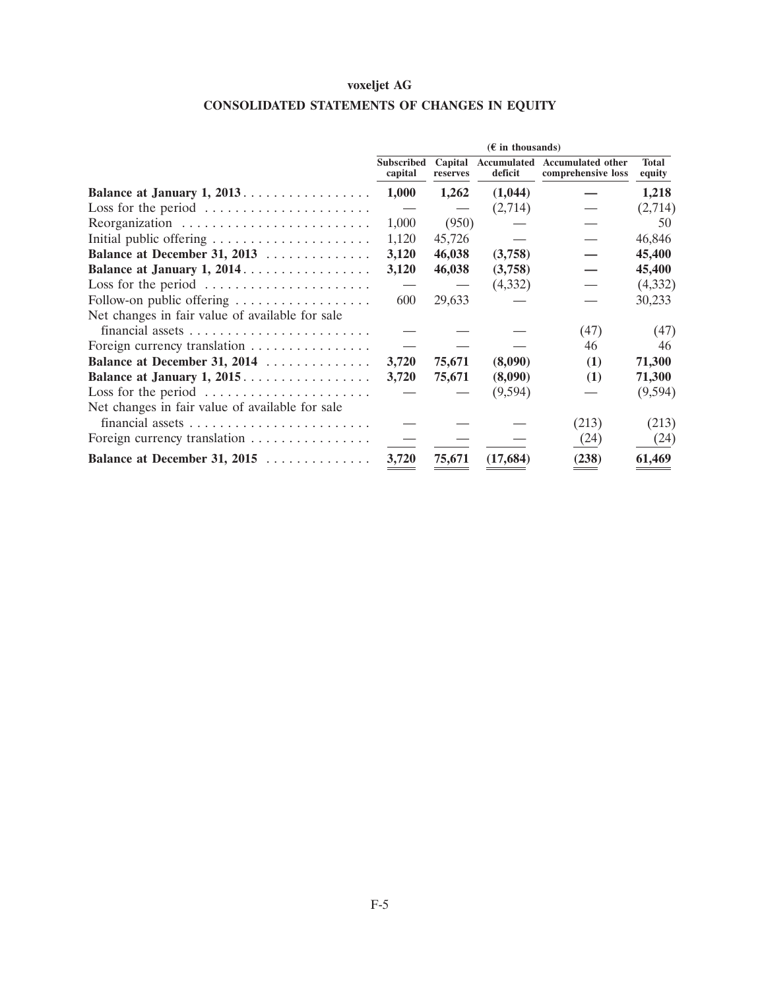# **CONSOLIDATED STATEMENTS OF CHANGES IN EQUITY**

|                                                                 | $(E$ in thousands)           |                     |                        |                                                |                        |
|-----------------------------------------------------------------|------------------------------|---------------------|------------------------|------------------------------------------------|------------------------|
|                                                                 | <b>Subscribed</b><br>capital | Capital<br>reserves | Accumulated<br>deficit | <b>Accumulated other</b><br>comprehensive loss | <b>Total</b><br>equity |
| Balance at January $1, 2013$                                    | 1,000                        | 1,262               | (1,044)                |                                                | 1,218                  |
| Loss for the period $\dots \dots \dots \dots \dots \dots \dots$ | $\overline{\phantom{0}}$     |                     | (2,714)                |                                                | (2,714)                |
| Reorganization                                                  | 1,000                        | (950)               |                        |                                                | 50                     |
| Initial public offering                                         | 1,120                        | 45,726              |                        |                                                | 46,846                 |
| Balance at December 31, 2013                                    | 3,120                        | 46,038              | (3,758)                |                                                | 45,400                 |
| Balance at January 1, 2014.                                     | 3,120                        | 46,038              | (3,758)                |                                                | 45,400                 |
| Loss for the period $\dots \dots \dots \dots \dots \dots$       |                              |                     | (4,332)                |                                                | (4,332)                |
| Follow-on public offering                                       | 600                          | 29,633              |                        |                                                | 30,233                 |
| Net changes in fair value of available for sale                 |                              |                     |                        |                                                |                        |
|                                                                 |                              |                     |                        | (47)                                           | (47)                   |
| Foreign currency translation                                    |                              |                     |                        | 46                                             | 46                     |
| Balance at December 31, 2014                                    | 3,720                        | 75,671              | (8,090)                | (1)                                            | 71,300                 |
| Balance at January $1, 2015$                                    | 3,720                        | 75,671              | (8,090)                | (1)                                            | 71,300                 |
| Loss for the period                                             |                              |                     | (9, 594)               |                                                | (9, 594)               |
| Net changes in fair value of available for sale                 |                              |                     |                        |                                                |                        |
|                                                                 |                              |                     |                        | (213)                                          | (213)                  |
| Foreign currency translation $\dots \dots \dots \dots$          |                              |                     |                        | (24)                                           | (24)                   |
| Balance at December 31, 2015                                    | 3,720                        | 75,671              | (17,684)               | (238)                                          | 61,469                 |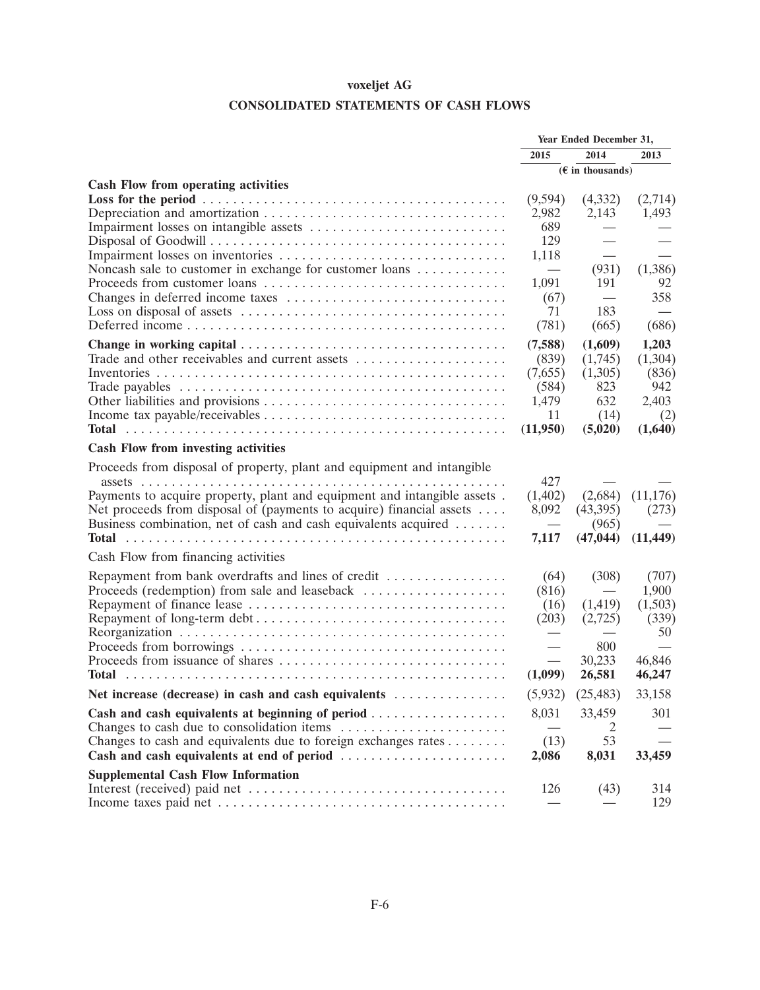# **CONSOLIDATED STATEMENTS OF CASH FLOWS**

|                                                                                                                                                                                                                                             | Year Ended December 31,                             |                                                     |                                                  |  |
|---------------------------------------------------------------------------------------------------------------------------------------------------------------------------------------------------------------------------------------------|-----------------------------------------------------|-----------------------------------------------------|--------------------------------------------------|--|
|                                                                                                                                                                                                                                             | 2015                                                | 2014                                                | 2013                                             |  |
|                                                                                                                                                                                                                                             |                                                     | $(E$ in thousands)                                  |                                                  |  |
| Cash Flow from operating activities                                                                                                                                                                                                         | (9,594)<br>2,982                                    | (4,332)<br>2,143                                    | (2,714)<br>1,493                                 |  |
| Impairment losses on intangible assets                                                                                                                                                                                                      | 689<br>129<br>1,118                                 |                                                     |                                                  |  |
| Noncash sale to customer in exchange for customer loans                                                                                                                                                                                     | 1,091<br>(67)<br>71                                 | (931)<br>191<br>183                                 | (1,386)<br>92<br>358                             |  |
|                                                                                                                                                                                                                                             | (781)                                               | (665)                                               | (686)                                            |  |
| Trade and other receivables and current assets                                                                                                                                                                                              | (7,588)<br>(839)<br>(7,655)<br>(584)<br>1,479<br>11 | (1,609)<br>(1,745)<br>(1,305)<br>823<br>632<br>(14) | 1,203<br>(1,304)<br>(836)<br>942<br>2,403<br>(2) |  |
|                                                                                                                                                                                                                                             | (11,950)                                            | (5,020)                                             | (1,640)                                          |  |
| <b>Cash Flow from investing activities</b>                                                                                                                                                                                                  |                                                     |                                                     |                                                  |  |
| Proceeds from disposal of property, plant and equipment and intangible                                                                                                                                                                      |                                                     |                                                     |                                                  |  |
| Payments to acquire property, plant and equipment and intangible assets.<br>Net proceeds from disposal of (payments to acquire) financial assets<br>Business combination, net of cash and cash equivalents acquired<br>Total<br>a a a a a a | 427<br>(1,402)<br>8,092<br>7,117                    | (2,684)<br>(43,395)<br>(965)<br>(47, 044)           | (11, 176)<br>(273)<br>(11, 449)                  |  |
| Cash Flow from financing activities                                                                                                                                                                                                         |                                                     |                                                     |                                                  |  |
| Repayment from bank overdrafts and lines of credit<br>Proceeds (redemption) from sale and leaseback                                                                                                                                         | (64)<br>(816)<br>(16)<br>(203)                      | (308)<br>(1, 419)<br>(2,725)<br>800                 | (707)<br>1,900<br>(1,503)<br>(339)<br>50         |  |
| Total<br>.                                                                                                                                                                                                                                  | (1,099)                                             | 30,233<br>26,581                                    | 46,846<br>46,247                                 |  |
| Net increase (decrease) in cash and cash equivalents                                                                                                                                                                                        | (5,932)                                             | (25, 483)                                           | 33,158                                           |  |
| Cash and cash equivalents at beginning of period<br>Changes to cash and equivalents due to foreign exchanges rates<br>Cash and cash equivalents at end of period                                                                            | 8,031<br>(13)<br>2,086                              | 33,459<br>2<br>53<br>8,031                          | 301<br>33,459                                    |  |
| <b>Supplemental Cash Flow Information</b>                                                                                                                                                                                                   | 126                                                 | (43)                                                | 314<br>129                                       |  |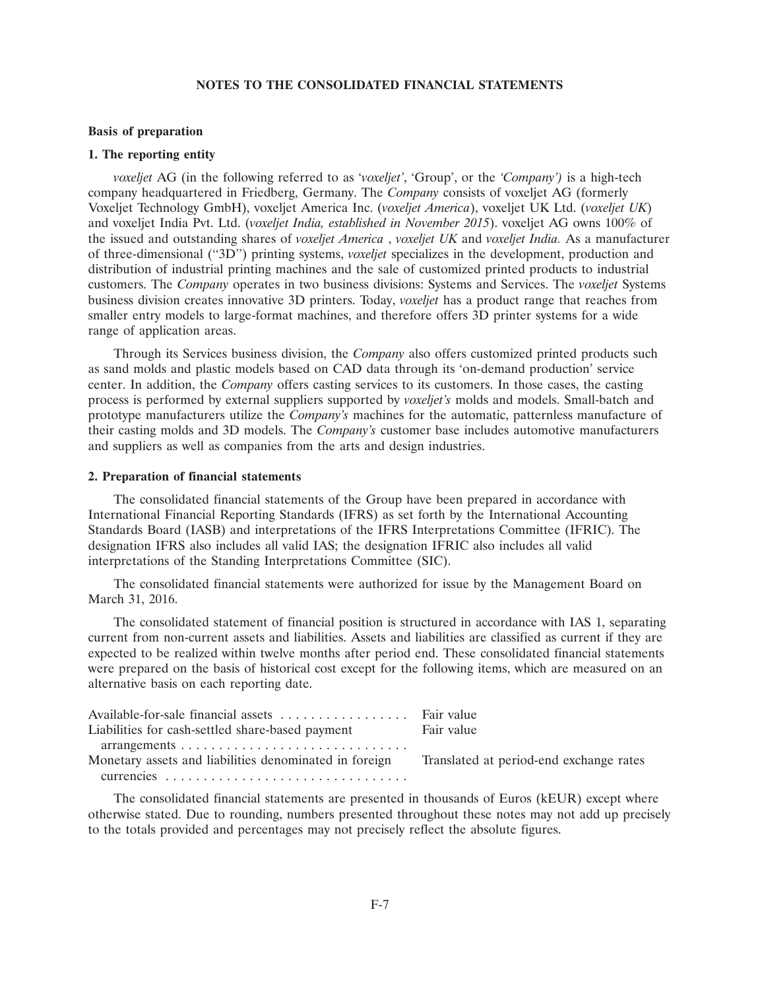#### **NOTES TO THE CONSOLIDATED FINANCIAL STATEMENTS**

#### **Basis of preparation**

## **1. The reporting entity**

*voxeljet* AG (in the following referred to as '*voxeljet'*, 'Group', or the *'Company')* is a high-tech company headquartered in Friedberg, Germany. The *Company* consists of voxeljet AG (formerly Voxeljet Technology GmbH), voxeljet America Inc. (*voxeljet America*), voxeljet UK Ltd. (*voxeljet UK*) and voxeljet India Pvt. Ltd. (*voxeljet India, established in November 2015*). voxeljet AG owns 100% of the issued and outstanding shares of *voxeljet America* , *voxeljet UK* and *voxeljet India.* As a manufacturer of three-dimensional (''3D'') printing systems, *voxeljet* specializes in the development, production and distribution of industrial printing machines and the sale of customized printed products to industrial customers. The *Company* operates in two business divisions: Systems and Services. The *voxeljet* Systems business division creates innovative 3D printers. Today, *voxeljet* has a product range that reaches from smaller entry models to large-format machines, and therefore offers 3D printer systems for a wide range of application areas.

Through its Services business division, the *Company* also offers customized printed products such as sand molds and plastic models based on CAD data through its 'on-demand production' service center. In addition, the *Company* offers casting services to its customers. In those cases, the casting process is performed by external suppliers supported by *voxeljet's* molds and models. Small-batch and prototype manufacturers utilize the *Company's* machines for the automatic, patternless manufacture of their casting molds and 3D models. The *Company's* customer base includes automotive manufacturers and suppliers as well as companies from the arts and design industries.

#### **2. Preparation of financial statements**

The consolidated financial statements of the Group have been prepared in accordance with International Financial Reporting Standards (IFRS) as set forth by the International Accounting Standards Board (IASB) and interpretations of the IFRS Interpretations Committee (IFRIC). The designation IFRS also includes all valid IAS; the designation IFRIC also includes all valid interpretations of the Standing Interpretations Committee (SIC).

The consolidated financial statements were authorized for issue by the Management Board on March 31, 2016.

The consolidated statement of financial position is structured in accordance with IAS 1, separating current from non-current assets and liabilities. Assets and liabilities are classified as current if they are expected to be realized within twelve months after period end. These consolidated financial statements were prepared on the basis of historical cost except for the following items, which are measured on an alternative basis on each reporting date.

| Liabilities for cash-settled share-based payment                              | Fair value                              |
|-------------------------------------------------------------------------------|-----------------------------------------|
| $arrangements \ldots \ldots \ldots \ldots \ldots \ldots \ldots \ldots \ldots$ |                                         |
| Monetary assets and liabilities denominated in foreign                        | Translated at period-end exchange rates |
|                                                                               |                                         |

The consolidated financial statements are presented in thousands of Euros (kEUR) except where otherwise stated. Due to rounding, numbers presented throughout these notes may not add up precisely to the totals provided and percentages may not precisely reflect the absolute figures.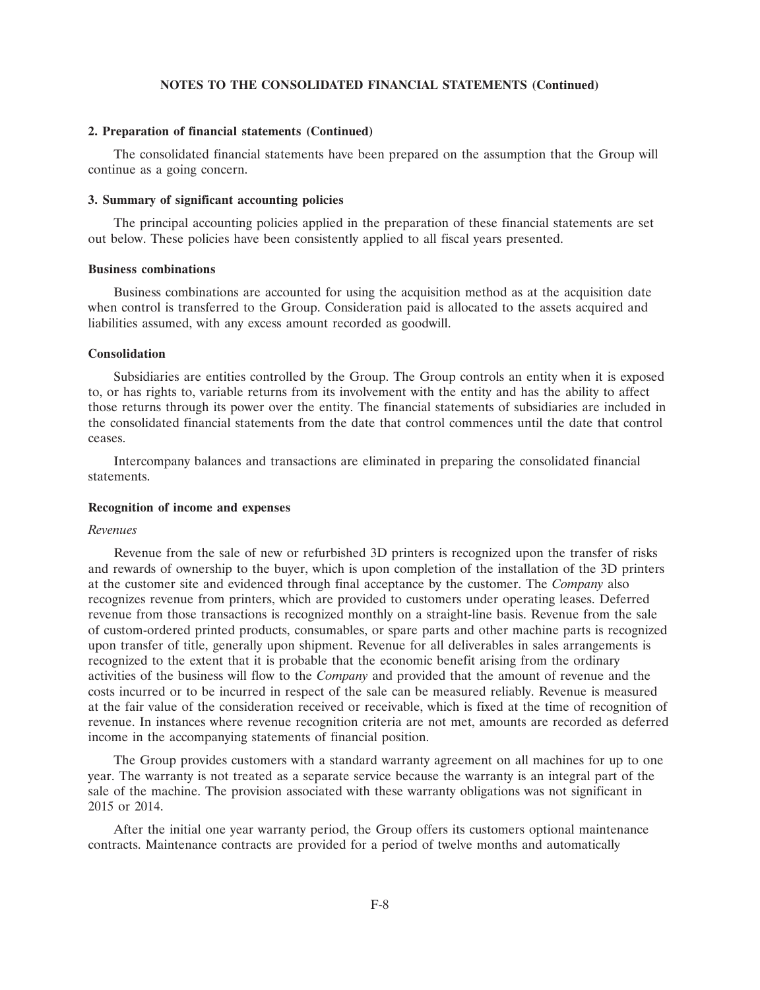#### **2. Preparation of financial statements (Continued)**

The consolidated financial statements have been prepared on the assumption that the Group will continue as a going concern.

## **3. Summary of significant accounting policies**

The principal accounting policies applied in the preparation of these financial statements are set out below. These policies have been consistently applied to all fiscal years presented.

#### **Business combinations**

Business combinations are accounted for using the acquisition method as at the acquisition date when control is transferred to the Group. Consideration paid is allocated to the assets acquired and liabilities assumed, with any excess amount recorded as goodwill.

## **Consolidation**

Subsidiaries are entities controlled by the Group. The Group controls an entity when it is exposed to, or has rights to, variable returns from its involvement with the entity and has the ability to affect those returns through its power over the entity. The financial statements of subsidiaries are included in the consolidated financial statements from the date that control commences until the date that control ceases.

Intercompany balances and transactions are eliminated in preparing the consolidated financial statements.

#### **Recognition of income and expenses**

### *Revenues*

Revenue from the sale of new or refurbished 3D printers is recognized upon the transfer of risks and rewards of ownership to the buyer, which is upon completion of the installation of the 3D printers at the customer site and evidenced through final acceptance by the customer. The *Company* also recognizes revenue from printers, which are provided to customers under operating leases. Deferred revenue from those transactions is recognized monthly on a straight-line basis. Revenue from the sale of custom-ordered printed products, consumables, or spare parts and other machine parts is recognized upon transfer of title, generally upon shipment. Revenue for all deliverables in sales arrangements is recognized to the extent that it is probable that the economic benefit arising from the ordinary activities of the business will flow to the *Company* and provided that the amount of revenue and the costs incurred or to be incurred in respect of the sale can be measured reliably. Revenue is measured at the fair value of the consideration received or receivable, which is fixed at the time of recognition of revenue. In instances where revenue recognition criteria are not met, amounts are recorded as deferred income in the accompanying statements of financial position.

The Group provides customers with a standard warranty agreement on all machines for up to one year. The warranty is not treated as a separate service because the warranty is an integral part of the sale of the machine. The provision associated with these warranty obligations was not significant in 2015 or 2014.

After the initial one year warranty period, the Group offers its customers optional maintenance contracts. Maintenance contracts are provided for a period of twelve months and automatically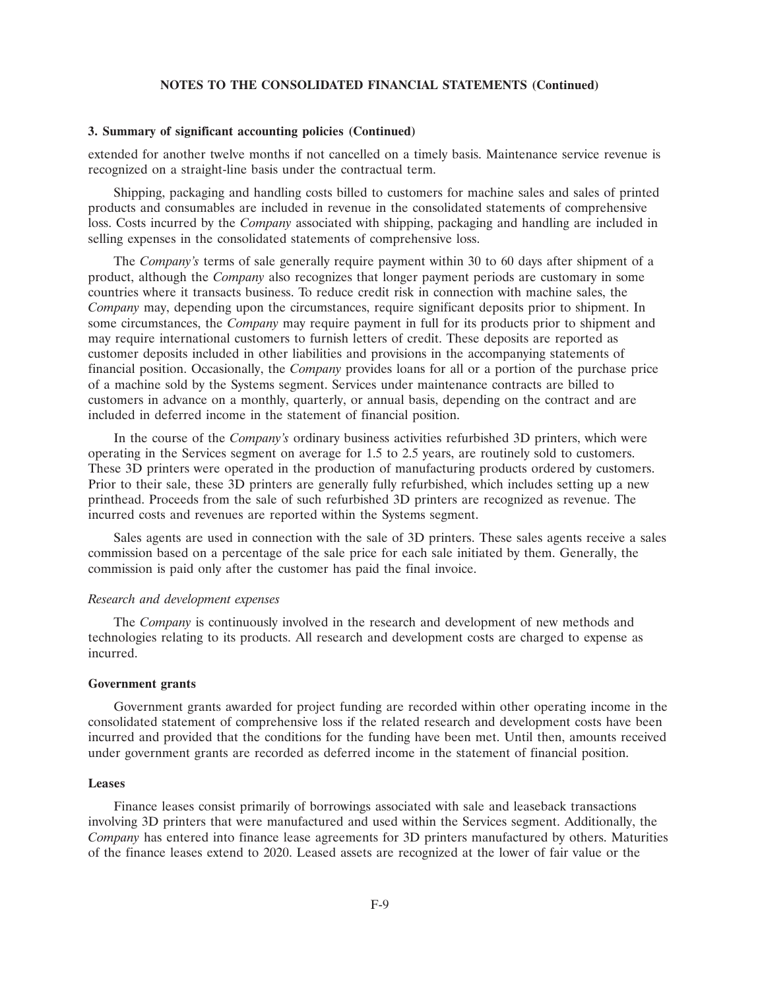## **3. Summary of significant accounting policies (Continued)**

extended for another twelve months if not cancelled on a timely basis. Maintenance service revenue is recognized on a straight-line basis under the contractual term.

Shipping, packaging and handling costs billed to customers for machine sales and sales of printed products and consumables are included in revenue in the consolidated statements of comprehensive loss. Costs incurred by the *Company* associated with shipping, packaging and handling are included in selling expenses in the consolidated statements of comprehensive loss.

The *Company's* terms of sale generally require payment within 30 to 60 days after shipment of a product, although the *Company* also recognizes that longer payment periods are customary in some countries where it transacts business. To reduce credit risk in connection with machine sales, the *Company* may, depending upon the circumstances, require significant deposits prior to shipment. In some circumstances, the *Company* may require payment in full for its products prior to shipment and may require international customers to furnish letters of credit. These deposits are reported as customer deposits included in other liabilities and provisions in the accompanying statements of financial position. Occasionally, the *Company* provides loans for all or a portion of the purchase price of a machine sold by the Systems segment. Services under maintenance contracts are billed to customers in advance on a monthly, quarterly, or annual basis, depending on the contract and are included in deferred income in the statement of financial position.

In the course of the *Company's* ordinary business activities refurbished 3D printers, which were operating in the Services segment on average for 1.5 to 2.5 years, are routinely sold to customers. These 3D printers were operated in the production of manufacturing products ordered by customers. Prior to their sale, these 3D printers are generally fully refurbished, which includes setting up a new printhead. Proceeds from the sale of such refurbished 3D printers are recognized as revenue. The incurred costs and revenues are reported within the Systems segment.

Sales agents are used in connection with the sale of 3D printers. These sales agents receive a sales commission based on a percentage of the sale price for each sale initiated by them. Generally, the commission is paid only after the customer has paid the final invoice.

## *Research and development expenses*

The *Company* is continuously involved in the research and development of new methods and technologies relating to its products. All research and development costs are charged to expense as incurred.

#### **Government grants**

Government grants awarded for project funding are recorded within other operating income in the consolidated statement of comprehensive loss if the related research and development costs have been incurred and provided that the conditions for the funding have been met. Until then, amounts received under government grants are recorded as deferred income in the statement of financial position.

## **Leases**

Finance leases consist primarily of borrowings associated with sale and leaseback transactions involving 3D printers that were manufactured and used within the Services segment. Additionally, the *Company* has entered into finance lease agreements for 3D printers manufactured by others. Maturities of the finance leases extend to 2020. Leased assets are recognized at the lower of fair value or the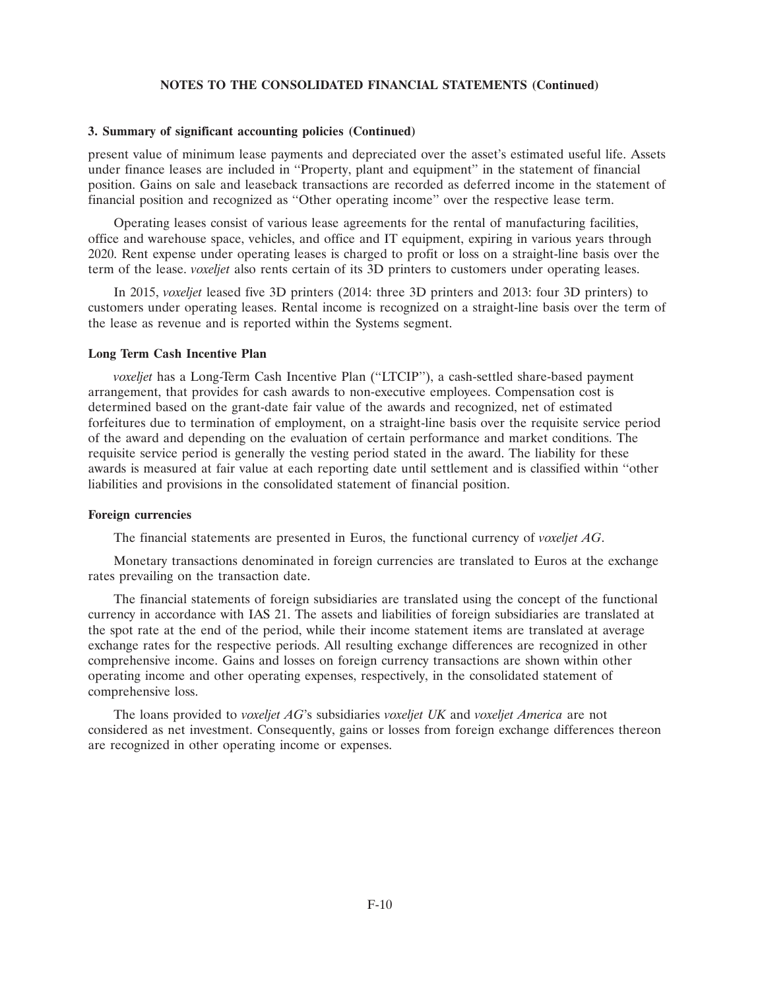## **3. Summary of significant accounting policies (Continued)**

present value of minimum lease payments and depreciated over the asset's estimated useful life. Assets under finance leases are included in "Property, plant and equipment" in the statement of financial position. Gains on sale and leaseback transactions are recorded as deferred income in the statement of financial position and recognized as ''Other operating income'' over the respective lease term.

Operating leases consist of various lease agreements for the rental of manufacturing facilities, office and warehouse space, vehicles, and office and IT equipment, expiring in various years through 2020. Rent expense under operating leases is charged to profit or loss on a straight-line basis over the term of the lease. *voxeljet* also rents certain of its 3D printers to customers under operating leases.

In 2015, *voxeljet* leased five 3D printers (2014: three 3D printers and 2013: four 3D printers) to customers under operating leases. Rental income is recognized on a straight-line basis over the term of the lease as revenue and is reported within the Systems segment.

## **Long Term Cash Incentive Plan**

*voxeljet* has a Long-Term Cash Incentive Plan (''LTCIP''), a cash-settled share-based payment arrangement, that provides for cash awards to non-executive employees. Compensation cost is determined based on the grant-date fair value of the awards and recognized, net of estimated forfeitures due to termination of employment, on a straight-line basis over the requisite service period of the award and depending on the evaluation of certain performance and market conditions. The requisite service period is generally the vesting period stated in the award. The liability for these awards is measured at fair value at each reporting date until settlement and is classified within ''other liabilities and provisions in the consolidated statement of financial position.

#### **Foreign currencies**

The financial statements are presented in Euros, the functional currency of *voxeljet AG*.

Monetary transactions denominated in foreign currencies are translated to Euros at the exchange rates prevailing on the transaction date.

The financial statements of foreign subsidiaries are translated using the concept of the functional currency in accordance with IAS 21. The assets and liabilities of foreign subsidiaries are translated at the spot rate at the end of the period, while their income statement items are translated at average exchange rates for the respective periods. All resulting exchange differences are recognized in other comprehensive income. Gains and losses on foreign currency transactions are shown within other operating income and other operating expenses, respectively, in the consolidated statement of comprehensive loss.

The loans provided to *voxeljet AG*'s subsidiaries *voxeljet UK* and *voxeljet America* are not considered as net investment. Consequently, gains or losses from foreign exchange differences thereon are recognized in other operating income or expenses.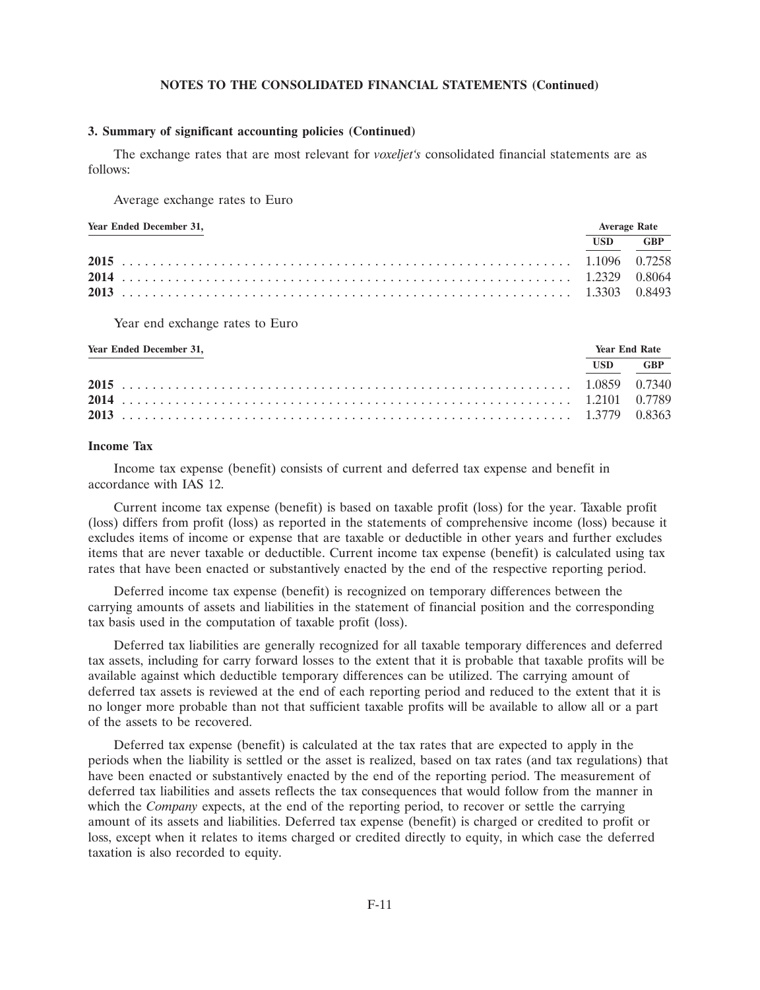#### **3. Summary of significant accounting policies (Continued)**

The exchange rates that are most relevant for *voxeljet's* consolidated financial statements are as follows:

Average exchange rates to Euro

| Year Ended December 31, |         | <b>Average Rate</b> |
|-------------------------|---------|---------------------|
|                         | USD GBP |                     |
|                         |         |                     |
|                         |         |                     |
|                         |         |                     |

Year end exchange rates to Euro

| Year Ended December 31, |         | <b>Year End Rate</b> |
|-------------------------|---------|----------------------|
|                         | USD GBP |                      |
|                         |         |                      |
|                         |         |                      |
|                         |         |                      |

#### **Income Tax**

Income tax expense (benefit) consists of current and deferred tax expense and benefit in accordance with IAS 12.

Current income tax expense (benefit) is based on taxable profit (loss) for the year. Taxable profit (loss) differs from profit (loss) as reported in the statements of comprehensive income (loss) because it excludes items of income or expense that are taxable or deductible in other years and further excludes items that are never taxable or deductible. Current income tax expense (benefit) is calculated using tax rates that have been enacted or substantively enacted by the end of the respective reporting period.

Deferred income tax expense (benefit) is recognized on temporary differences between the carrying amounts of assets and liabilities in the statement of financial position and the corresponding tax basis used in the computation of taxable profit (loss).

Deferred tax liabilities are generally recognized for all taxable temporary differences and deferred tax assets, including for carry forward losses to the extent that it is probable that taxable profits will be available against which deductible temporary differences can be utilized. The carrying amount of deferred tax assets is reviewed at the end of each reporting period and reduced to the extent that it is no longer more probable than not that sufficient taxable profits will be available to allow all or a part of the assets to be recovered.

Deferred tax expense (benefit) is calculated at the tax rates that are expected to apply in the periods when the liability is settled or the asset is realized, based on tax rates (and tax regulations) that have been enacted or substantively enacted by the end of the reporting period. The measurement of deferred tax liabilities and assets reflects the tax consequences that would follow from the manner in which the *Company* expects, at the end of the reporting period, to recover or settle the carrying amount of its assets and liabilities. Deferred tax expense (benefit) is charged or credited to profit or loss, except when it relates to items charged or credited directly to equity, in which case the deferred taxation is also recorded to equity.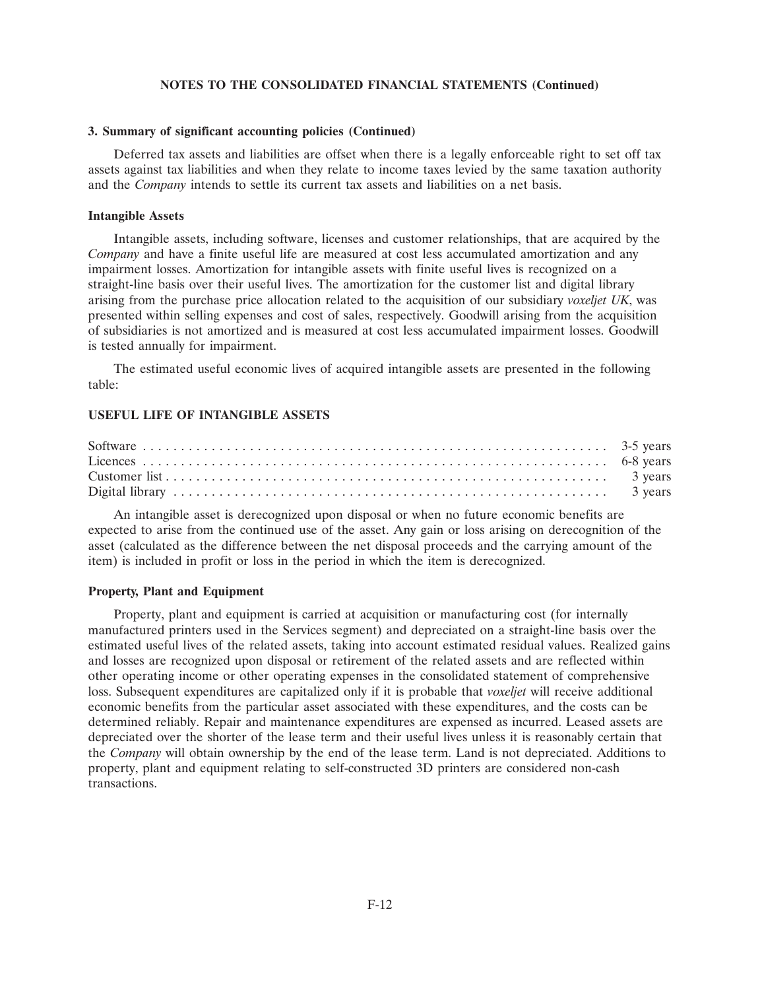## **3. Summary of significant accounting policies (Continued)**

Deferred tax assets and liabilities are offset when there is a legally enforceable right to set off tax assets against tax liabilities and when they relate to income taxes levied by the same taxation authority and the *Company* intends to settle its current tax assets and liabilities on a net basis.

#### **Intangible Assets**

Intangible assets, including software, licenses and customer relationships, that are acquired by the *Company* and have a finite useful life are measured at cost less accumulated amortization and any impairment losses. Amortization for intangible assets with finite useful lives is recognized on a straight-line basis over their useful lives. The amortization for the customer list and digital library arising from the purchase price allocation related to the acquisition of our subsidiary *voxeljet UK*, was presented within selling expenses and cost of sales, respectively. Goodwill arising from the acquisition of subsidiaries is not amortized and is measured at cost less accumulated impairment losses. Goodwill is tested annually for impairment.

The estimated useful economic lives of acquired intangible assets are presented in the following table:

## **USEFUL LIFE OF INTANGIBLE ASSETS**

An intangible asset is derecognized upon disposal or when no future economic benefits are expected to arise from the continued use of the asset. Any gain or loss arising on derecognition of the asset (calculated as the difference between the net disposal proceeds and the carrying amount of the item) is included in profit or loss in the period in which the item is derecognized.

## **Property, Plant and Equipment**

Property, plant and equipment is carried at acquisition or manufacturing cost (for internally manufactured printers used in the Services segment) and depreciated on a straight-line basis over the estimated useful lives of the related assets, taking into account estimated residual values. Realized gains and losses are recognized upon disposal or retirement of the related assets and are reflected within other operating income or other operating expenses in the consolidated statement of comprehensive loss. Subsequent expenditures are capitalized only if it is probable that *voxeljet* will receive additional economic benefits from the particular asset associated with these expenditures, and the costs can be determined reliably. Repair and maintenance expenditures are expensed as incurred. Leased assets are depreciated over the shorter of the lease term and their useful lives unless it is reasonably certain that the *Company* will obtain ownership by the end of the lease term. Land is not depreciated. Additions to property, plant and equipment relating to self-constructed 3D printers are considered non-cash transactions.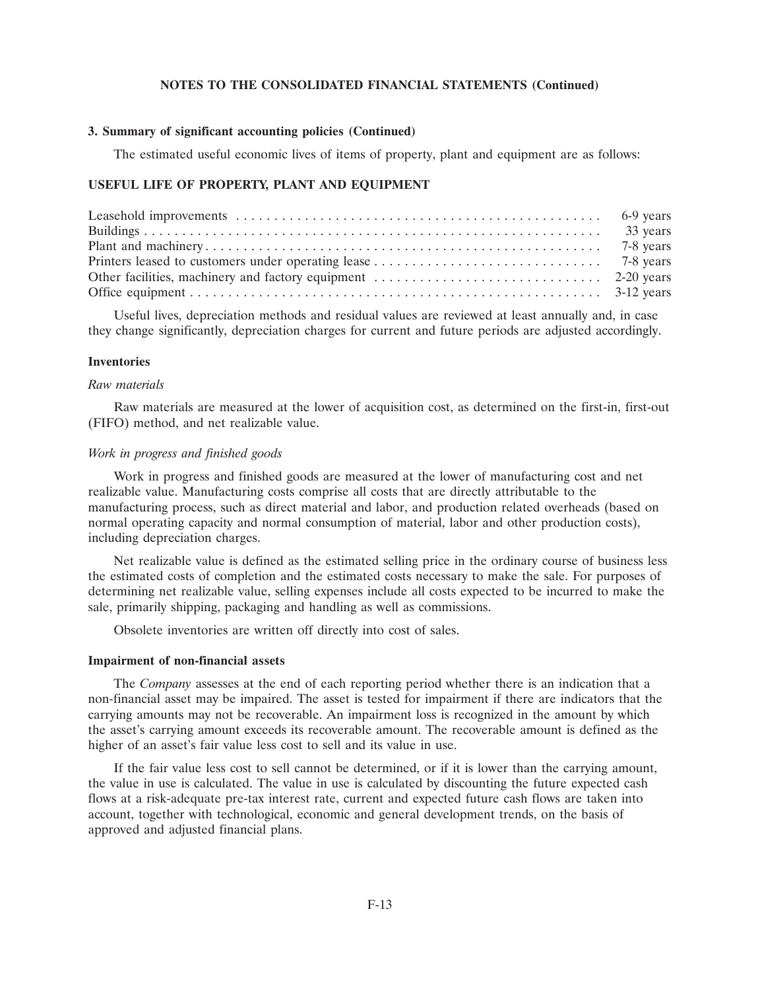## **3. Summary of significant accounting policies (Continued)**

The estimated useful economic lives of items of property, plant and equipment are as follows:

## **USEFUL LIFE OF PROPERTY, PLANT AND EQUIPMENT**

Useful lives, depreciation methods and residual values are reviewed at least annually and, in case they change significantly, depreciation charges for current and future periods are adjusted accordingly.

#### **Inventories**

## *Raw materials*

Raw materials are measured at the lower of acquisition cost, as determined on the first-in, first-out (FIFO) method, and net realizable value.

## *Work in progress and finished goods*

Work in progress and finished goods are measured at the lower of manufacturing cost and net realizable value. Manufacturing costs comprise all costs that are directly attributable to the manufacturing process, such as direct material and labor, and production related overheads (based on normal operating capacity and normal consumption of material, labor and other production costs), including depreciation charges.

Net realizable value is defined as the estimated selling price in the ordinary course of business less the estimated costs of completion and the estimated costs necessary to make the sale. For purposes of determining net realizable value, selling expenses include all costs expected to be incurred to make the sale, primarily shipping, packaging and handling as well as commissions.

Obsolete inventories are written off directly into cost of sales.

## **Impairment of non-financial assets**

The *Company* assesses at the end of each reporting period whether there is an indication that a non-financial asset may be impaired. The asset is tested for impairment if there are indicators that the carrying amounts may not be recoverable. An impairment loss is recognized in the amount by which the asset's carrying amount exceeds its recoverable amount. The recoverable amount is defined as the higher of an asset's fair value less cost to sell and its value in use.

If the fair value less cost to sell cannot be determined, or if it is lower than the carrying amount, the value in use is calculated. The value in use is calculated by discounting the future expected cash flows at a risk-adequate pre-tax interest rate, current and expected future cash flows are taken into account, together with technological, economic and general development trends, on the basis of approved and adjusted financial plans.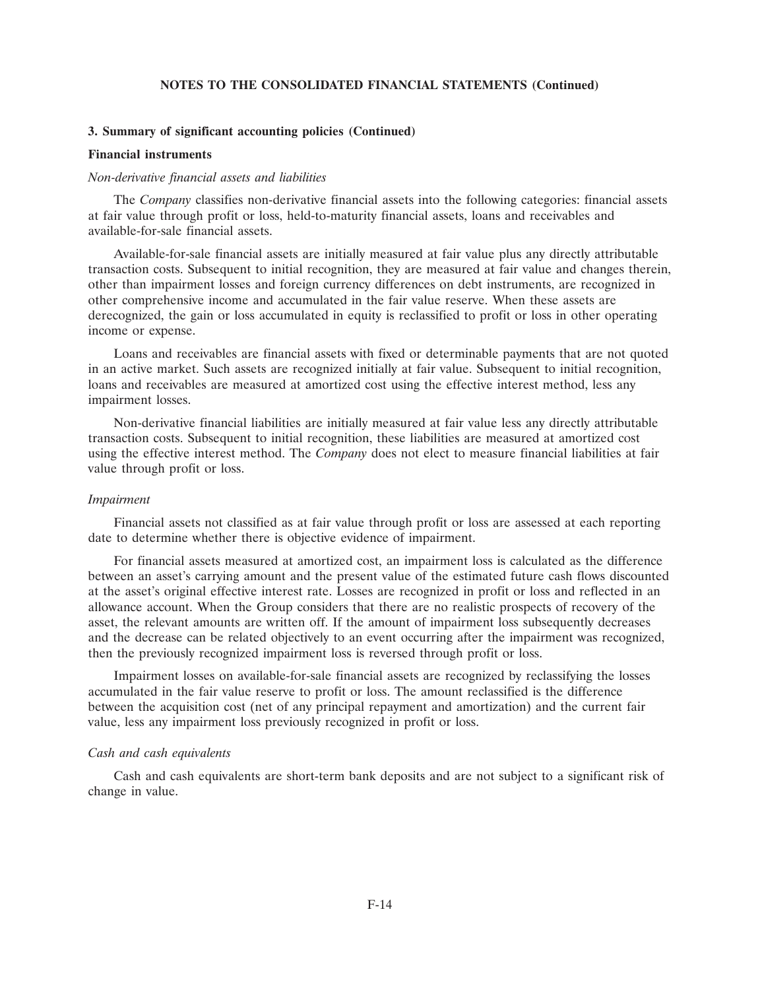#### **3. Summary of significant accounting policies (Continued)**

## **Financial instruments**

## *Non-derivative financial assets and liabilities*

The *Company* classifies non-derivative financial assets into the following categories: financial assets at fair value through profit or loss, held-to-maturity financial assets, loans and receivables and available-for-sale financial assets.

Available-for-sale financial assets are initially measured at fair value plus any directly attributable transaction costs. Subsequent to initial recognition, they are measured at fair value and changes therein, other than impairment losses and foreign currency differences on debt instruments, are recognized in other comprehensive income and accumulated in the fair value reserve. When these assets are derecognized, the gain or loss accumulated in equity is reclassified to profit or loss in other operating income or expense.

Loans and receivables are financial assets with fixed or determinable payments that are not quoted in an active market. Such assets are recognized initially at fair value. Subsequent to initial recognition, loans and receivables are measured at amortized cost using the effective interest method, less any impairment losses.

Non-derivative financial liabilities are initially measured at fair value less any directly attributable transaction costs. Subsequent to initial recognition, these liabilities are measured at amortized cost using the effective interest method. The *Company* does not elect to measure financial liabilities at fair value through profit or loss.

#### *Impairment*

Financial assets not classified as at fair value through profit or loss are assessed at each reporting date to determine whether there is objective evidence of impairment.

For financial assets measured at amortized cost, an impairment loss is calculated as the difference between an asset's carrying amount and the present value of the estimated future cash flows discounted at the asset's original effective interest rate. Losses are recognized in profit or loss and reflected in an allowance account. When the Group considers that there are no realistic prospects of recovery of the asset, the relevant amounts are written off. If the amount of impairment loss subsequently decreases and the decrease can be related objectively to an event occurring after the impairment was recognized, then the previously recognized impairment loss is reversed through profit or loss.

Impairment losses on available-for-sale financial assets are recognized by reclassifying the losses accumulated in the fair value reserve to profit or loss. The amount reclassified is the difference between the acquisition cost (net of any principal repayment and amortization) and the current fair value, less any impairment loss previously recognized in profit or loss.

#### *Cash and cash equivalents*

Cash and cash equivalents are short-term bank deposits and are not subject to a significant risk of change in value.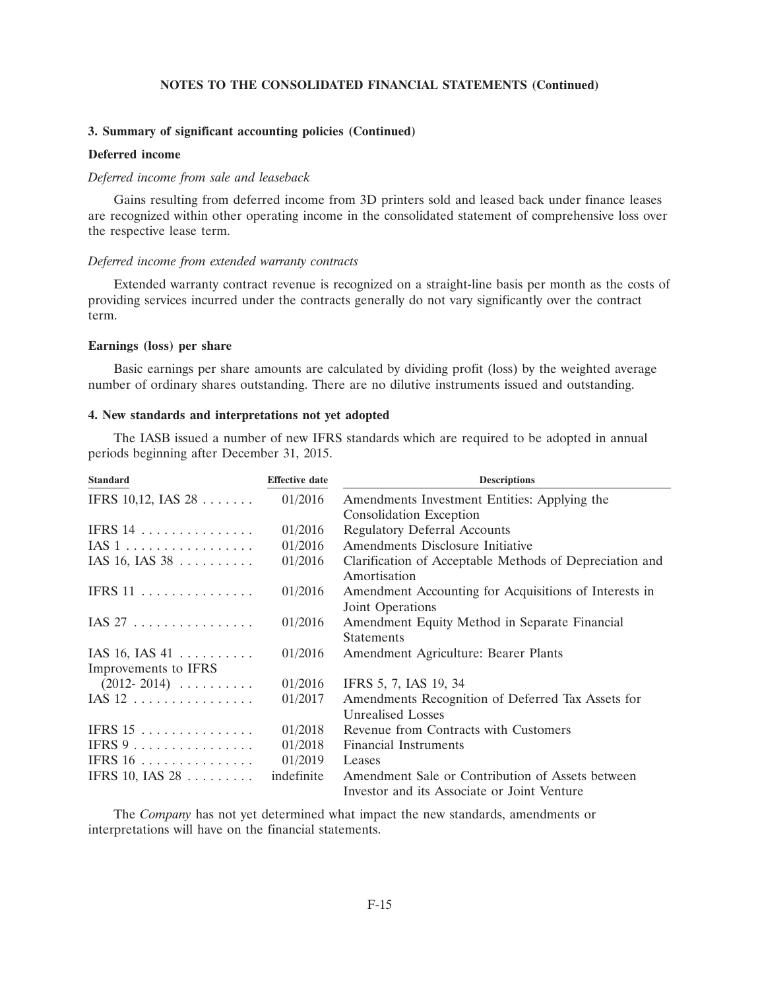## **3. Summary of significant accounting policies (Continued)**

## **Deferred income**

## *Deferred income from sale and leaseback*

Gains resulting from deferred income from 3D printers sold and leased back under finance leases are recognized within other operating income in the consolidated statement of comprehensive loss over the respective lease term.

## *Deferred income from extended warranty contracts*

Extended warranty contract revenue is recognized on a straight-line basis per month as the costs of providing services incurred under the contracts generally do not vary significantly over the contract term.

#### **Earnings (loss) per share**

Basic earnings per share amounts are calculated by dividing profit (loss) by the weighted average number of ordinary shares outstanding. There are no dilutive instruments issued and outstanding.

#### **4. New standards and interpretations not yet adopted**

The IASB issued a number of new IFRS standards which are required to be adopted in annual periods beginning after December 31, 2015.

| <b>Standard</b>                             | <b>Effective date</b> | <b>Descriptions</b>                                     |
|---------------------------------------------|-----------------------|---------------------------------------------------------|
| IFRS 10,12, IAS $28$                        | 01/2016               | Amendments Investment Entities: Applying the            |
|                                             |                       | <b>Consolidation Exception</b>                          |
| IFRS $14$                                   | 01/2016               | <b>Regulatory Deferral Accounts</b>                     |
| IAS 1 $\dots\dots\dots\dots\dots\dots\dots$ | 01/2016               | Amendments Disclosure Initiative                        |
| IAS 16, IAS $38 \ldots \ldots \ldots$       | 01/2016               | Clarification of Acceptable Methods of Depreciation and |
|                                             |                       | Amortisation                                            |
| IFRS $11$                                   | 01/2016               | Amendment Accounting for Acquisitions of Interests in   |
|                                             |                       | Joint Operations                                        |
| IAS $27 \ldots \ldots \ldots \ldots \ldots$ | 01/2016               | Amendment Equity Method in Separate Financial           |
|                                             |                       | <b>Statements</b>                                       |
| IAS 16, IAS $41 \ldots \ldots \ldots$       | 01/2016               | Amendment Agriculture: Bearer Plants                    |
| Improvements to IFRS                        |                       |                                                         |
| $(2012 - 2014) \ldots \ldots$               | 01/2016               | IFRS 5, 7, IAS 19, 34                                   |
| IAS 12                                      | 01/2017               | Amendments Recognition of Deferred Tax Assets for       |
|                                             |                       | <b>Unrealised Losses</b>                                |
| IFRS $15 \ldots \ldots \ldots \ldots$       | 01/2018               | Revenue from Contracts with Customers                   |
| IFRS $9 \ldots \ldots \ldots \ldots \ldots$ | 01/2018               | <b>Financial Instruments</b>                            |
| IFRS $16$                                   | 01/2019               | Leases                                                  |
| IFRS 10, IAS $28$                           | indefinite            | Amendment Sale or Contribution of Assets between        |
|                                             |                       | Investor and its Associate or Joint Venture             |

The *Company* has not yet determined what impact the new standards, amendments or interpretations will have on the financial statements.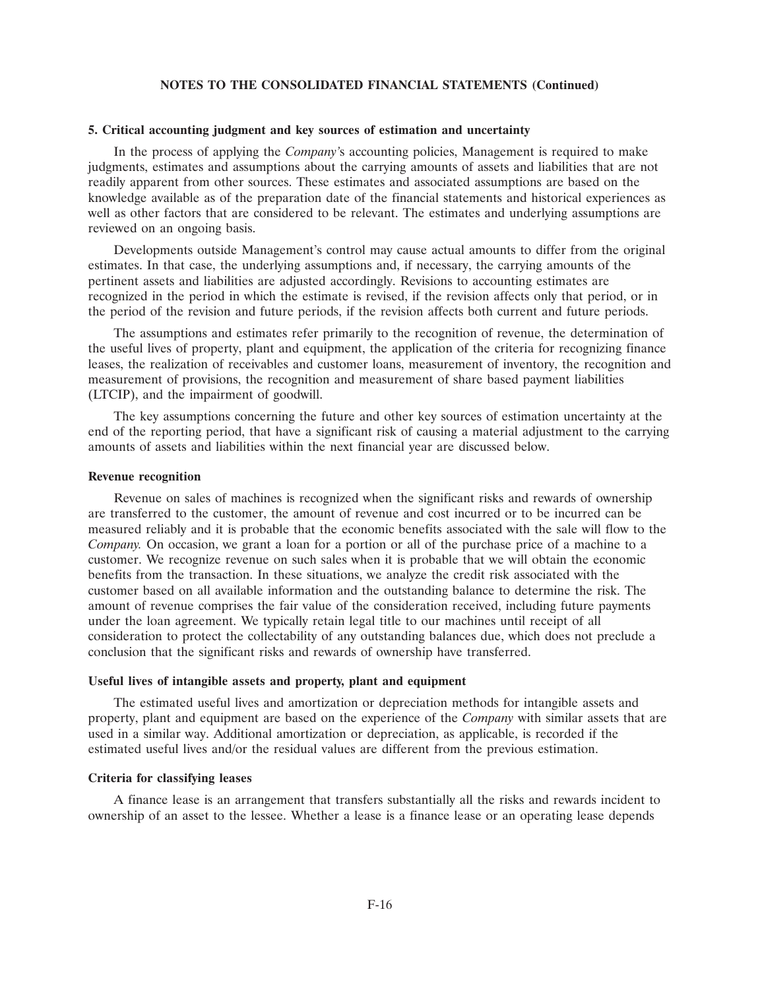## **5. Critical accounting judgment and key sources of estimation and uncertainty**

In the process of applying the *Company'*s accounting policies, Management is required to make judgments, estimates and assumptions about the carrying amounts of assets and liabilities that are not readily apparent from other sources. These estimates and associated assumptions are based on the knowledge available as of the preparation date of the financial statements and historical experiences as well as other factors that are considered to be relevant. The estimates and underlying assumptions are reviewed on an ongoing basis.

Developments outside Management's control may cause actual amounts to differ from the original estimates. In that case, the underlying assumptions and, if necessary, the carrying amounts of the pertinent assets and liabilities are adjusted accordingly. Revisions to accounting estimates are recognized in the period in which the estimate is revised, if the revision affects only that period, or in the period of the revision and future periods, if the revision affects both current and future periods.

The assumptions and estimates refer primarily to the recognition of revenue, the determination of the useful lives of property, plant and equipment, the application of the criteria for recognizing finance leases, the realization of receivables and customer loans, measurement of inventory, the recognition and measurement of provisions, the recognition and measurement of share based payment liabilities (LTCIP), and the impairment of goodwill.

The key assumptions concerning the future and other key sources of estimation uncertainty at the end of the reporting period, that have a significant risk of causing a material adjustment to the carrying amounts of assets and liabilities within the next financial year are discussed below.

#### **Revenue recognition**

Revenue on sales of machines is recognized when the significant risks and rewards of ownership are transferred to the customer, the amount of revenue and cost incurred or to be incurred can be measured reliably and it is probable that the economic benefits associated with the sale will flow to the *Company.* On occasion, we grant a loan for a portion or all of the purchase price of a machine to a customer. We recognize revenue on such sales when it is probable that we will obtain the economic benefits from the transaction. In these situations, we analyze the credit risk associated with the customer based on all available information and the outstanding balance to determine the risk. The amount of revenue comprises the fair value of the consideration received, including future payments under the loan agreement. We typically retain legal title to our machines until receipt of all consideration to protect the collectability of any outstanding balances due, which does not preclude a conclusion that the significant risks and rewards of ownership have transferred.

#### **Useful lives of intangible assets and property, plant and equipment**

The estimated useful lives and amortization or depreciation methods for intangible assets and property, plant and equipment are based on the experience of the *Company* with similar assets that are used in a similar way. Additional amortization or depreciation, as applicable, is recorded if the estimated useful lives and/or the residual values are different from the previous estimation.

#### **Criteria for classifying leases**

A finance lease is an arrangement that transfers substantially all the risks and rewards incident to ownership of an asset to the lessee. Whether a lease is a finance lease or an operating lease depends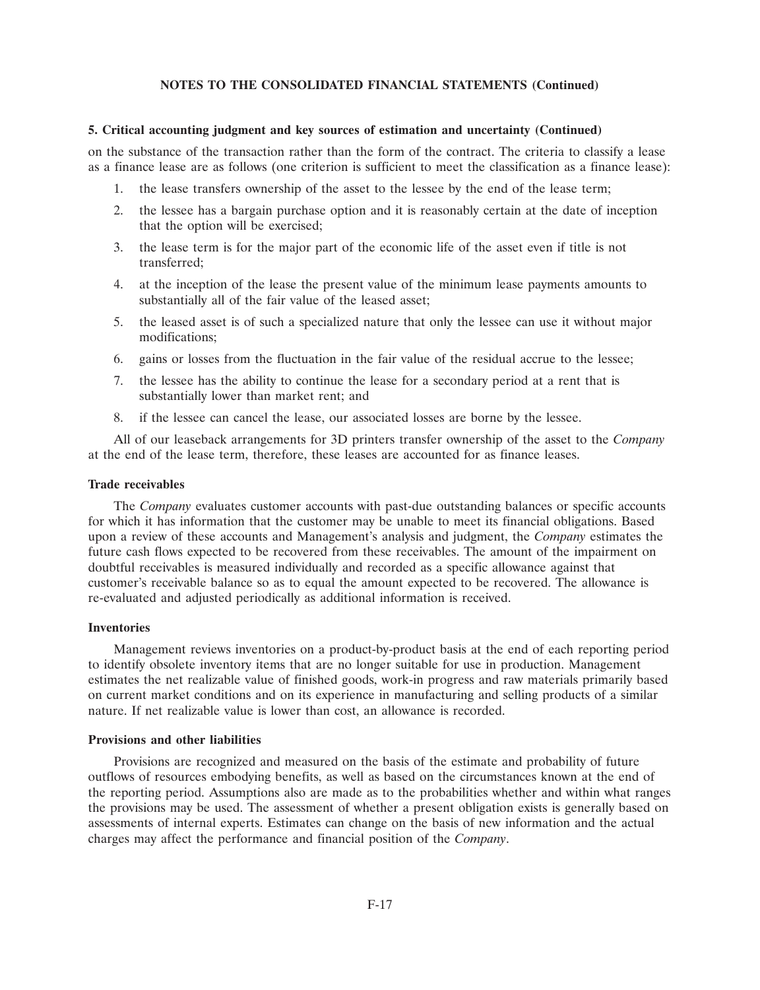## **5. Critical accounting judgment and key sources of estimation and uncertainty (Continued)**

on the substance of the transaction rather than the form of the contract. The criteria to classify a lease as a finance lease are as follows (one criterion is sufficient to meet the classification as a finance lease):

- 1. the lease transfers ownership of the asset to the lessee by the end of the lease term;
- 2. the lessee has a bargain purchase option and it is reasonably certain at the date of inception that the option will be exercised;
- 3. the lease term is for the major part of the economic life of the asset even if title is not transferred;
- 4. at the inception of the lease the present value of the minimum lease payments amounts to substantially all of the fair value of the leased asset;
- 5. the leased asset is of such a specialized nature that only the lessee can use it without major modifications;
- 6. gains or losses from the fluctuation in the fair value of the residual accrue to the lessee;
- 7. the lessee has the ability to continue the lease for a secondary period at a rent that is substantially lower than market rent; and
- 8. if the lessee can cancel the lease, our associated losses are borne by the lessee.

All of our leaseback arrangements for 3D printers transfer ownership of the asset to the *Company* at the end of the lease term, therefore, these leases are accounted for as finance leases.

## **Trade receivables**

The *Company* evaluates customer accounts with past-due outstanding balances or specific accounts for which it has information that the customer may be unable to meet its financial obligations. Based upon a review of these accounts and Management's analysis and judgment, the *Company* estimates the future cash flows expected to be recovered from these receivables. The amount of the impairment on doubtful receivables is measured individually and recorded as a specific allowance against that customer's receivable balance so as to equal the amount expected to be recovered. The allowance is re-evaluated and adjusted periodically as additional information is received.

#### **Inventories**

Management reviews inventories on a product-by-product basis at the end of each reporting period to identify obsolete inventory items that are no longer suitable for use in production. Management estimates the net realizable value of finished goods, work-in progress and raw materials primarily based on current market conditions and on its experience in manufacturing and selling products of a similar nature. If net realizable value is lower than cost, an allowance is recorded.

## **Provisions and other liabilities**

Provisions are recognized and measured on the basis of the estimate and probability of future outflows of resources embodying benefits, as well as based on the circumstances known at the end of the reporting period. Assumptions also are made as to the probabilities whether and within what ranges the provisions may be used. The assessment of whether a present obligation exists is generally based on assessments of internal experts. Estimates can change on the basis of new information and the actual charges may affect the performance and financial position of the *Company*.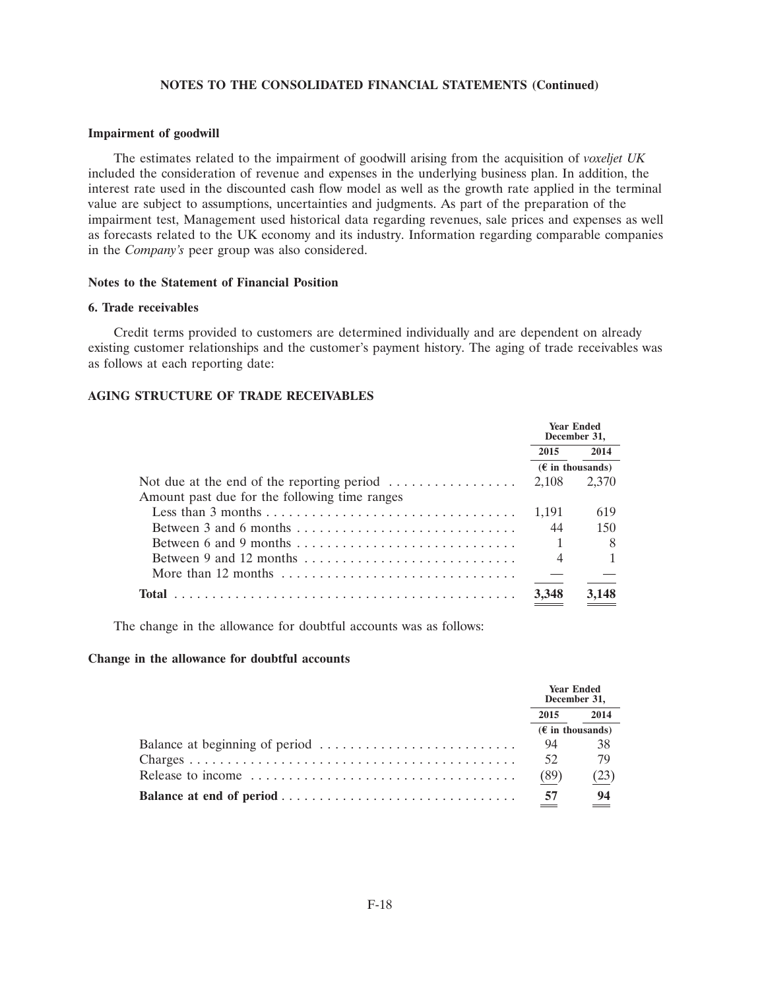#### **Impairment of goodwill**

The estimates related to the impairment of goodwill arising from the acquisition of *voxeljet UK* included the consideration of revenue and expenses in the underlying business plan. In addition, the interest rate used in the discounted cash flow model as well as the growth rate applied in the terminal value are subject to assumptions, uncertainties and judgments. As part of the preparation of the impairment test, Management used historical data regarding revenues, sale prices and expenses as well as forecasts related to the UK economy and its industry. Information regarding comparable companies in the *Company's* peer group was also considered.

## **Notes to the Statement of Financial Position**

## **6. Trade receivables**

Credit terms provided to customers are determined individually and are dependent on already existing customer relationships and the customer's payment history. The aging of trade receivables was as follows at each reporting date:

## **AGING STRUCTURE OF TRADE RECEIVABLES**

|                                                                                       | <b>Year Ended</b><br>December 31, |                           |  |
|---------------------------------------------------------------------------------------|-----------------------------------|---------------------------|--|
|                                                                                       | 2015                              | 2014                      |  |
|                                                                                       |                                   | $(\epsilon$ in thousands) |  |
| Not due at the end of the reporting period $\ldots \ldots \ldots \ldots \ldots$ 2,108 |                                   | 2,370                     |  |
| Amount past due for the following time ranges                                         |                                   |                           |  |
|                                                                                       | 1.191                             | 619                       |  |
|                                                                                       | 44                                | 150                       |  |
|                                                                                       |                                   | 8                         |  |
|                                                                                       |                                   |                           |  |
|                                                                                       |                                   |                           |  |
| Total                                                                                 | 3.348                             |                           |  |

The change in the allowance for doubtful accounts was as follows:

### **Change in the allowance for doubtful accounts**

|                                                                                  | <b>Year Ended</b>         | December 31, |  |
|----------------------------------------------------------------------------------|---------------------------|--------------|--|
|                                                                                  | 2015                      | 2014         |  |
|                                                                                  | $(\epsilon$ in thousands) |              |  |
| Balance at beginning of period $\dots \dots \dots \dots \dots \dots \dots \dots$ | 94                        | -38          |  |
|                                                                                  | - 52                      | 79           |  |
|                                                                                  | (89)                      | (23)         |  |
|                                                                                  | - 57                      | 94           |  |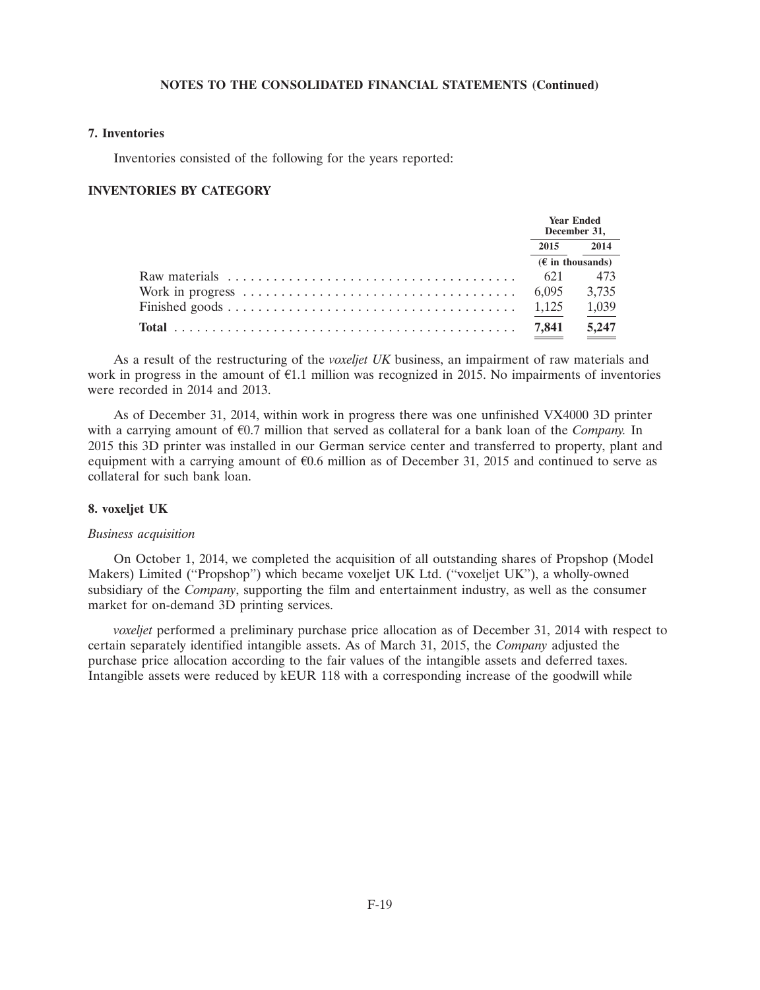## **7. Inventories**

Inventories consisted of the following for the years reported:

## **INVENTORIES BY CATEGORY**

|       | <b>Year Ended</b><br>December 31. |
|-------|-----------------------------------|
| 2015  | 2014                              |
|       | $(\epsilon$ in thousands)         |
|       | 621 473                           |
| 6.095 | 3,735                             |
|       | 1,039                             |
|       | 5,247                             |

As a result of the restructuring of the *voxeljet UK* business, an impairment of raw materials and work in progress in the amount of  $\epsilon$ 1.1 million was recognized in 2015. No impairments of inventories were recorded in 2014 and 2013.

As of December 31, 2014, within work in progress there was one unfinished VX4000 3D printer with a carrying amount of  $E(0.7)$  million that served as collateral for a bank loan of the *Company*. In 2015 this 3D printer was installed in our German service center and transferred to property, plant and equipment with a carrying amount of  $\epsilon 0.6$  million as of December 31, 2015 and continued to serve as collateral for such bank loan.

#### **8. voxeljet UK**

#### *Business acquisition*

On October 1, 2014, we completed the acquisition of all outstanding shares of Propshop (Model Makers) Limited (''Propshop'') which became voxeljet UK Ltd. (''voxeljet UK''), a wholly-owned subsidiary of the *Company*, supporting the film and entertainment industry, as well as the consumer market for on-demand 3D printing services.

*voxeljet* performed a preliminary purchase price allocation as of December 31, 2014 with respect to certain separately identified intangible assets. As of March 31, 2015, the *Company* adjusted the purchase price allocation according to the fair values of the intangible assets and deferred taxes. Intangible assets were reduced by kEUR 118 with a corresponding increase of the goodwill while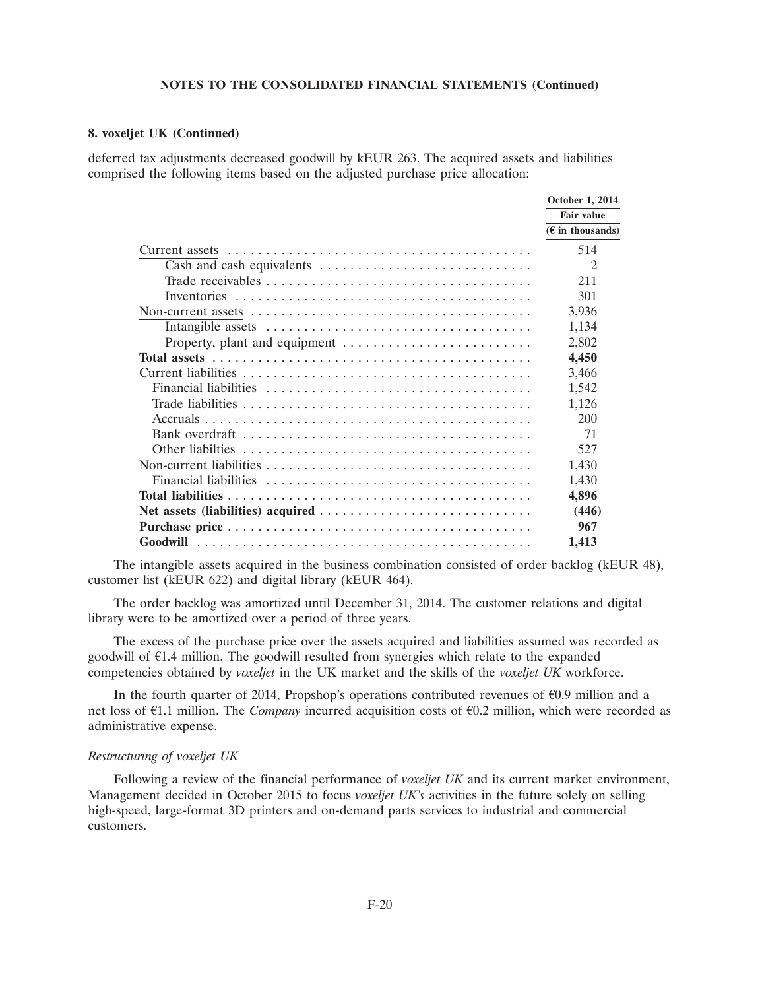## **8. voxeljet UK (Continued)**

deferred tax adjustments decreased goodwill by kEUR 263. The acquired assets and liabilities comprised the following items based on the adjusted purchase price allocation:

|                                                                                                    | October 1, 2014             |
|----------------------------------------------------------------------------------------------------|-----------------------------|
|                                                                                                    | <b>Fair value</b>           |
|                                                                                                    | $(\epsilon$ in thousands)   |
|                                                                                                    | 514                         |
|                                                                                                    | $\mathcal{D}_{\mathcal{L}}$ |
|                                                                                                    | 211                         |
|                                                                                                    | 301                         |
| Non-current assets $\dots \dots \dots \dots \dots \dots \dots \dots \dots \dots \dots \dots \dots$ | 3,936                       |
|                                                                                                    | 1,134                       |
|                                                                                                    | 2,802                       |
|                                                                                                    | 4,450                       |
|                                                                                                    | 3,466                       |
|                                                                                                    | 1,542                       |
|                                                                                                    | 1,126                       |
|                                                                                                    | 200                         |
|                                                                                                    | 71                          |
|                                                                                                    | 527                         |
|                                                                                                    | 1,430                       |
|                                                                                                    | 1,430                       |
|                                                                                                    | 4,896                       |
|                                                                                                    | (446)                       |
|                                                                                                    | 967                         |
|                                                                                                    | 1,413                       |

The intangible assets acquired in the business combination consisted of order backlog (kEUR 48), customer list (kEUR 622) and digital library (kEUR 464).

The order backlog was amortized until December 31, 2014. The customer relations and digital library were to be amortized over a period of three years.

The excess of the purchase price over the assets acquired and liabilities assumed was recorded as goodwill of  $E1.4$  million. The goodwill resulted from synergies which relate to the expanded competencies obtained by *voxeljet* in the UK market and the skills of the *voxeljet UK* workforce.

In the fourth quarter of 2014, Propshop's operations contributed revenues of  $\epsilon$ 0.9 million and a net loss of  $\epsilon$ 1.1 million. The *Company* incurred acquisition costs of  $\epsilon$ 0.2 million, which were recorded as administrative expense.

## *Restructuring of voxeljet UK*

Following a review of the financial performance of *voxeljet UK* and its current market environment, Management decided in October 2015 to focus *voxeljet UK's* activities in the future solely on selling high-speed, large-format 3D printers and on-demand parts services to industrial and commercial customers.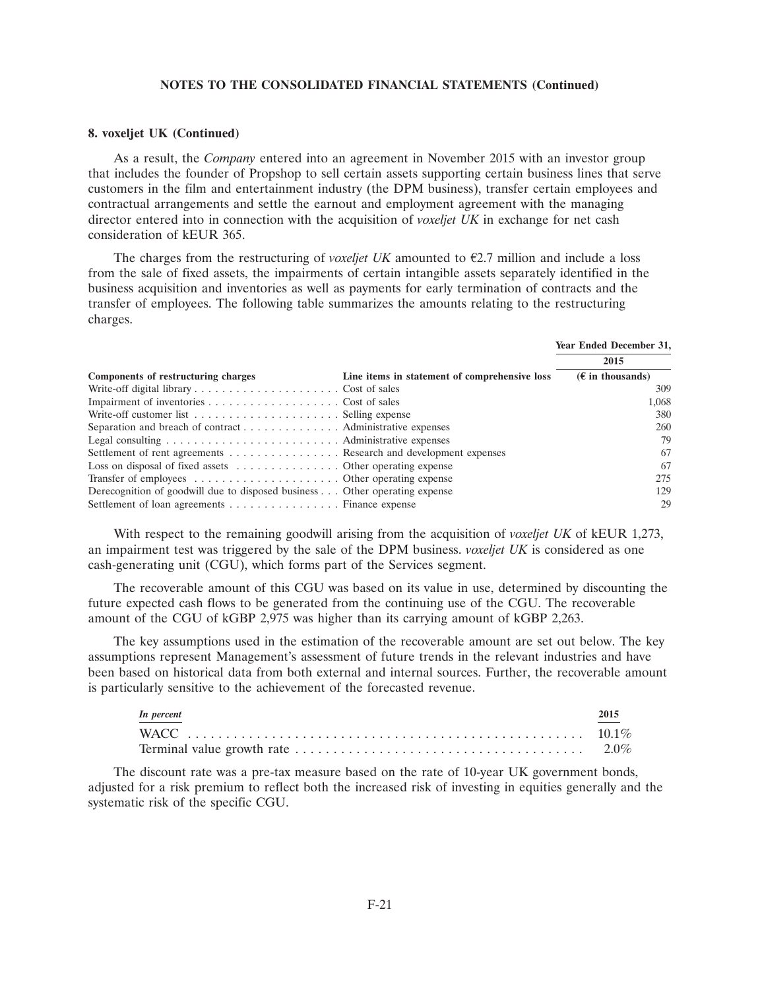#### **8. voxeljet UK (Continued)**

As a result, the *Company* entered into an agreement in November 2015 with an investor group that includes the founder of Propshop to sell certain assets supporting certain business lines that serve customers in the film and entertainment industry (the DPM business), transfer certain employees and contractual arrangements and settle the earnout and employment agreement with the managing director entered into in connection with the acquisition of *voxeljet UK* in exchange for net cash consideration of kEUR 365.

The charges from the restructuring of *voxeliet UK* amounted to  $\epsilon$ 2.7 million and include a loss from the sale of fixed assets, the impairments of certain intangible assets separately identified in the business acquisition and inventories as well as payments for early termination of contracts and the transfer of employees. The following table summarizes the amounts relating to the restructuring charges.

|                                                                                      |                                               | Year Ended December 31,   |
|--------------------------------------------------------------------------------------|-----------------------------------------------|---------------------------|
|                                                                                      |                                               | 2015                      |
| Components of restructuring charges                                                  | Line items in statement of comprehensive loss | $(\epsilon$ in thousands) |
|                                                                                      |                                               | 309                       |
|                                                                                      |                                               | 1.068                     |
|                                                                                      |                                               | 380                       |
| Separation and breach of contract Administrative expenses                            |                                               | 260                       |
|                                                                                      |                                               | 79                        |
| Settlement of rent agreements Research and development expenses                      |                                               | 67                        |
| Loss on disposal of fixed assets $\dots \dots \dots \dots$ . Other operating expense |                                               | 67                        |
|                                                                                      |                                               | 275                       |
| Derecognition of goodwill due to disposed business Other operating expense           |                                               | 129                       |
| Settlement of loan agreements Finance expense                                        |                                               | 29                        |

With respect to the remaining goodwill arising from the acquisition of *voxeliet UK* of kEUR 1,273, an impairment test was triggered by the sale of the DPM business. *voxeljet UK* is considered as one cash-generating unit (CGU), which forms part of the Services segment.

The recoverable amount of this CGU was based on its value in use, determined by discounting the future expected cash flows to be generated from the continuing use of the CGU. The recoverable amount of the CGU of kGBP 2,975 was higher than its carrying amount of kGBP 2,263.

The key assumptions used in the estimation of the recoverable amount are set out below. The key assumptions represent Management's assessment of future trends in the relevant industries and have been based on historical data from both external and internal sources. Further, the recoverable amount is particularly sensitive to the achievement of the forecasted revenue.

| In percent | 2015 |
|------------|------|
|            |      |
|            |      |

The discount rate was a pre-tax measure based on the rate of 10-year UK government bonds, adjusted for a risk premium to reflect both the increased risk of investing in equities generally and the systematic risk of the specific CGU.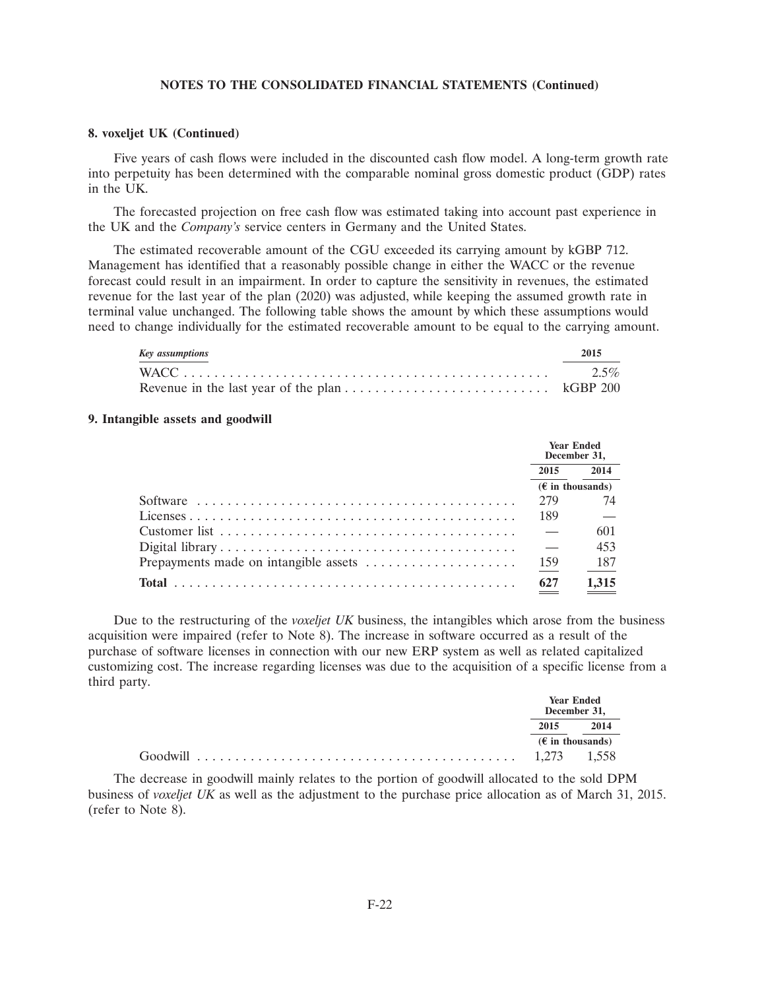#### **8. voxeljet UK (Continued)**

Five years of cash flows were included in the discounted cash flow model. A long-term growth rate into perpetuity has been determined with the comparable nominal gross domestic product (GDP) rates in the UK.

The forecasted projection on free cash flow was estimated taking into account past experience in the UK and the *Company's* service centers in Germany and the United States.

The estimated recoverable amount of the CGU exceeded its carrying amount by kGBP 712. Management has identified that a reasonably possible change in either the WACC or the revenue forecast could result in an impairment. In order to capture the sensitivity in revenues, the estimated revenue for the last year of the plan (2020) was adjusted, while keeping the assumed growth rate in terminal value unchanged. The following table shows the amount by which these assumptions would need to change individually for the estimated recoverable amount to be equal to the carrying amount.

| <b>Key assumptions</b> | 2015 |
|------------------------|------|
|                        |      |
|                        |      |

#### **9. Intangible assets and goodwill**

| <b>Year Ended</b><br>December 31, |                           |
|-----------------------------------|---------------------------|
| 2015                              | 2014                      |
|                                   | $(\epsilon$ in thousands) |
| 279                               | 74                        |
| 189                               |                           |
|                                   | 601                       |
| $\sim$ $-$                        | 453                       |
| 159                               | - 187                     |
| 627                               | 1,315                     |

Due to the restructuring of the *voxeljet UK* business, the intangibles which arose from the business acquisition were impaired (refer to Note 8). The increase in software occurred as a result of the purchase of software licenses in connection with our new ERP system as well as related capitalized customizing cost. The increase regarding licenses was due to the acquisition of a specific license from a third party.

|                           | <b>Year Ended</b><br>December 31, |
|---------------------------|-----------------------------------|
| 2015                      | 2014                              |
| $(\epsilon$ in thousands) |                                   |
|                           |                                   |

The decrease in goodwill mainly relates to the portion of goodwill allocated to the sold DPM business of *voxeljet UK* as well as the adjustment to the purchase price allocation as of March 31, 2015. (refer to Note 8).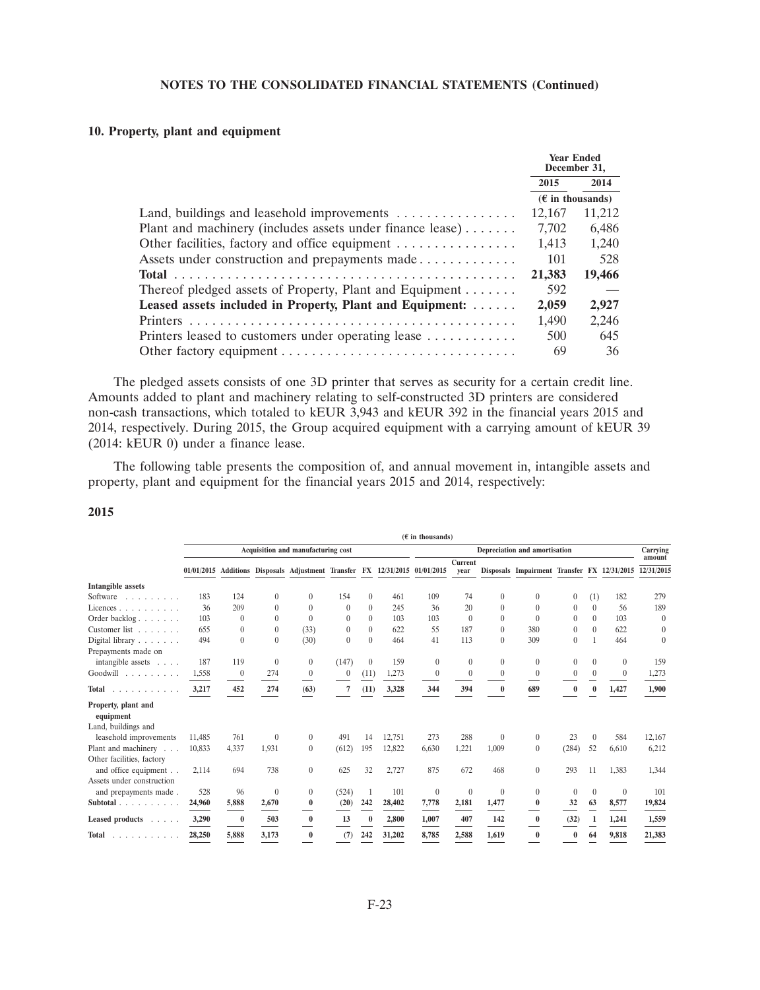## **10. Property, plant and equipment**

|                                                           |        | <b>Year Ended</b><br>December 31, |
|-----------------------------------------------------------|--------|-----------------------------------|
|                                                           | 2015   | 2014                              |
|                                                           |        | $(\epsilon$ in thousands)         |
| Land, buildings and leasehold improvements                | 12,167 | 11,212                            |
| Plant and machinery (includes assets under finance lease) | 7.702  | 6.486                             |
| Other facilities, factory and office equipment            | 1,413  | 1,240                             |
| Assets under construction and prepayments made            | 101    | 528                               |
|                                                           | 21,383 | 19,466                            |
| Thereof pledged assets of Property, Plant and Equipment   | 592    |                                   |
| Leased assets included in Property, Plant and Equipment:  | 2,059  | 2,927                             |
|                                                           | 1.490  | 2,246                             |
| Printers leased to customers under operating lease        | 500    | 645                               |
|                                                           | 69     | 36                                |

The pledged assets consists of one 3D printer that serves as security for a certain credit line. Amounts added to plant and machinery relating to self-constructed 3D printers are considered non-cash transactions, which totaled to kEUR 3,943 and kEUR 392 in the financial years 2015 and 2014, respectively. During 2015, the Group acquired equipment with a carrying amount of kEUR 39 (2014: kEUR 0) under a finance lease.

The following table presents the composition of, and annual movement in, intangible assets and property, plant and equipment for the financial years 2015 and 2014, respectively:

## **2015**

|                                              | $(\epsilon$ in thousands)          |          |              |                                            |              |              |        |                               |                 |          |                                             |              |          |                    |            |
|----------------------------------------------|------------------------------------|----------|--------------|--------------------------------------------|--------------|--------------|--------|-------------------------------|-----------------|----------|---------------------------------------------|--------------|----------|--------------------|------------|
|                                              | Acquisition and manufacturing cost |          |              |                                            |              |              |        | Depreciation and amortisation |                 |          |                                             |              |          | Carrying<br>amount |            |
|                                              | 01/01/2015                         |          |              | Additions Disposals Adjustment Transfer FX |              |              |        | 12/31/2015 01/01/2015         | Current<br>vear |          | Disposals Impairment Transfer FX 12/31/2015 |              |          |                    | 12/31/2015 |
| Intangible assets                            |                                    |          |              |                                            |              |              |        |                               |                 |          |                                             |              |          |                    |            |
| Software<br>and a straight and               | 183                                | 124      | $\mathbf{0}$ | $\theta$                                   | 154          | $\theta$     | 461    | 109                           | 74              | $\theta$ | $\theta$                                    | $\theta$     | (1)      | 182                | 279        |
| Licences                                     | 36                                 | 209      | $\theta$     | $\theta$                                   | $\mathbf{0}$ | $\mathbf{0}$ | 245    | 36                            | 20              | $\theta$ | $\theta$                                    | $\theta$     | $\Omega$ | 56                 | 189        |
| Order backlog                                | 103                                | $\Omega$ | $\mathbf{0}$ | $\theta$                                   | $\Omega$     | $\mathbf{0}$ | 103    | 103                           | $\theta$        | $\theta$ | $\theta$                                    | $\Omega$     | $\theta$ | 103                | $\theta$   |
| Customer list                                | 655                                | $\Omega$ | $\mathbf{0}$ | (33)                                       | $\mathbf{0}$ | $\theta$     | 622    | 55                            | 187             | $\theta$ | 380                                         | $\theta$     | $\theta$ | 622                | $\Omega$   |
| Digital library $\ldots$ $\ldots$ .          | 494                                | $\Omega$ | $\mathbf{0}$ | (30)                                       | $\theta$     | $\Omega$     | 464    | 41                            | 113             | $\theta$ | 309                                         | $\theta$     |          | 464                | $\theta$   |
| Prepayments made on                          |                                    |          |              |                                            |              |              |        |                               |                 |          |                                             |              |          |                    |            |
| intangible assets                            | 187                                | 119      | $\theta$     | $\boldsymbol{0}$                           | (147)        | $\mathbf{0}$ | 159    | $\mathbf{0}$                  | $\theta$        | $\theta$ | $\theta$                                    | $\theta$     | $\Omega$ | $\theta$           | 159        |
| Goodwill                                     | 1,558                              | $\theta$ | 274          | $\boldsymbol{0}$                           | $\theta$     | (11)         | 1,273  | $\bf{0}$                      | 0               | $\theta$ | $\mathbf{0}$                                | $\theta$     | $\Omega$ | $\mathbf{0}$       | 1,273      |
| Total<br>.                                   | 3,217                              | 452      | 274          | (63)                                       |              | (11)         | 3,328  | 344                           | 394             | $\bf{0}$ | 689                                         | $\mathbf{0}$ | $\bf{0}$ | 1,427              | 1,900      |
| Property, plant and                          |                                    |          |              |                                            |              |              |        |                               |                 |          |                                             |              |          |                    |            |
| equipment                                    |                                    |          |              |                                            |              |              |        |                               |                 |          |                                             |              |          |                    |            |
| Land, buildings and                          |                                    |          |              |                                            |              |              |        |                               |                 |          |                                             |              |          |                    |            |
| leasehold improvements                       | 11,485                             | 761      | $\theta$     | $\theta$                                   | 491          | 14           | 12,751 | 273                           | 288             | $\theta$ | $\theta$                                    | 23           | $\theta$ | 584                | 12,167     |
| Plant and machinery                          | 10.833                             | 4,337    | 1,931        | $\theta$                                   | (612)        | 195          | 12,822 | 6,630                         | 1,221           | 1,009    | $\theta$                                    | (284)        | 52       | 6,610              | 6,212      |
| Other facilities, factory                    |                                    |          |              |                                            |              |              |        |                               |                 |          |                                             |              |          |                    |            |
| and office equipment                         | 2,114                              | 694      | 738          | $\overline{0}$                             | 625          | 32           | 2,727  | 875                           | 672             | 468      | $\theta$                                    | 293          | 11       | 1,383              | 1,344      |
| Assets under construction                    |                                    |          |              |                                            |              |              |        |                               |                 |          |                                             |              |          |                    |            |
| and prepayments made.                        | 528                                | 96       | $\theta$     | $\theta$                                   | (524)        |              | 101    | $\theta$                      | $\theta$        | $\Omega$ | $\theta$                                    | $\theta$     | $\Omega$ | $\Omega$           | 101        |
| Subtotal $\ldots$ $\ldots$ $\ldots$ $\ldots$ | 24,960                             | 5,888    | 2,670        | $\boldsymbol{0}$                           | (20)         | 242          | 28,402 | 7,778                         | 2,181           | 1,477    | $\bf{0}$                                    | 32           | 63       | 8,577              | 19,824     |
| Leased products                              | 3,290                              | $\bf{0}$ | 503          | $\bf{0}$                                   | 13           | $\bf{0}$     | 2,800  | 1,007                         | 407             | 142      | $\bf{0}$                                    | (32)         |          | 1,241              | 1,559      |
| Total<br>.                                   | 28,250                             | 5,888    | 3,173        | $\bf{0}$                                   | (7)          | 242          | 31,202 | 8,785                         | 2,588           | 1,619    | $\bf{0}$                                    | $\bf{0}$     | 64       | 9,818              | 21,383     |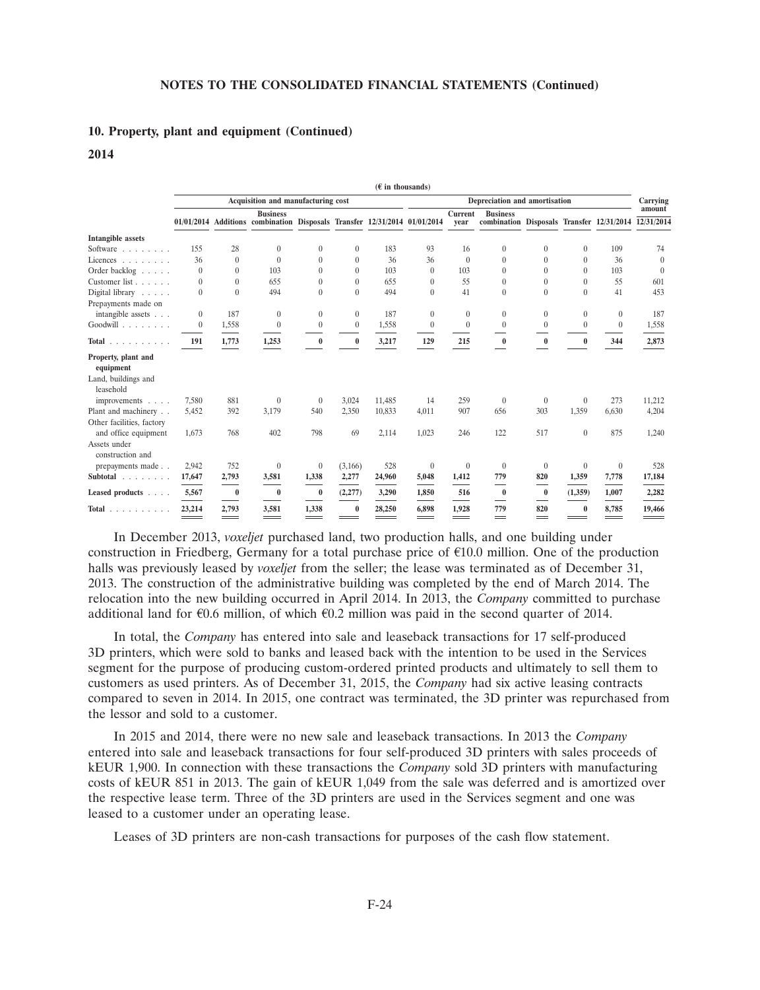## **10. Property, plant and equipment (Continued)**

## **2014**

|                                  | $(E$ in thousands) |          |                                                                                              |          |                  |        |                               |                 |                                                              |          |              |          |                      |
|----------------------------------|--------------------|----------|----------------------------------------------------------------------------------------------|----------|------------------|--------|-------------------------------|-----------------|--------------------------------------------------------------|----------|--------------|----------|----------------------|
|                                  |                    |          | Acquisition and manufacturing cost                                                           |          |                  |        | Depreciation and amortisation |                 |                                                              |          |              | Carrying |                      |
|                                  |                    |          | <b>Business</b><br>01/01/2014 Additions combination Disposals Transfer 12/31/2014 01/01/2014 |          |                  |        |                               | Current<br>year | <b>Business</b><br>combination Disposals Transfer 12/31/2014 |          |              |          | amount<br>12/31/2014 |
| Intangible assets                |                    |          |                                                                                              |          |                  |        |                               |                 |                                                              |          |              |          |                      |
| Software                         | 155                | 28       | $\boldsymbol{0}$                                                                             | $\Omega$ | $\mathbf{0}$     | 183    | 93                            | 16              | $\mathbf{0}$                                                 | $\theta$ | $\Omega$     | 109      | 74                   |
| Licences $\ldots$                | 36                 | $\theta$ | $\theta$                                                                                     |          | $\mathbf{0}$     | 36     | 36                            | $\mathbf{0}$    | $\theta$                                                     | $\theta$ | $\theta$     | 36       | $\theta$             |
| Order backlog                    | $\theta$           | $\theta$ | 103                                                                                          | $\theta$ | $\mathbf{0}$     | 103    | $\theta$                      | 103             | $\theta$                                                     | $\Omega$ | $\theta$     | 103      | $\theta$             |
| Customer list                    | $\theta$           | $\theta$ | 655                                                                                          | $\theta$ | $\theta$         | 655    | $\theta$                      | 55              | $\theta$                                                     | $\theta$ | $\theta$     | 55       | 601                  |
| Digital library                  | $\mathbf{0}$       | $\theta$ | 494                                                                                          | $\theta$ | $\mathbf{0}$     | 494    | $\overline{0}$                | 41              | $\theta$                                                     | $\theta$ | $\theta$     | 41       | 453                  |
| Prepayments made on              |                    |          |                                                                                              |          |                  |        |                               |                 |                                                              |          |              |          |                      |
| intangible assets                | $\theta$           | 187      | $\boldsymbol{0}$                                                                             | $\theta$ | $\boldsymbol{0}$ | 187    | $\theta$                      | $\theta$        | $\theta$                                                     | $\theta$ | $\theta$     | $\theta$ | 187                  |
| Goodwill                         | $\theta$           | 1,558    | $\theta$                                                                                     | $\theta$ | $\theta$         | 1,558  | $\boldsymbol{0}$              | $\theta$        | $\theta$                                                     | $\theta$ | $\theta$     | $\theta$ | 1,558                |
| Total $\ldots$                   | 191                | 1,773    | 1,253                                                                                        | $\bf{0}$ | $\bf{0}$         | 3,217  | 129                           | 215             | $\bf{0}$                                                     | $\bf{0}$ | $\bf{0}$     | 344      | 2,873                |
| Property, plant and<br>equipment |                    |          |                                                                                              |          |                  |        |                               |                 |                                                              |          |              |          |                      |
| Land, buildings and<br>leasehold |                    |          |                                                                                              |          |                  |        |                               |                 |                                                              |          |              |          |                      |
| improvements                     | 7,580              | 881      | $\theta$                                                                                     | $\theta$ | 3,024            | 11,485 | 14                            | 259             | $\theta$                                                     | $\theta$ | $\mathbf{0}$ | 273      | 11,212               |
| Plant and machinery              | 5,452              | 392      | 3,179                                                                                        | 540      | 2,350            | 10,833 | 4,011                         | 907             | 656                                                          | 303      | 1,359        | 6,630    | 4,204                |
| Other facilities, factory        |                    |          |                                                                                              |          |                  |        |                               |                 |                                                              |          |              |          |                      |
| and office equipment             | 1,673              | 768      | 402                                                                                          | 798      | 69               | 2,114  | 1,023                         | 246             | 122                                                          | 517      | $\mathbf{0}$ | 875      | 1,240                |
| Assets under<br>construction and |                    |          |                                                                                              |          |                  |        |                               |                 |                                                              |          |              |          |                      |
| prepayments made                 | 2,942              | 752      | $\theta$                                                                                     | $\theta$ | (3,166)          | 528    | $\theta$                      | $\Omega$        | $\theta$                                                     | $\theta$ | $\Omega$     | $\theta$ | 528                  |
| Subtotal                         | 17,647             | 2,793    | 3,581                                                                                        | 1,338    | 2,277            | 24,960 | 5,048                         | 1,412           | 779                                                          | 820      | 1,359        | 7,778    | 17,184               |
| Leased products                  | 5,567              | $\bf{0}$ | $\bf{0}$                                                                                     | $\bf{0}$ | (2,277)          | 3,290  | 1,850                         | 516             | $\bf{0}$                                                     | $\bf{0}$ | (1,359)      | 1,007    | 2,282                |
| Total $\ldots$                   | 23,214             | 2,793    | 3,581                                                                                        | 1,338    | 0                | 28,250 | 6,898                         | 1,928           | 779                                                          | 820      | $\bf{0}$     | 8,785    | 19,466               |
|                                  |                    | $=$      | $=$                                                                                          | $=$      |                  |        | $=$                           | $=$             | $=$                                                          | $=$      |              | $=$      | $\sim$               |

In December 2013, *voxeljet* purchased land, two production halls, and one building under construction in Friedberg, Germany for a total purchase price of  $E10.0$  million. One of the production halls was previously leased by *voxeljet* from the seller; the lease was terminated as of December 31, 2013. The construction of the administrative building was completed by the end of March 2014. The relocation into the new building occurred in April 2014. In 2013, the *Company* committed to purchase additional land for  $\epsilon$ 0.6 million, of which  $\epsilon$ 0.2 million was paid in the second quarter of 2014.

In total, the *Company* has entered into sale and leaseback transactions for 17 self-produced 3D printers, which were sold to banks and leased back with the intention to be used in the Services segment for the purpose of producing custom-ordered printed products and ultimately to sell them to customers as used printers. As of December 31, 2015, the *Company* had six active leasing contracts compared to seven in 2014. In 2015, one contract was terminated, the 3D printer was repurchased from the lessor and sold to a customer.

In 2015 and 2014, there were no new sale and leaseback transactions. In 2013 the *Company* entered into sale and leaseback transactions for four self-produced 3D printers with sales proceeds of kEUR 1,900. In connection with these transactions the *Company* sold 3D printers with manufacturing costs of kEUR 851 in 2013. The gain of kEUR 1,049 from the sale was deferred and is amortized over the respective lease term. Three of the 3D printers are used in the Services segment and one was leased to a customer under an operating lease.

Leases of 3D printers are non-cash transactions for purposes of the cash flow statement.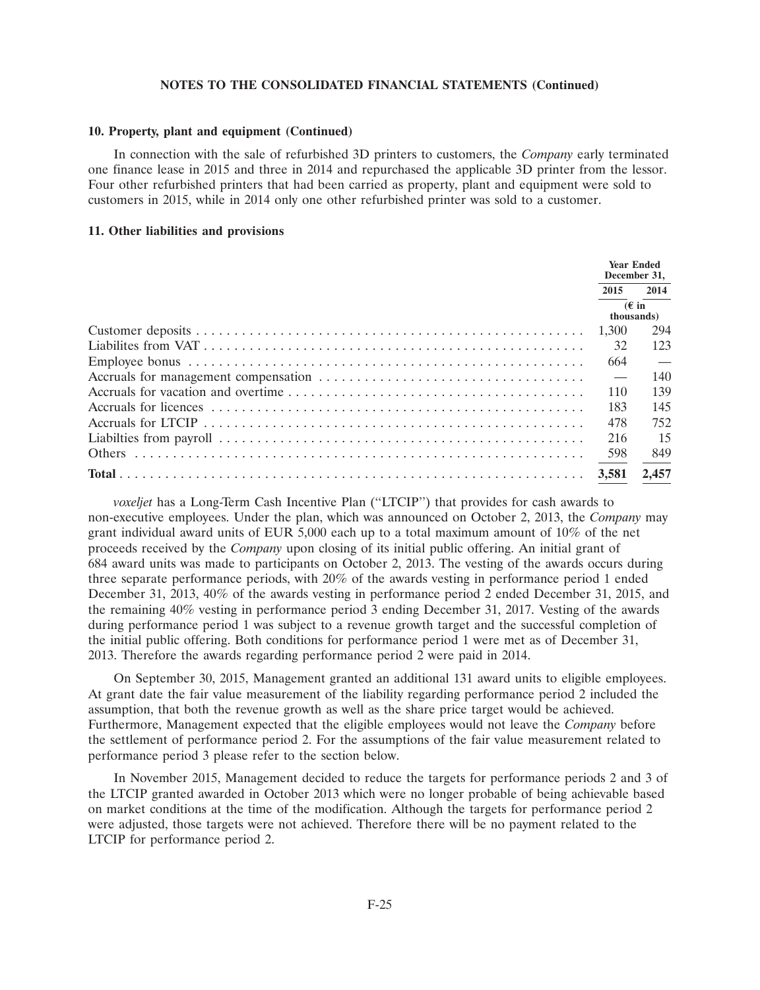#### **10. Property, plant and equipment (Continued)**

In connection with the sale of refurbished 3D printers to customers, the *Company* early terminated one finance lease in 2015 and three in 2014 and repurchased the applicable 3D printer from the lessor. Four other refurbished printers that had been carried as property, plant and equipment were sold to customers in 2015, while in 2014 only one other refurbished printer was sold to a customer.

## **11. Other liabilities and provisions**

| <b>Year Ended</b><br>December 31. |                          |
|-----------------------------------|--------------------------|
| 2015                              | 2014                     |
| $(\epsilon$ in<br>(thousands)     |                          |
| 1.300                             | 294                      |
| 32                                | 123                      |
| 664                               | $\overline{\phantom{m}}$ |
| $\overline{\phantom{0}}$          | 140                      |
| 110                               | 139                      |
| 183                               | 145                      |
| 478                               | 752                      |
| 216                               | -15                      |
| 598                               | 849                      |
|                                   | 2.457                    |

*voxeljet* has a Long-Term Cash Incentive Plan (''LTCIP'') that provides for cash awards to non-executive employees. Under the plan, which was announced on October 2, 2013, the *Company* may grant individual award units of EUR 5,000 each up to a total maximum amount of  $10\%$  of the net proceeds received by the *Company* upon closing of its initial public offering. An initial grant of 684 award units was made to participants on October 2, 2013. The vesting of the awards occurs during three separate performance periods, with 20% of the awards vesting in performance period 1 ended December 31, 2013, 40% of the awards vesting in performance period 2 ended December 31, 2015, and the remaining 40% vesting in performance period 3 ending December 31, 2017. Vesting of the awards during performance period 1 was subject to a revenue growth target and the successful completion of the initial public offering. Both conditions for performance period 1 were met as of December 31, 2013. Therefore the awards regarding performance period 2 were paid in 2014.

On September 30, 2015, Management granted an additional 131 award units to eligible employees. At grant date the fair value measurement of the liability regarding performance period 2 included the assumption, that both the revenue growth as well as the share price target would be achieved. Furthermore, Management expected that the eligible employees would not leave the *Company* before the settlement of performance period 2. For the assumptions of the fair value measurement related to performance period 3 please refer to the section below.

In November 2015, Management decided to reduce the targets for performance periods 2 and 3 of the LTCIP granted awarded in October 2013 which were no longer probable of being achievable based on market conditions at the time of the modification. Although the targets for performance period 2 were adjusted, those targets were not achieved. Therefore there will be no payment related to the LTCIP for performance period 2.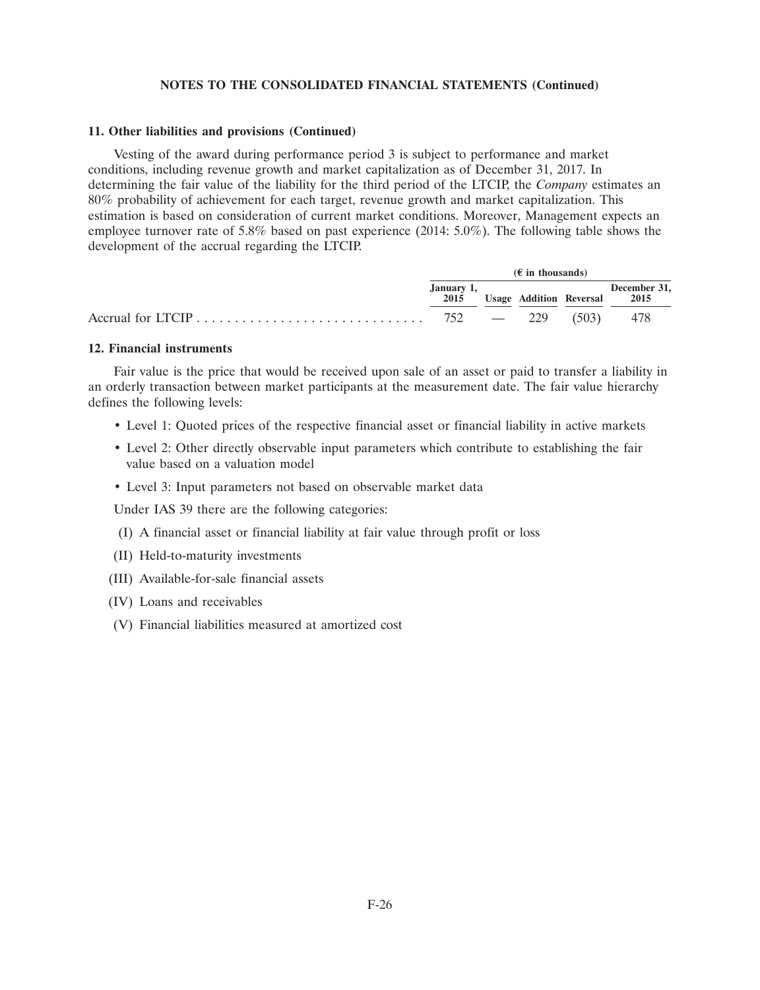## **11. Other liabilities and provisions (Continued)**

Vesting of the award during performance period 3 is subject to performance and market conditions, including revenue growth and market capitalization as of December 31, 2017. In determining the fair value of the liability for the third period of the LTCIP, the *Company* estimates an 80% probability of achievement for each target, revenue growth and market capitalization. This estimation is based on consideration of current market conditions. Moreover, Management expects an employee turnover rate of 5.8% based on past experience (2014: 5.0%). The following table shows the development of the accrual regarding the LTCIP.

|  | $(\epsilon$ in thousands) |                                                                 |
|--|---------------------------|-----------------------------------------------------------------|
|  |                           | December 31,<br>January 1,<br>2015 Usage Addition Reversal 2015 |
|  |                           |                                                                 |

## **12. Financial instruments**

Fair value is the price that would be received upon sale of an asset or paid to transfer a liability in an orderly transaction between market participants at the measurement date. The fair value hierarchy defines the following levels:

- Level 1: Quoted prices of the respective financial asset or financial liability in active markets
- Level 2: Other directly observable input parameters which contribute to establishing the fair value based on a valuation model
- Level 3: Input parameters not based on observable market data

Under IAS 39 there are the following categories:

- (I) A financial asset or financial liability at fair value through profit or loss
- (II) Held-to-maturity investments
- (III) Available-for-sale financial assets
- (IV) Loans and receivables
- (V) Financial liabilities measured at amortized cost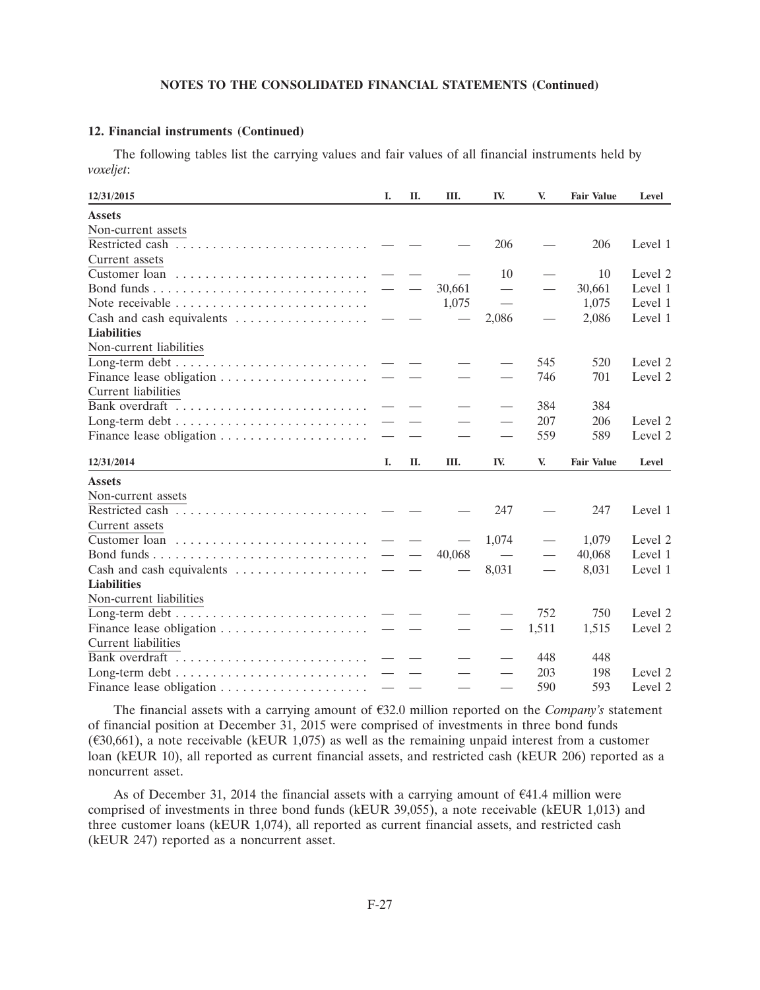## **12. Financial instruments (Continued)**

The following tables list the carrying values and fair values of all financial instruments held by *voxeljet*:

| 12/31/2015                                                             | I.                              | П.                | Ш.     | IV.                      | V.    | <b>Fair Value</b> | Level   |
|------------------------------------------------------------------------|---------------------------------|-------------------|--------|--------------------------|-------|-------------------|---------|
| <b>Assets</b>                                                          |                                 |                   |        |                          |       |                   |         |
| Non-current assets                                                     |                                 |                   |        |                          |       |                   |         |
|                                                                        |                                 |                   |        | 206                      |       | 206               | Level 1 |
| Current assets                                                         |                                 |                   |        |                          |       |                   |         |
|                                                                        |                                 |                   |        | 10                       |       | 10                | Level 2 |
|                                                                        |                                 |                   | 30,661 | $\qquad \qquad$          |       | 30,661            | Level 1 |
|                                                                        |                                 |                   | 1,075  | $\overline{\phantom{m}}$ |       | 1,075             | Level 1 |
| Cash and cash equivalents                                              |                                 |                   |        | 2,086                    |       | 2,086             | Level 1 |
| <b>Liabilities</b>                                                     |                                 |                   |        |                          |       |                   |         |
| Non-current liabilities                                                |                                 |                   |        |                          |       |                   |         |
|                                                                        |                                 |                   |        |                          | 545   | 520               | Level 2 |
|                                                                        |                                 |                   |        |                          | 746   | 701               | Level 2 |
| <b>Current</b> liabilities                                             |                                 |                   |        |                          |       |                   |         |
| Bank overdraft                                                         |                                 |                   |        |                          | 384   | 384               |         |
| Long-term debt $\dots \dots \dots \dots \dots \dots \dots \dots \dots$ | $\overline{\phantom{0}}$        | $\hspace{0.05cm}$ |        | $\qquad \qquad$          | 207   | 206               | Level 2 |
|                                                                        |                                 |                   |        |                          | 559   | 589               | Level 2 |
| 12/31/2014                                                             | L.                              | II.               | III.   | IV.                      | V.    | <b>Fair Value</b> | Level   |
| <b>Assets</b>                                                          |                                 |                   |        |                          |       |                   |         |
| Non-current assets                                                     |                                 |                   |        |                          |       |                   |         |
|                                                                        |                                 |                   |        | 247                      |       | 247               | Level 1 |
| Current assets                                                         |                                 |                   |        |                          |       |                   |         |
|                                                                        |                                 |                   |        | 1,074                    |       | 1,079             | Level 2 |
|                                                                        |                                 |                   | 40,068 |                          |       | 40,068            | Level 1 |
| Cash and cash equivalents $\dots \dots \dots \dots \dots$              | $\hspace{0.1mm}-\hspace{0.1mm}$ |                   |        | 8,031                    |       | 8,031             | Level 1 |
| <b>Liabilities</b>                                                     |                                 |                   |        |                          |       |                   |         |
| Non-current liabilities                                                |                                 |                   |        |                          |       |                   |         |
|                                                                        |                                 |                   |        |                          | 752   | 750               | Level 2 |
|                                                                        |                                 |                   |        |                          | 1,511 | 1,515             | Level 2 |
| <b>Current</b> liabilities                                             |                                 |                   |        |                          |       |                   |         |
|                                                                        | $\hspace{0.1mm}-\hspace{0.1mm}$ |                   |        |                          | 448   | 448               |         |
|                                                                        |                                 |                   |        |                          |       |                   |         |
| Long-term debt $\dots \dots \dots \dots \dots \dots \dots \dots \dots$ |                                 |                   |        |                          | 203   | 198               | Level 2 |

The financial assets with a carrying amount of  $E32.0$  million reported on the *Company's* statement of financial position at December 31, 2015 were comprised of investments in three bond funds ( $630,661$ ), a note receivable (kEUR 1,075) as well as the remaining unpaid interest from a customer loan (kEUR 10), all reported as current financial assets, and restricted cash (kEUR 206) reported as a noncurrent asset.

As of December 31, 2014 the financial assets with a carrying amount of  $\epsilon$ 41.4 million were comprised of investments in three bond funds (kEUR 39,055), a note receivable (kEUR 1,013) and three customer loans (kEUR 1,074), all reported as current financial assets, and restricted cash (kEUR 247) reported as a noncurrent asset.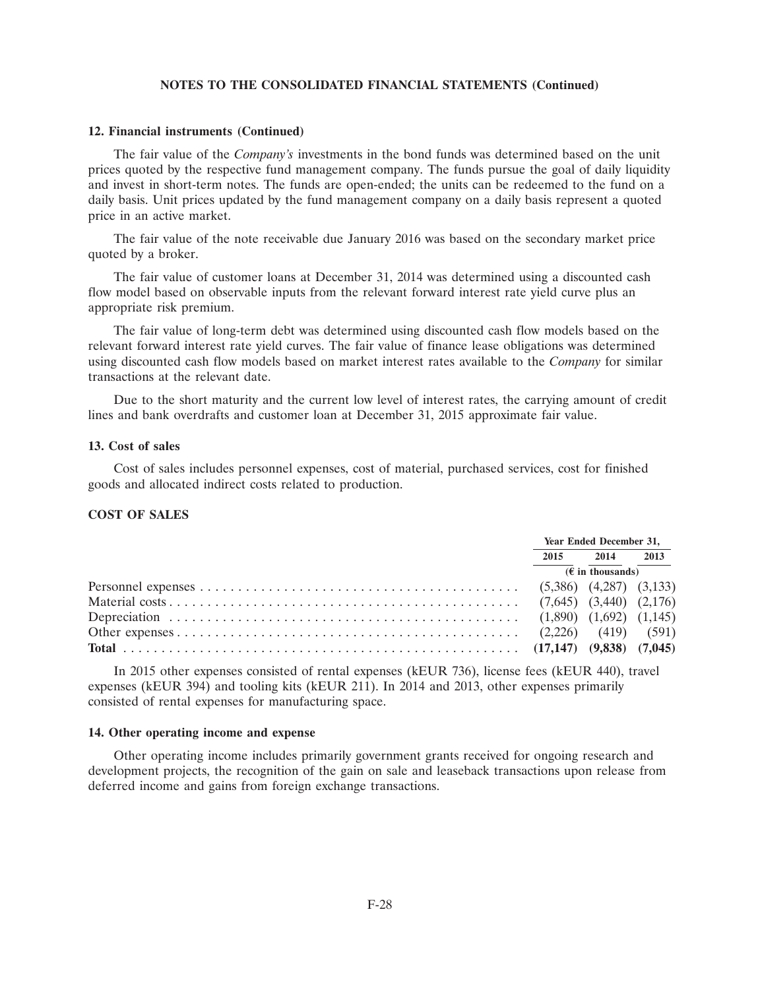#### **12. Financial instruments (Continued)**

The fair value of the *Company's* investments in the bond funds was determined based on the unit prices quoted by the respective fund management company. The funds pursue the goal of daily liquidity and invest in short-term notes. The funds are open-ended; the units can be redeemed to the fund on a daily basis. Unit prices updated by the fund management company on a daily basis represent a quoted price in an active market.

The fair value of the note receivable due January 2016 was based on the secondary market price quoted by a broker.

The fair value of customer loans at December 31, 2014 was determined using a discounted cash flow model based on observable inputs from the relevant forward interest rate yield curve plus an appropriate risk premium.

The fair value of long-term debt was determined using discounted cash flow models based on the relevant forward interest rate yield curves. The fair value of finance lease obligations was determined using discounted cash flow models based on market interest rates available to the *Company* for similar transactions at the relevant date.

Due to the short maturity and the current low level of interest rates, the carrying amount of credit lines and bank overdrafts and customer loan at December 31, 2015 approximate fair value.

#### **13. Cost of sales**

Cost of sales includes personnel expenses, cost of material, purchased services, cost for finished goods and allocated indirect costs related to production.

## **COST OF SALES**

| Year Ended December 31, |                           |  |
|-------------------------|---------------------------|--|
|                         | 2015 2014 2013            |  |
|                         | $(\epsilon$ in thousands) |  |
|                         |                           |  |
|                         |                           |  |
|                         |                           |  |
|                         |                           |  |
|                         |                           |  |

In 2015 other expenses consisted of rental expenses (kEUR 736), license fees (kEUR 440), travel expenses (kEUR 394) and tooling kits (kEUR 211). In 2014 and 2013, other expenses primarily consisted of rental expenses for manufacturing space.

#### **14. Other operating income and expense**

Other operating income includes primarily government grants received for ongoing research and development projects, the recognition of the gain on sale and leaseback transactions upon release from deferred income and gains from foreign exchange transactions.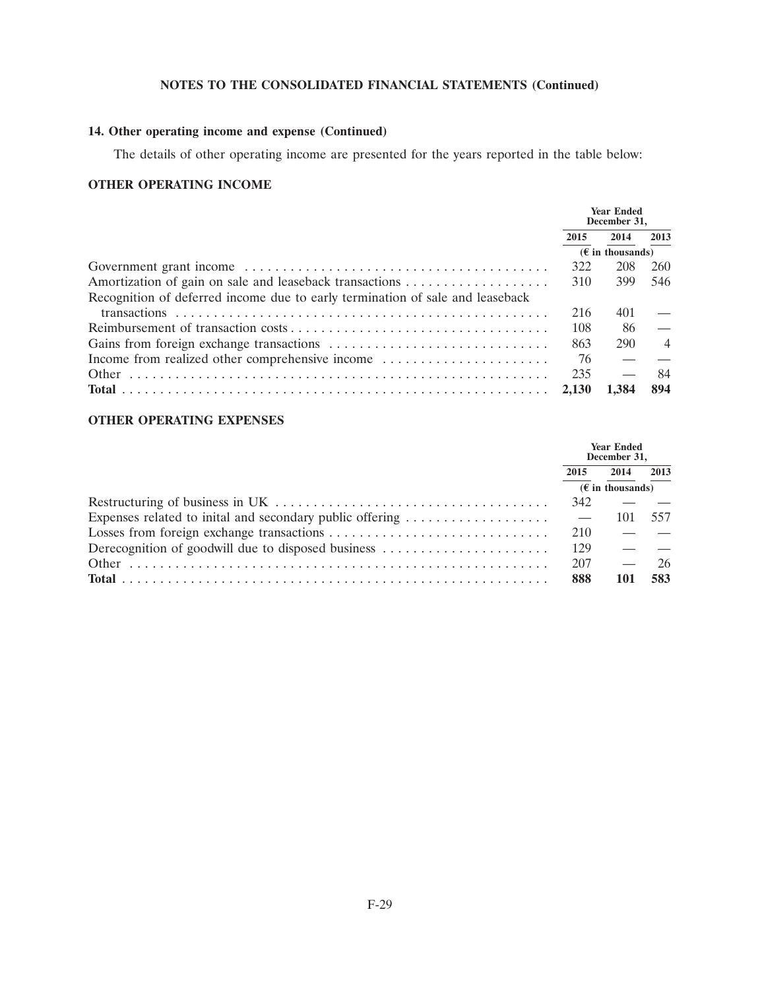## **14. Other operating income and expense (Continued)**

The details of other operating income are presented for the years reported in the table below:

## **OTHER OPERATING INCOME**

|                                                                               | <b>Year Ended</b><br>December 31. |                           |                |
|-------------------------------------------------------------------------------|-----------------------------------|---------------------------|----------------|
|                                                                               | 2015                              | 2014                      | 2013           |
|                                                                               |                                   | $(\epsilon$ in thousands) |                |
|                                                                               | 322                               | 208                       | 260            |
|                                                                               | 310                               | 399                       | 546            |
| Recognition of deferred income due to early termination of sale and leaseback |                                   |                           |                |
|                                                                               | 216                               | 401                       | $\frac{1}{2}$  |
|                                                                               | 108                               | 86                        | $\frac{1}{1}$  |
|                                                                               | 863                               | 290                       | $\overline{4}$ |
|                                                                               | 76                                |                           |                |
|                                                                               | 235                               |                           | 84             |
| Total                                                                         | 2.130                             |                           | 894            |

## **OTHER OPERATING EXPENSES**

|                                                                                                 |              | <b>Year Ended</b><br>December 31, |      |
|-------------------------------------------------------------------------------------------------|--------------|-----------------------------------|------|
|                                                                                                 | 2015<br>2014 |                                   | 2013 |
|                                                                                                 |              | $(\epsilon$ in thousands)         |      |
|                                                                                                 | 342          |                                   |      |
| Expenses related to initial and secondary public offering $\dots \dots \dots \dots \dots \dots$ |              | -101                              | 557  |
|                                                                                                 |              |                                   |      |
| Derecognition of goodwill due to disposed business                                              | 129          |                                   |      |
|                                                                                                 | 207          |                                   | 26   |
|                                                                                                 | 888          | 101                               | 583  |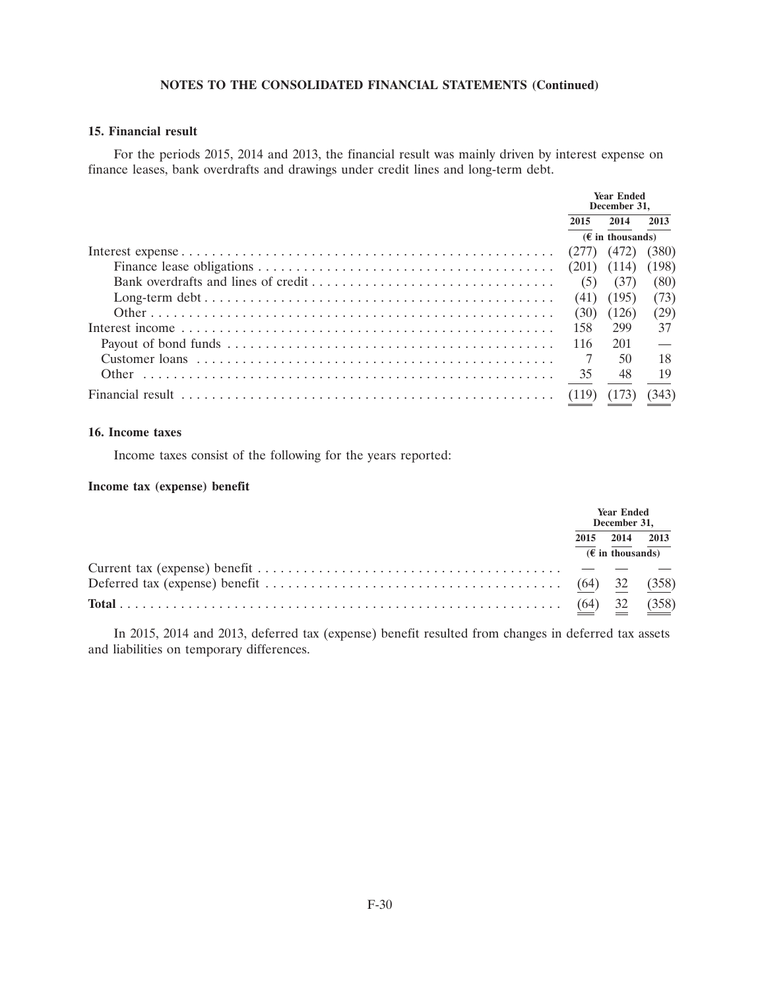## **15. Financial result**

For the periods 2015, 2014 and 2013, the financial result was mainly driven by interest expense on finance leases, bank overdrafts and drawings under credit lines and long-term debt.

|                                                                                                                        | <b>Year Ended</b><br>December 31. |                           |       |
|------------------------------------------------------------------------------------------------------------------------|-----------------------------------|---------------------------|-------|
|                                                                                                                        | 2015                              | 2014                      | 2013  |
|                                                                                                                        |                                   | $(\epsilon$ in thousands) |       |
|                                                                                                                        | (277)                             | (472)                     | (380) |
|                                                                                                                        |                                   |                           |       |
|                                                                                                                        | (5)                               | (37)                      | (80)  |
| $Long-term debt \dots \dots \dots \dots \dots \dots \dots \dots \dots \dots \dots \dots \dots \dots \dots \dots \dots$ | (41)                              | (195)                     | (73)  |
|                                                                                                                        | (30)                              | (126)                     | (29)  |
|                                                                                                                        | 158                               | 299                       | 37    |
|                                                                                                                        |                                   | 116 201                   |       |
|                                                                                                                        | $7\phantom{0000}$                 | 50                        | 18    |
|                                                                                                                        | 35                                | 48                        | -19   |
|                                                                                                                        | (119)                             |                           | (343) |

## **16. Income taxes**

Income taxes consist of the following for the years reported:

## **Income tax (expense) benefit**

|                                                                                                                        | <b>Year Ended</b><br>December 31, |                           |
|------------------------------------------------------------------------------------------------------------------------|-----------------------------------|---------------------------|
|                                                                                                                        | 2015 2014 2013                    |                           |
|                                                                                                                        |                                   | $(\epsilon$ in thousands) |
|                                                                                                                        |                                   |                           |
| Deferred tax (expense) benefit $\dots \dots \dots \dots \dots \dots \dots \dots \dots \dots \dots \dots$ (64) 32 (358) |                                   |                           |
|                                                                                                                        |                                   | (358)                     |

In 2015, 2014 and 2013, deferred tax (expense) benefit resulted from changes in deferred tax assets and liabilities on temporary differences.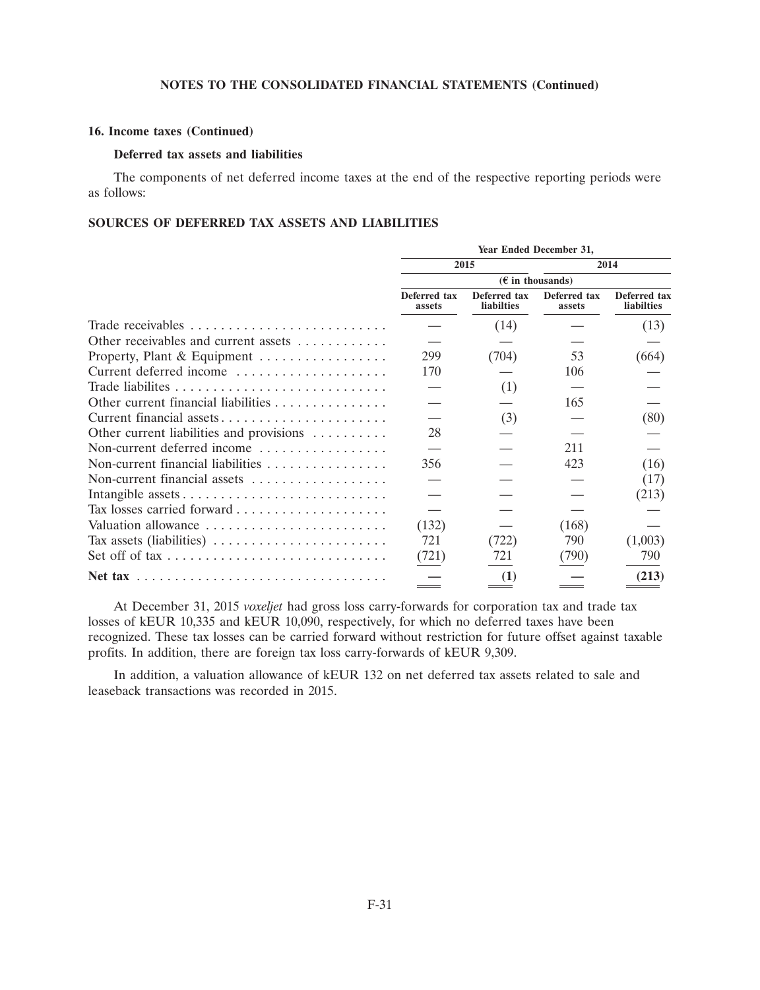## **16. Income taxes (Continued)**

## **Deferred tax assets and liabilities**

The components of net deferred income taxes at the end of the respective reporting periods were as follows:

## **SOURCES OF DEFERRED TAX ASSETS AND LIABILITIES**

|                                                                                                                                                                                                                                                                  | Year Ended December 31, |                            |                           |                                   |  |
|------------------------------------------------------------------------------------------------------------------------------------------------------------------------------------------------------------------------------------------------------------------|-------------------------|----------------------------|---------------------------|-----------------------------------|--|
|                                                                                                                                                                                                                                                                  | 2015                    |                            |                           | 2014                              |  |
|                                                                                                                                                                                                                                                                  |                         |                            | $(\epsilon$ in thousands) |                                   |  |
| Other receivables and current assets $\dots \dots \dots$<br>Property, Plant & Equipment<br>Current deferred income<br>Other current financial liabilities<br>Current financial assets<br>Other current liabilities and provisions<br>Non-current deferred income | Deferred tax<br>assets  | Deferred tax<br>liabilties | Deferred tax<br>assets    | Deferred tax<br><b>liabilties</b> |  |
|                                                                                                                                                                                                                                                                  |                         | (14)                       |                           | (13)                              |  |
|                                                                                                                                                                                                                                                                  |                         |                            |                           |                                   |  |
|                                                                                                                                                                                                                                                                  | 299                     | (704)                      | 53                        | (664)                             |  |
|                                                                                                                                                                                                                                                                  | 170                     |                            | 106                       |                                   |  |
|                                                                                                                                                                                                                                                                  |                         | (1)                        |                           |                                   |  |
|                                                                                                                                                                                                                                                                  |                         |                            | 165                       |                                   |  |
|                                                                                                                                                                                                                                                                  |                         | (3)                        |                           | (80)                              |  |
|                                                                                                                                                                                                                                                                  | 28                      |                            |                           |                                   |  |
|                                                                                                                                                                                                                                                                  |                         |                            | 211                       |                                   |  |
| Non-current financial liabilities $\ldots \ldots \ldots \ldots \ldots$                                                                                                                                                                                           | 356                     |                            | 423                       | (16)                              |  |
| Non-current financial assets                                                                                                                                                                                                                                     |                         |                            |                           | (17)                              |  |
| Intangible assets                                                                                                                                                                                                                                                |                         |                            |                           | (213)                             |  |
|                                                                                                                                                                                                                                                                  |                         |                            |                           |                                   |  |
| Valuation allowance                                                                                                                                                                                                                                              | (132)                   |                            | (168)                     |                                   |  |
| Tax assets (liabilities) $\dots \dots \dots \dots \dots \dots \dots$                                                                                                                                                                                             | 721                     | (722)                      | 790                       | (1,003)                           |  |
| Set off of tax                                                                                                                                                                                                                                                   | (721)                   | 721                        | (790)                     | 790                               |  |
|                                                                                                                                                                                                                                                                  |                         | (1)                        |                           | (213)                             |  |

At December 31, 2015 *voxeljet* had gross loss carry-forwards for corporation tax and trade tax losses of kEUR 10,335 and kEUR 10,090, respectively, for which no deferred taxes have been recognized. These tax losses can be carried forward without restriction for future offset against taxable profits. In addition, there are foreign tax loss carry-forwards of kEUR 9,309.

In addition, a valuation allowance of kEUR 132 on net deferred tax assets related to sale and leaseback transactions was recorded in 2015.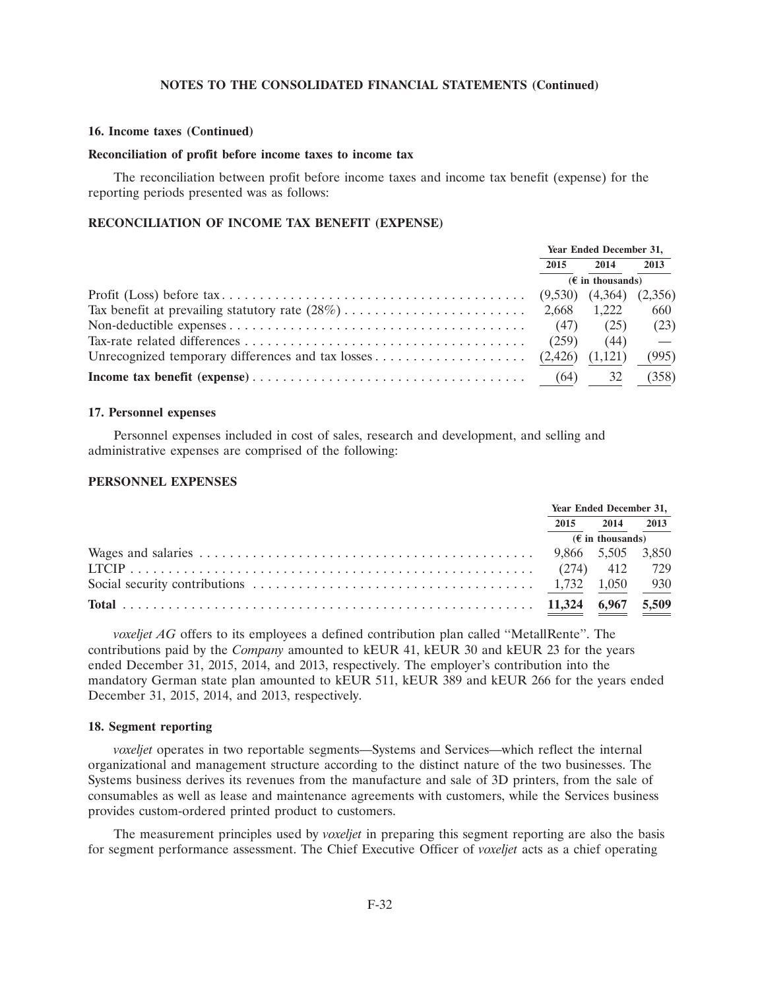#### **16. Income taxes (Continued)**

#### **Reconciliation of profit before income taxes to income tax**

The reconciliation between profit before income taxes and income tax benefit (expense) for the reporting periods presented was as follows:

### **RECONCILIATION OF INCOME TAX BENEFIT (EXPENSE)**

|       | Year Ended December 31,   |                          |
|-------|---------------------------|--------------------------|
| 2015  | 2014                      | 2013                     |
|       | $(\epsilon$ in thousands) |                          |
|       |                           |                          |
|       |                           | 660                      |
|       | (25)                      | (23)                     |
| (259) | (44)                      | $\overline{\phantom{a}}$ |
|       |                           | (995)                    |
|       | 32                        | (358)                    |

## **17. Personnel expenses**

Personnel expenses included in cost of sales, research and development, and selling and administrative expenses are comprised of the following:

#### **PERSONNEL EXPENSES**

| <b>Year Ended December 31,</b> |                           |       |  |
|--------------------------------|---------------------------|-------|--|
|                                | 2015 2014 2013            |       |  |
|                                | $(\epsilon$ in thousands) |       |  |
|                                |                           |       |  |
|                                |                           |       |  |
|                                |                           |       |  |
|                                |                           | 5.509 |  |

*voxeljet AG* offers to its employees a defined contribution plan called ''MetallRente''. The contributions paid by the *Company* amounted to kEUR 41, kEUR 30 and kEUR 23 for the years ended December 31, 2015, 2014, and 2013, respectively. The employer's contribution into the mandatory German state plan amounted to kEUR 511, kEUR 389 and kEUR 266 for the years ended December 31, 2015, 2014, and 2013, respectively.

## **18. Segment reporting**

*voxeljet* operates in two reportable segments—Systems and Services—which reflect the internal organizational and management structure according to the distinct nature of the two businesses. The Systems business derives its revenues from the manufacture and sale of 3D printers, from the sale of consumables as well as lease and maintenance agreements with customers, while the Services business provides custom-ordered printed product to customers.

The measurement principles used by *voxeljet* in preparing this segment reporting are also the basis for segment performance assessment. The Chief Executive Officer of *voxeljet* acts as a chief operating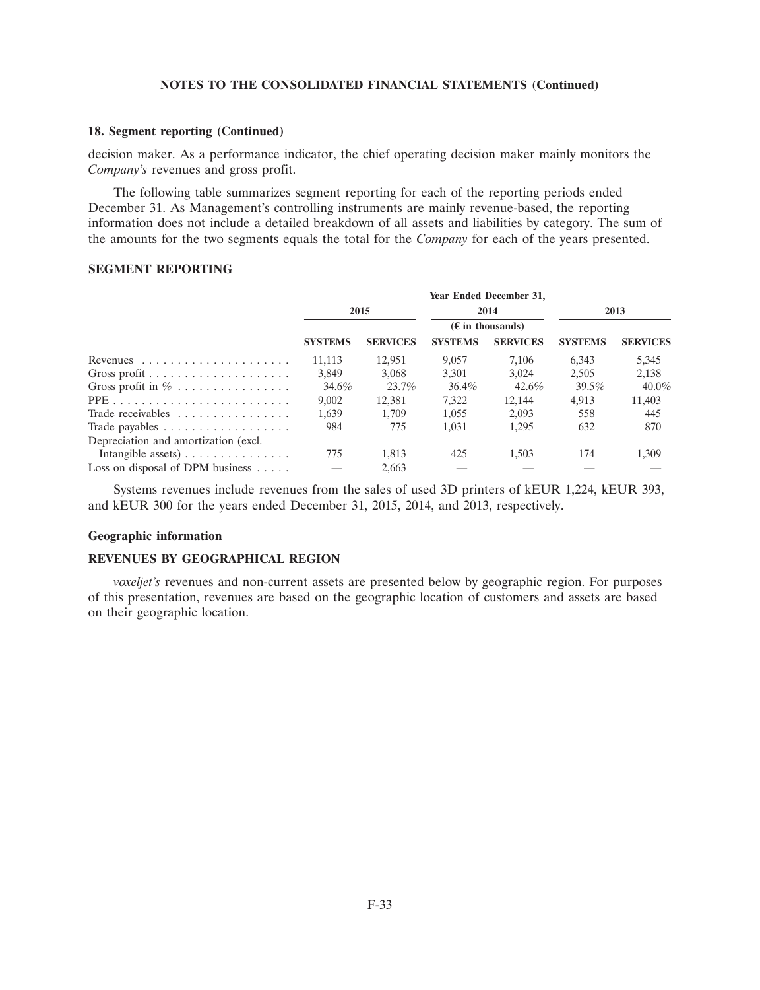## **18. Segment reporting (Continued)**

decision maker. As a performance indicator, the chief operating decision maker mainly monitors the *Company's* revenues and gross profit.

The following table summarizes segment reporting for each of the reporting periods ended December 31. As Management's controlling instruments are mainly revenue-based, the reporting information does not include a detailed breakdown of all assets and liabilities by category. The sum of the amounts for the two segments equals the total for the *Company* for each of the years presented.

## **SEGMENT REPORTING**

|                                                          |                |                           |                | Year Ended December 31, |                |                 |
|----------------------------------------------------------|----------------|---------------------------|----------------|-------------------------|----------------|-----------------|
|                                                          | 2015           |                           |                | 2014                    |                | 2013            |
|                                                          |                | $(\epsilon$ in thousands) |                |                         |                |                 |
|                                                          | <b>SYSTEMS</b> | <b>SERVICES</b>           | <b>SYSTEMS</b> | <b>SERVICES</b>         | <b>SYSTEMS</b> | <b>SERVICES</b> |
|                                                          | 11.113         | 12.951                    | 9.057          | 7.106                   | 6,343          | 5,345           |
| Gross profit $\ldots \ldots \ldots \ldots \ldots \ldots$ | 3.849          | 3,068                     | 3.301          | 3.024                   | 2,505          | 2,138           |
| Gross profit in $\%$                                     | 34.6%          | $23.7\%$                  | $36.4\%$       | 42.6%                   | 39.5%          | $40.0\%$        |
| PPE                                                      | 9,002          | 12.381                    | 7.322          | 12,144                  | 4.913          | 11,403          |
| Trade receivables $\dots \dots \dots \dots \dots$        | 1.639          | 1.709                     | 1.055          | 2.093                   | 558            | 445             |
| Trade payables $\dots \dots \dots \dots \dots \dots$     | 984            | 775                       | 1.031          | 1.295                   | 632            | 870             |
| Depreciation and amortization (excl.)                    |                |                           |                |                         |                |                 |
| Intangible assets) $\dots \dots \dots \dots$             | 775            | 1.813                     | 425            | 1.503                   | 174            | 1,309           |
| Loss on disposal of DPM business $\dots$ .               |                | 2.663                     |                |                         |                |                 |

Systems revenues include revenues from the sales of used 3D printers of kEUR 1,224, kEUR 393, and kEUR 300 for the years ended December 31, 2015, 2014, and 2013, respectively.

## **Geographic information**

## **REVENUES BY GEOGRAPHICAL REGION**

*voxeljet's* revenues and non-current assets are presented below by geographic region. For purposes of this presentation, revenues are based on the geographic location of customers and assets are based on their geographic location.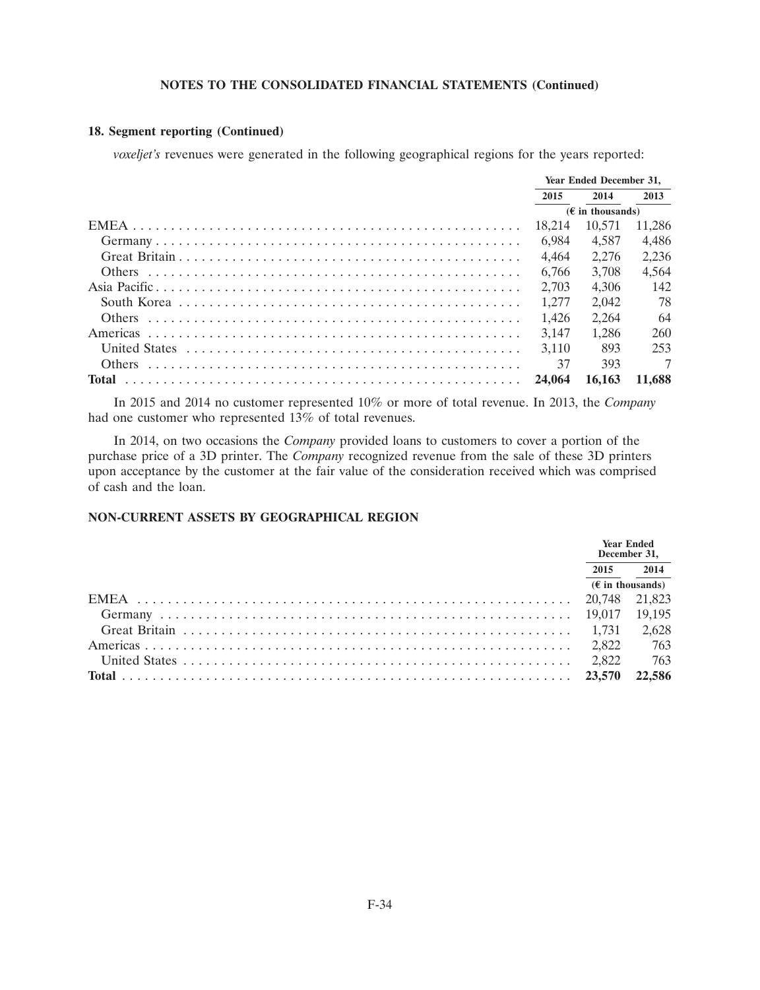## **18. Segment reporting (Continued)**

*voxeljet's* revenues were generated in the following geographical regions for the years reported:

|        | <b>Year Ended December 31.</b> |                           |        |
|--------|--------------------------------|---------------------------|--------|
|        | 2015                           | 2014                      | 2013   |
|        |                                | $(\epsilon$ in thousands) |        |
|        | 18.214                         | 10.571                    | 11.286 |
|        | 6.984                          | 4.587                     | 4.486  |
|        | 4.464                          | 2.276                     | 2,236  |
|        | 6.766                          | 3.708                     | 4.564  |
|        | 2.703                          | 4.306                     | 142    |
|        | 1.277                          | 2.042                     | 78     |
|        | 1.426                          | 2,264                     | 64     |
|        | 3.147                          | 1.286                     | 260    |
|        | 3.110                          | 893                       | 253    |
| Others | 37                             | 393                       | 7      |
|        | 24,064                         | 16.163                    | 11.688 |

In 2015 and 2014 no customer represented 10% or more of total revenue. In 2013, the *Company* had one customer who represented 13% of total revenues.

In 2014, on two occasions the *Company* provided loans to customers to cover a portion of the purchase price of a 3D printer. The *Company* recognized revenue from the sale of these 3D printers upon acceptance by the customer at the fair value of the consideration received which was comprised of cash and the loan.

## **NON-CURRENT ASSETS BY GEOGRAPHICAL REGION**

| <b>Year Ended</b><br>December 31. |                           |
|-----------------------------------|---------------------------|
|                                   | 2015 2014                 |
|                                   | $(\epsilon$ in thousands) |
|                                   |                           |
|                                   | 19,195                    |
|                                   | 2.628                     |
|                                   | 763                       |
|                                   | 763                       |
| 23.570                            | 22,586                    |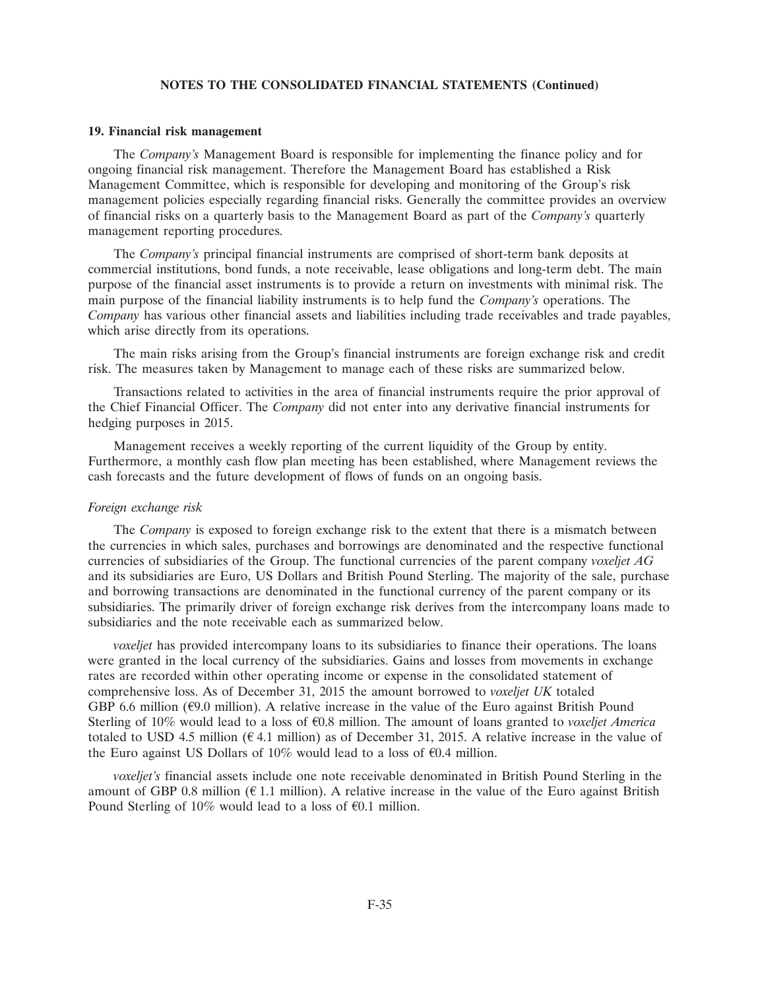#### **19. Financial risk management**

The *Company's* Management Board is responsible for implementing the finance policy and for ongoing financial risk management. Therefore the Management Board has established a Risk Management Committee, which is responsible for developing and monitoring of the Group's risk management policies especially regarding financial risks. Generally the committee provides an overview of financial risks on a quarterly basis to the Management Board as part of the *Company's* quarterly management reporting procedures.

The *Company's* principal financial instruments are comprised of short-term bank deposits at commercial institutions, bond funds, a note receivable, lease obligations and long-term debt. The main purpose of the financial asset instruments is to provide a return on investments with minimal risk. The main purpose of the financial liability instruments is to help fund the *Company's* operations. The *Company* has various other financial assets and liabilities including trade receivables and trade payables, which arise directly from its operations.

The main risks arising from the Group's financial instruments are foreign exchange risk and credit risk. The measures taken by Management to manage each of these risks are summarized below.

Transactions related to activities in the area of financial instruments require the prior approval of the Chief Financial Officer. The *Company* did not enter into any derivative financial instruments for hedging purposes in 2015.

Management receives a weekly reporting of the current liquidity of the Group by entity. Furthermore, a monthly cash flow plan meeting has been established, where Management reviews the cash forecasts and the future development of flows of funds on an ongoing basis.

#### *Foreign exchange risk*

The *Company* is exposed to foreign exchange risk to the extent that there is a mismatch between the currencies in which sales, purchases and borrowings are denominated and the respective functional currencies of subsidiaries of the Group. The functional currencies of the parent company *voxeljet AG* and its subsidiaries are Euro, US Dollars and British Pound Sterling. The majority of the sale, purchase and borrowing transactions are denominated in the functional currency of the parent company or its subsidiaries. The primarily driver of foreign exchange risk derives from the intercompany loans made to subsidiaries and the note receivable each as summarized below.

*voxeljet* has provided intercompany loans to its subsidiaries to finance their operations. The loans were granted in the local currency of the subsidiaries. Gains and losses from movements in exchange rates are recorded within other operating income or expense in the consolidated statement of comprehensive loss. As of December 31, 2015 the amount borrowed to *voxeljet UK* totaled GBP 6.6 million ( $\epsilon$ 9.0 million). A relative increase in the value of the Euro against British Pound Sterling of 10% would lead to a loss of  $E(0.8 \text{ million})$ . The amount of loans granted to *voxeliet America* totaled to USD 4.5 million ( $\epsilon$ 4.1 million) as of December 31, 2015. A relative increase in the value of the Euro against US Dollars of 10% would lead to a loss of  $\epsilon$ 0.4 million.

*voxeljet's* financial assets include one note receivable denominated in British Pound Sterling in the amount of GBP 0.8 million ( $\epsilon$  1.1 million). A relative increase in the value of the Euro against British Pound Sterling of 10% would lead to a loss of  $\epsilon$ 0.1 million.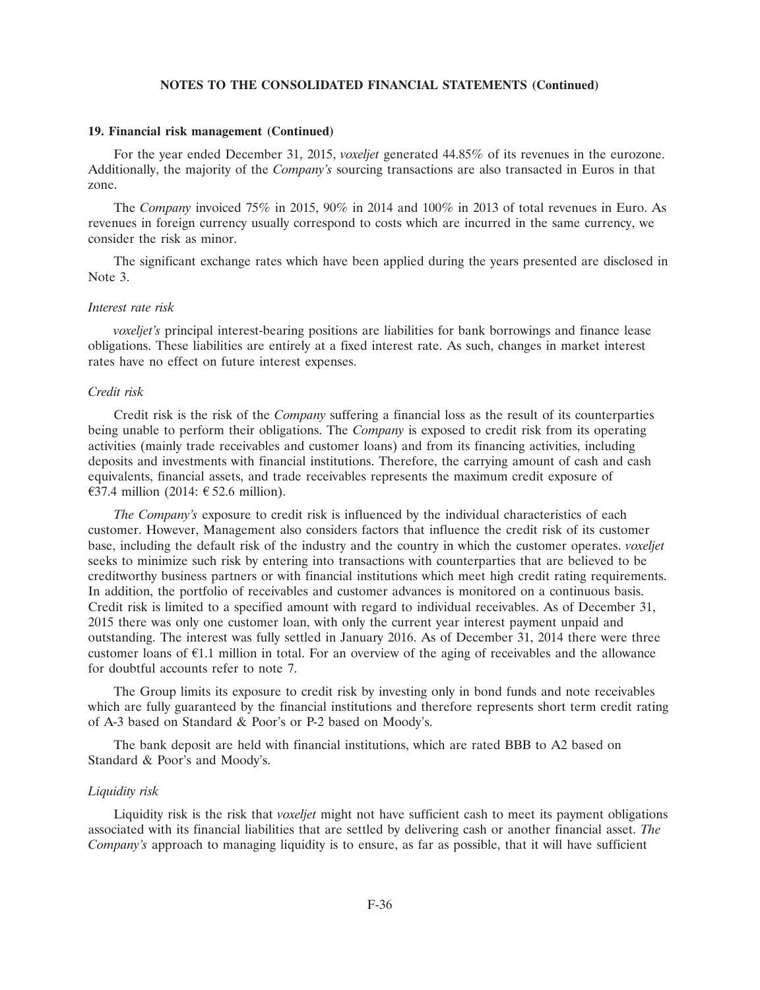#### **19. Financial risk management (Continued)**

For the year ended December 31, 2015, *voxeljet* generated 44.85% of its revenues in the eurozone. Additionally, the majority of the *Company's* sourcing transactions are also transacted in Euros in that zone.

The *Company* invoiced 75% in 2015, 90% in 2014 and 100% in 2013 of total revenues in Euro. As revenues in foreign currency usually correspond to costs which are incurred in the same currency, we consider the risk as minor.

The significant exchange rates which have been applied during the years presented are disclosed in Note 3.

## *Interest rate risk*

*voxeljet's* principal interest-bearing positions are liabilities for bank borrowings and finance lease obligations. These liabilities are entirely at a fixed interest rate. As such, changes in market interest rates have no effect on future interest expenses.

## *Credit risk*

Credit risk is the risk of the *Company* suffering a financial loss as the result of its counterparties being unable to perform their obligations. The *Company* is exposed to credit risk from its operating activities (mainly trade receivables and customer loans) and from its financing activities, including deposits and investments with financial institutions. Therefore, the carrying amount of cash and cash equivalents, financial assets, and trade receivables represents the maximum credit exposure of  $\widehat{637.4}$  million (2014:  $\widehat{6}$  52.6 million).

*The Company's* exposure to credit risk is influenced by the individual characteristics of each customer. However, Management also considers factors that influence the credit risk of its customer base, including the default risk of the industry and the country in which the customer operates. *voxeljet* seeks to minimize such risk by entering into transactions with counterparties that are believed to be creditworthy business partners or with financial institutions which meet high credit rating requirements. In addition, the portfolio of receivables and customer advances is monitored on a continuous basis. Credit risk is limited to a specified amount with regard to individual receivables. As of December 31, 2015 there was only one customer loan, with only the current year interest payment unpaid and outstanding. The interest was fully settled in January 2016. As of December 31, 2014 there were three customer loans of  $E1.1$  million in total. For an overview of the aging of receivables and the allowance for doubtful accounts refer to note 7.

The Group limits its exposure to credit risk by investing only in bond funds and note receivables which are fully guaranteed by the financial institutions and therefore represents short term credit rating of A-3 based on Standard & Poor's or P-2 based on Moody's.

The bank deposit are held with financial institutions, which are rated BBB to A2 based on Standard & Poor's and Moody's.

## *Liquidity risk*

Liquidity risk is the risk that *voxeljet* might not have sufficient cash to meet its payment obligations associated with its financial liabilities that are settled by delivering cash or another financial asset. *The Company's* approach to managing liquidity is to ensure, as far as possible, that it will have sufficient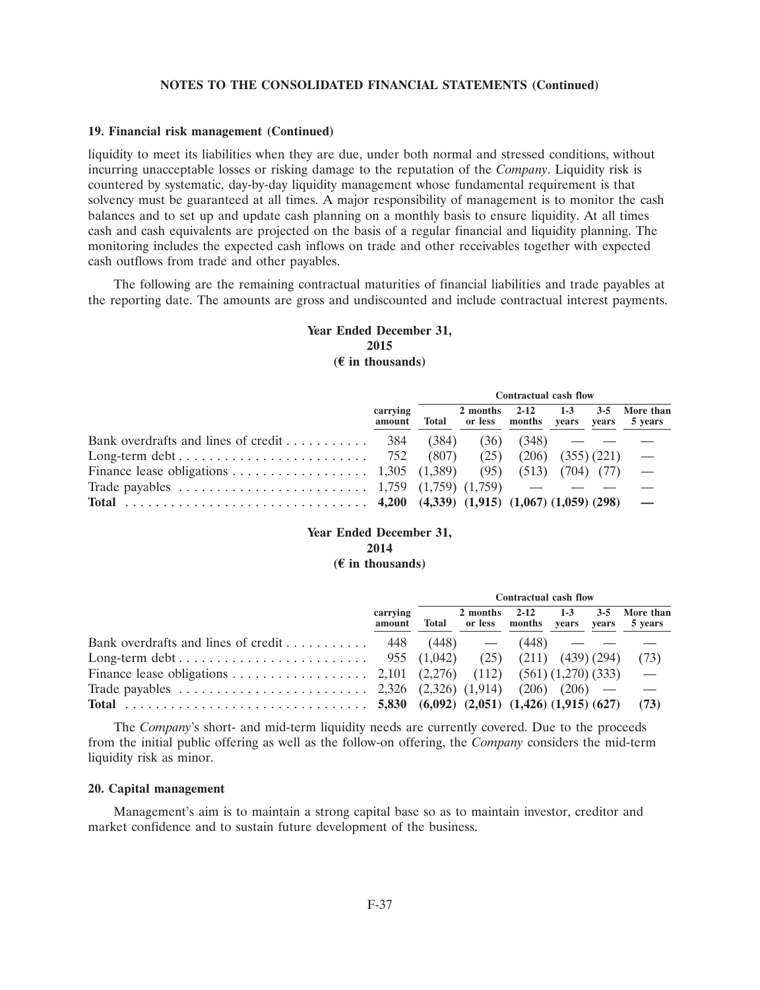#### **19. Financial risk management (Continued)**

liquidity to meet its liabilities when they are due, under both normal and stressed conditions, without incurring unacceptable losses or risking damage to the reputation of the *Company*. Liquidity risk is countered by systematic, day-by-day liquidity management whose fundamental requirement is that solvency must be guaranteed at all times. A major responsibility of management is to monitor the cash balances and to set up and update cash planning on a monthly basis to ensure liquidity. At all times cash and cash equivalents are projected on the basis of a regular financial and liquidity planning. The monitoring includes the expected cash inflows on trade and other receivables together with expected cash outflows from trade and other payables.

The following are the remaining contractual maturities of financial liabilities and trade payables at the reporting date. The amounts are gross and undiscounted and include contractual interest payments.

## **Year Ended December 31, 2015 (**E **in thousands)**

|                                                                | <b>Contractual cash flow</b> |       |                                                               |                |            |                                                   |           |
|----------------------------------------------------------------|------------------------------|-------|---------------------------------------------------------------|----------------|------------|---------------------------------------------------|-----------|
|                                                                | carrying<br>amount           |       | 2 months 2-12 1-3<br>Total or less months years years 5 years |                |            | $3 - 5$                                           | More than |
| Bank overdrafts and lines of credit $\ldots \ldots \ldots$ 384 |                              | (384) |                                                               | $(36)$ $(348)$ |            | $\overline{\phantom{a}}$ $\overline{\phantom{a}}$ |           |
|                                                                |                              | (807) | (25)                                                          | (206)          | (355)(221) |                                                   |           |
|                                                                |                              |       |                                                               |                |            |                                                   |           |
|                                                                |                              |       |                                                               |                |            |                                                   |           |
|                                                                |                              |       |                                                               |                |            |                                                   |           |

## **Year Ended December 31, 2014**  $(E$  in thousands)

|                                                             | Contractual cash flow |  |                                                               |  |  |  |                          |
|-------------------------------------------------------------|-----------------------|--|---------------------------------------------------------------|--|--|--|--------------------------|
|                                                             | carrying<br>amount    |  | 2 months 2-12 1-3<br>Total or less months years years 5 years |  |  |  | 3-5 More than            |
| Bank overdrafts and lines of credit $\dots \dots \dots$ 448 |                       |  | $(448)$ $ (448)$ $  -$                                        |  |  |  |                          |
|                                                             |                       |  |                                                               |  |  |  | (73)                     |
|                                                             |                       |  |                                                               |  |  |  | $\overline{\phantom{a}}$ |
|                                                             |                       |  |                                                               |  |  |  |                          |
|                                                             |                       |  |                                                               |  |  |  | (73)                     |

The *Company*'s short- and mid-term liquidity needs are currently covered. Due to the proceeds from the initial public offering as well as the follow-on offering, the *Company* considers the mid-term liquidity risk as minor.

## **20. Capital management**

Management's aim is to maintain a strong capital base so as to maintain investor, creditor and market confidence and to sustain future development of the business.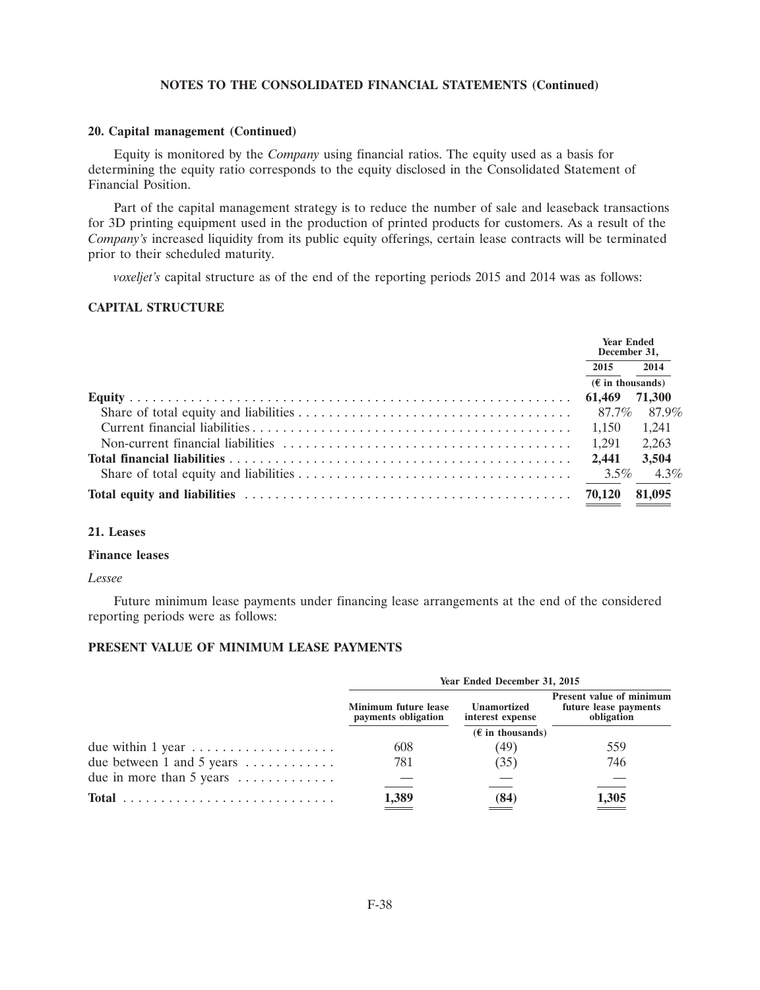## **20. Capital management (Continued)**

Equity is monitored by the *Company* using financial ratios. The equity used as a basis for determining the equity ratio corresponds to the equity disclosed in the Consolidated Statement of Financial Position.

Part of the capital management strategy is to reduce the number of sale and leaseback transactions for 3D printing equipment used in the production of printed products for customers. As a result of the *Company's* increased liquidity from its public equity offerings, certain lease contracts will be terminated prior to their scheduled maturity.

*voxeljet's* capital structure as of the end of the reporting periods 2015 and 2014 was as follows:

## **CAPITAL STRUCTURE**

| <b>Year Ended</b><br>December 31. |         |
|-----------------------------------|---------|
| 2015                              | 2014    |
| $(\epsilon$ in thousands)         |         |
| 61.469                            | 71.300  |
| 87.7%                             | 87.9%   |
| 1.150                             | 1.241   |
| 1.291                             | 2.263   |
| 2.441                             | 3.504   |
|                                   | $4.3\%$ |
| 70,120                            | 81,095  |

## **21. Leases**

## **Finance leases**

## *Lessee*

Future minimum lease payments under financing lease arrangements at the end of the considered reporting periods were as follows:

## **PRESENT VALUE OF MINIMUM LEASE PAYMENTS**

|                                                | Year Ended December 31, 2015                |                                        |                                                                        |  |
|------------------------------------------------|---------------------------------------------|----------------------------------------|------------------------------------------------------------------------|--|
|                                                | Minimum future lease<br>payments obligation | <b>Unamortized</b><br>interest expense | <b>Present value of minimum</b><br>future lease payments<br>obligation |  |
|                                                |                                             | $(\epsilon$ in thousands)              |                                                                        |  |
| due within $1$ year                            | 608                                         | (49)                                   | 559                                                                    |  |
| due between 1 and 5 years $\dots \dots \dots$  | 781                                         | (35)                                   | 746                                                                    |  |
| due in more than $5$ years $\dots \dots \dots$ |                                             |                                        |                                                                        |  |
|                                                | $\frac{1,389}{ }$                           | $\frac{(84)}{2}$                       | $\frac{1,305}{ }$                                                      |  |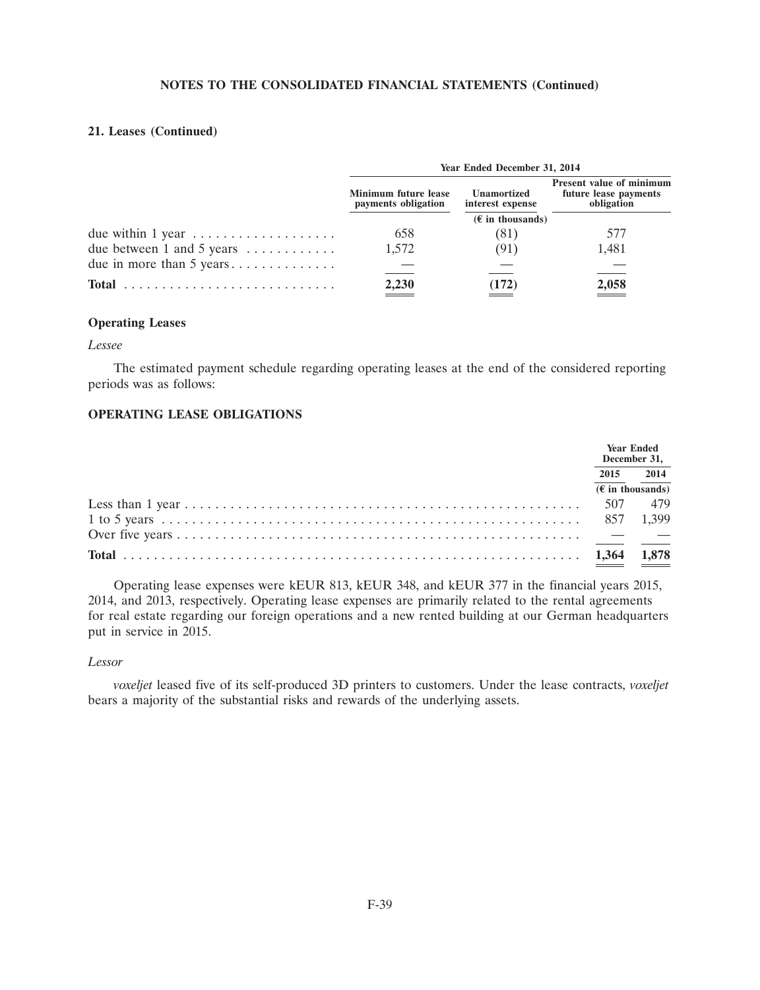## **21. Leases (Continued)**

|                                                           | Year Ended December 31, 2014                |                                        |                                                                        |  |
|-----------------------------------------------------------|---------------------------------------------|----------------------------------------|------------------------------------------------------------------------|--|
|                                                           | Minimum future lease<br>payments obligation | <b>Unamortized</b><br>interest expense | <b>Present value of minimum</b><br>future lease payments<br>obligation |  |
|                                                           |                                             | $(\epsilon$ in thousands)              |                                                                        |  |
| due within $1$ year $\dots \dots \dots \dots \dots \dots$ | 658                                         | (81)                                   | 577                                                                    |  |
| due between 1 and 5 years $\dots \dots \dots$             | 1,572                                       | (91)                                   | 1,481                                                                  |  |
| due in more than $5$ years                                |                                             |                                        |                                                                        |  |
| <b>Total</b>                                              | 2,230                                       | (172)                                  | 2,058                                                                  |  |

#### **Operating Leases**

#### *Lessee*

The estimated payment schedule regarding operating leases at the end of the considered reporting periods was as follows:

## **OPERATING LEASE OBLIGATIONS**

| <b>Year Ended</b><br>December 31. |       |
|-----------------------------------|-------|
| 2015                              | 2014  |
| $(\epsilon$ in thousands)         |       |
| 507                               | 479   |
|                                   |       |
|                                   |       |
|                                   | 1,878 |

Operating lease expenses were kEUR 813, kEUR 348, and kEUR 377 in the financial years 2015, 2014, and 2013, respectively. Operating lease expenses are primarily related to the rental agreements for real estate regarding our foreign operations and a new rented building at our German headquarters put in service in 2015.

#### *Lessor*

*voxeljet* leased five of its self-produced 3D printers to customers. Under the lease contracts, *voxeljet* bears a majority of the substantial risks and rewards of the underlying assets.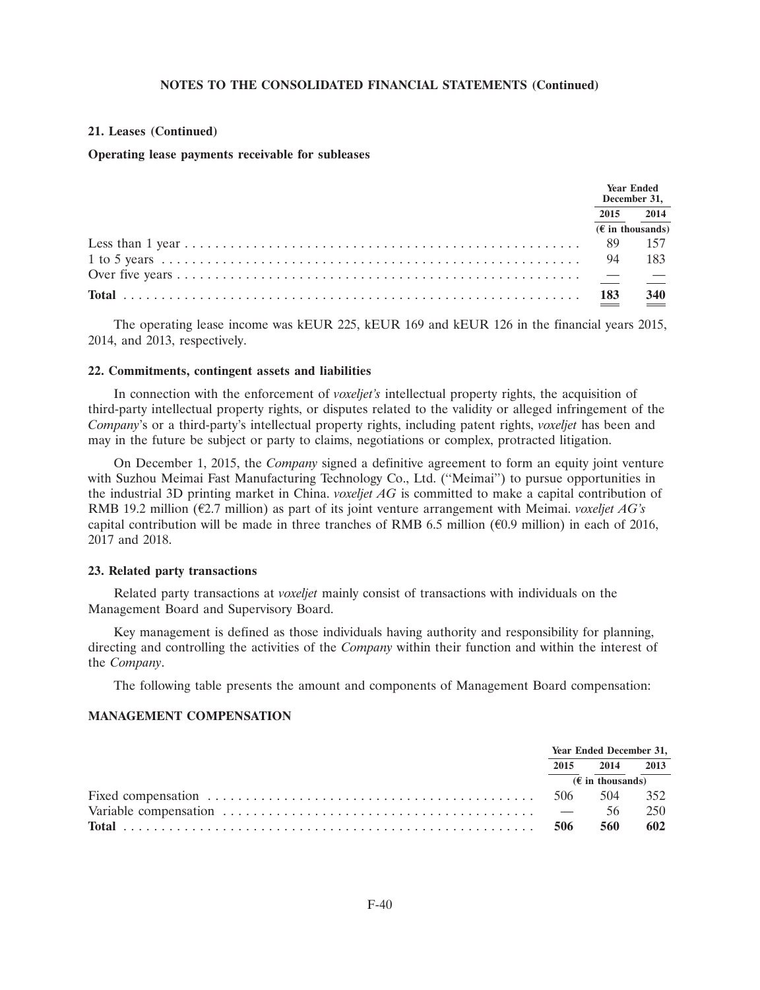## **21. Leases (Continued)**

### **Operating lease payments receivable for subleases**

| <b>Year Ended</b><br>December 31. |            |
|-----------------------------------|------------|
| 2015                              | 2014       |
| $(\epsilon$ in thousands)         |            |
|                                   | 157        |
|                                   | - 183      |
|                                   |            |
|                                   | <b>340</b> |

The operating lease income was kEUR 225, kEUR 169 and kEUR 126 in the financial years 2015, 2014, and 2013, respectively.

## **22. Commitments, contingent assets and liabilities**

In connection with the enforcement of *voxeljet's* intellectual property rights, the acquisition of third-party intellectual property rights, or disputes related to the validity or alleged infringement of the *Company*'s or a third-party's intellectual property rights, including patent rights, *voxeljet* has been and may in the future be subject or party to claims, negotiations or complex, protracted litigation.

On December 1, 2015, the *Company* signed a definitive agreement to form an equity joint venture with Suzhou Meimai Fast Manufacturing Technology Co., Ltd. (''Meimai'') to pursue opportunities in the industrial 3D printing market in China. *voxeljet AG* is committed to make a capital contribution of RMB 19.2 million ( $\epsilon$ 2.7 million) as part of its joint venture arrangement with Meimai. *voxeljet AG's* capital contribution will be made in three tranches of RMB 6.5 million ( $\epsilon$ 0.9 million) in each of 2016, 2017 and 2018.

## **23. Related party transactions**

Related party transactions at *voxeljet* mainly consist of transactions with individuals on the Management Board and Supervisory Board.

Key management is defined as those individuals having authority and responsibility for planning, directing and controlling the activities of the *Company* within their function and within the interest of the *Company*.

The following table presents the amount and components of Management Board compensation:

#### **MANAGEMENT COMPENSATION**

| Year Ended December 31, |                           |      |
|-------------------------|---------------------------|------|
| 2015                    | 2014                      | 2013 |
|                         | $(\epsilon$ in thousands) |      |
|                         | 506 504 352               |      |
|                         | -56.                      | -250 |
| 506                     | 560                       | 602  |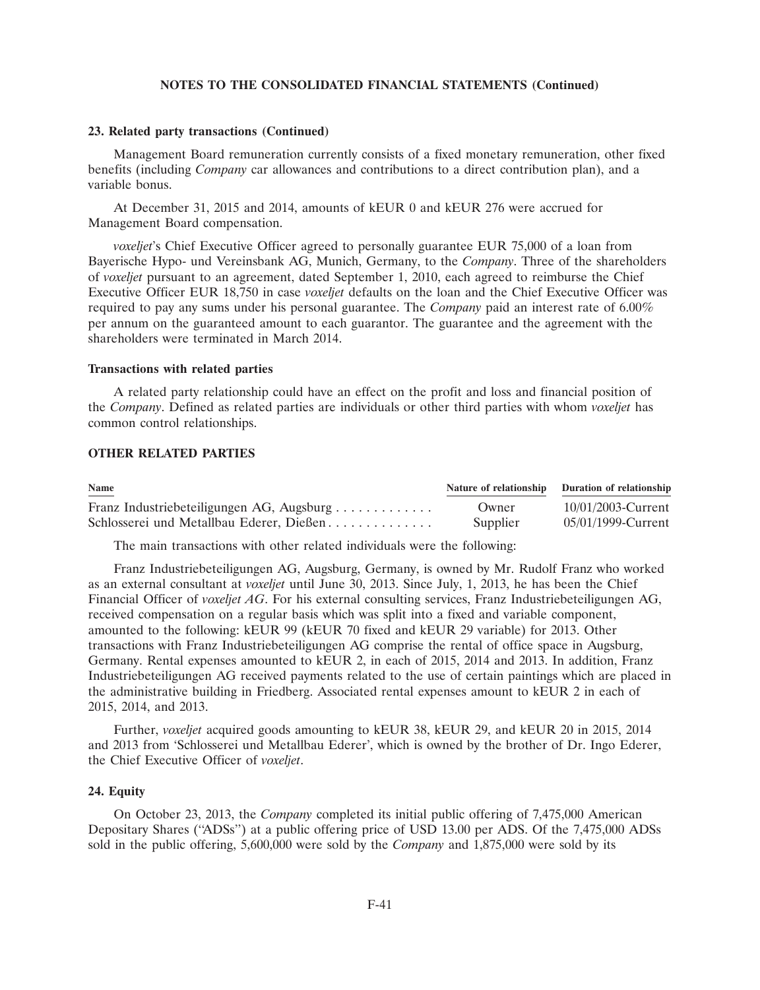#### **23. Related party transactions (Continued)**

Management Board remuneration currently consists of a fixed monetary remuneration, other fixed benefits (including *Company* car allowances and contributions to a direct contribution plan), and a variable bonus.

At December 31, 2015 and 2014, amounts of kEUR 0 and kEUR 276 were accrued for Management Board compensation.

*voxeljet*'s Chief Executive Officer agreed to personally guarantee EUR 75,000 of a loan from Bayerische Hypo- und Vereinsbank AG, Munich, Germany, to the *Company*. Three of the shareholders of *voxeljet* pursuant to an agreement, dated September 1, 2010, each agreed to reimburse the Chief Executive Officer EUR 18,750 in case *voxeljet* defaults on the loan and the Chief Executive Officer was required to pay any sums under his personal guarantee. The *Company* paid an interest rate of 6.00% per annum on the guaranteed amount to each guarantor. The guarantee and the agreement with the shareholders were terminated in March 2014.

#### **Transactions with related parties**

A related party relationship could have an effect on the profit and loss and financial position of the *Company*. Defined as related parties are individuals or other third parties with whom *voxeljet* has common control relationships.

## **OTHER RELATED PARTIES**

| <b>Name</b><br>______                     | Nature of relationship | Duration of relationship |
|-------------------------------------------|------------------------|--------------------------|
| Franz Industriebeteiligungen AG, Augsburg | Owner                  | 10/01/2003-Current       |
| Schlosserei und Metallbau Ederer, Dießen  | Supplier               | 05/01/1999-Current       |

The main transactions with other related individuals were the following:

Franz Industriebeteiligungen AG, Augsburg, Germany, is owned by Mr. Rudolf Franz who worked as an external consultant at *voxeljet* until June 30, 2013. Since July, 1, 2013, he has been the Chief Financial Officer of *voxeljet AG*. For his external consulting services, Franz Industriebeteiligungen AG, received compensation on a regular basis which was split into a fixed and variable component, amounted to the following: kEUR 99 (kEUR 70 fixed and kEUR 29 variable) for 2013. Other transactions with Franz Industriebeteiligungen AG comprise the rental of office space in Augsburg, Germany. Rental expenses amounted to kEUR 2, in each of 2015, 2014 and 2013. In addition, Franz Industriebeteiligungen AG received payments related to the use of certain paintings which are placed in the administrative building in Friedberg. Associated rental expenses amount to kEUR 2 in each of 2015, 2014, and 2013.

Further, *voxeljet* acquired goods amounting to kEUR 38, kEUR 29, and kEUR 20 in 2015, 2014 and 2013 from 'Schlosserei und Metallbau Ederer', which is owned by the brother of Dr. Ingo Ederer, the Chief Executive Officer of *voxeljet*.

## **24. Equity**

On October 23, 2013, the *Company* completed its initial public offering of 7,475,000 American Depositary Shares ("ADSs") at a public offering price of USD 13.00 per ADS. Of the 7,475,000 ADSs sold in the public offering, 5,600,000 were sold by the *Company* and 1,875,000 were sold by its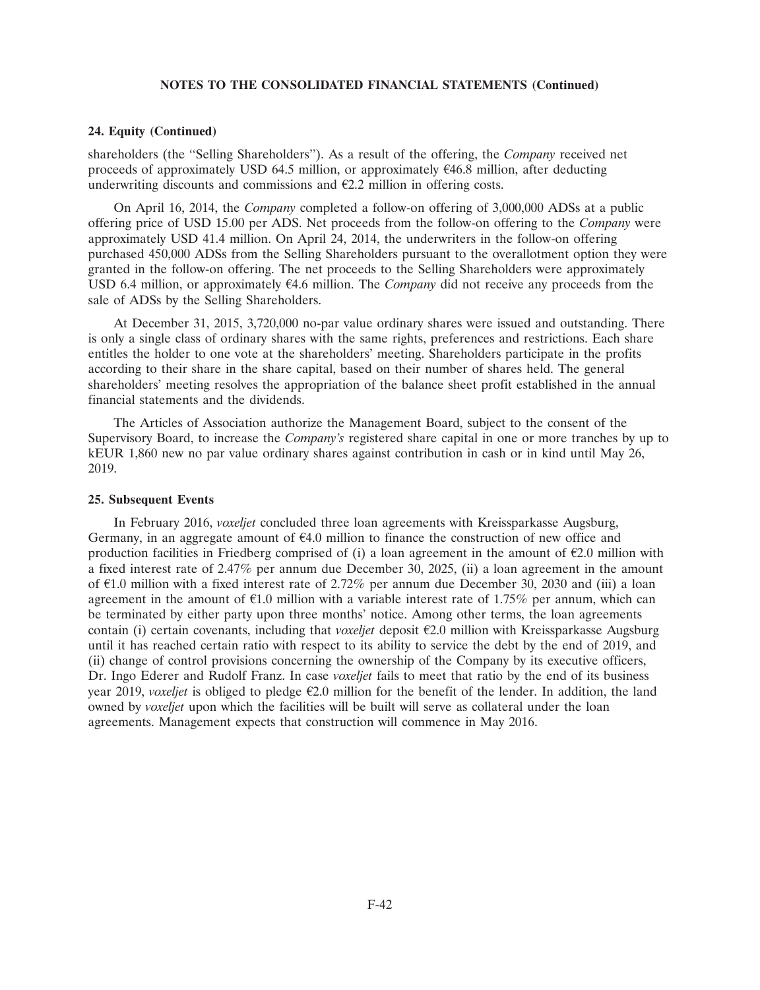#### **24. Equity (Continued)**

shareholders (the ''Selling Shareholders''). As a result of the offering, the *Company* received net proceeds of approximately USD 64.5 million, or approximately  $646.8$  million, after deducting underwriting discounts and commissions and  $E2.2$  million in offering costs.

On April 16, 2014, the *Company* completed a follow-on offering of 3,000,000 ADSs at a public offering price of USD 15.00 per ADS. Net proceeds from the follow-on offering to the *Company* were approximately USD 41.4 million. On April 24, 2014, the underwriters in the follow-on offering purchased 450,000 ADSs from the Selling Shareholders pursuant to the overallotment option they were granted in the follow-on offering. The net proceeds to the Selling Shareholders were approximately USD 6.4 million, or approximately  $64.6$  million. The *Company* did not receive any proceeds from the sale of ADSs by the Selling Shareholders.

At December 31, 2015, 3,720,000 no-par value ordinary shares were issued and outstanding. There is only a single class of ordinary shares with the same rights, preferences and restrictions. Each share entitles the holder to one vote at the shareholders' meeting. Shareholders participate in the profits according to their share in the share capital, based on their number of shares held. The general shareholders' meeting resolves the appropriation of the balance sheet profit established in the annual financial statements and the dividends.

The Articles of Association authorize the Management Board, subject to the consent of the Supervisory Board, to increase the *Company's* registered share capital in one or more tranches by up to kEUR 1,860 new no par value ordinary shares against contribution in cash or in kind until May 26, 2019.

#### **25. Subsequent Events**

In February 2016, *voxeljet* concluded three loan agreements with Kreissparkasse Augsburg, Germany, in an aggregate amount of  $64.0$  million to finance the construction of new office and production facilities in Friedberg comprised of (i) a loan agreement in the amount of  $\epsilon$ 2.0 million with a fixed interest rate of 2.47% per annum due December 30, 2025, (ii) a loan agreement in the amount of  $\epsilon$ 1.0 million with a fixed interest rate of 2.72% per annum due December 30, 2030 and (iii) a loan agreement in the amount of  $E1.0$  million with a variable interest rate of 1.75% per annum, which can be terminated by either party upon three months' notice. Among other terms, the loan agreements contain (i) certain covenants, including that *voxeliet* deposit  $E2.0$  million with Kreissparkasse Augsburg until it has reached certain ratio with respect to its ability to service the debt by the end of 2019, and (ii) change of control provisions concerning the ownership of the Company by its executive officers, Dr. Ingo Ederer and Rudolf Franz. In case *voxeljet* fails to meet that ratio by the end of its business year 2019, *voxeljet* is obliged to pledge  $\epsilon$ 2.0 million for the benefit of the lender. In addition, the land owned by *voxeljet* upon which the facilities will be built will serve as collateral under the loan agreements. Management expects that construction will commence in May 2016.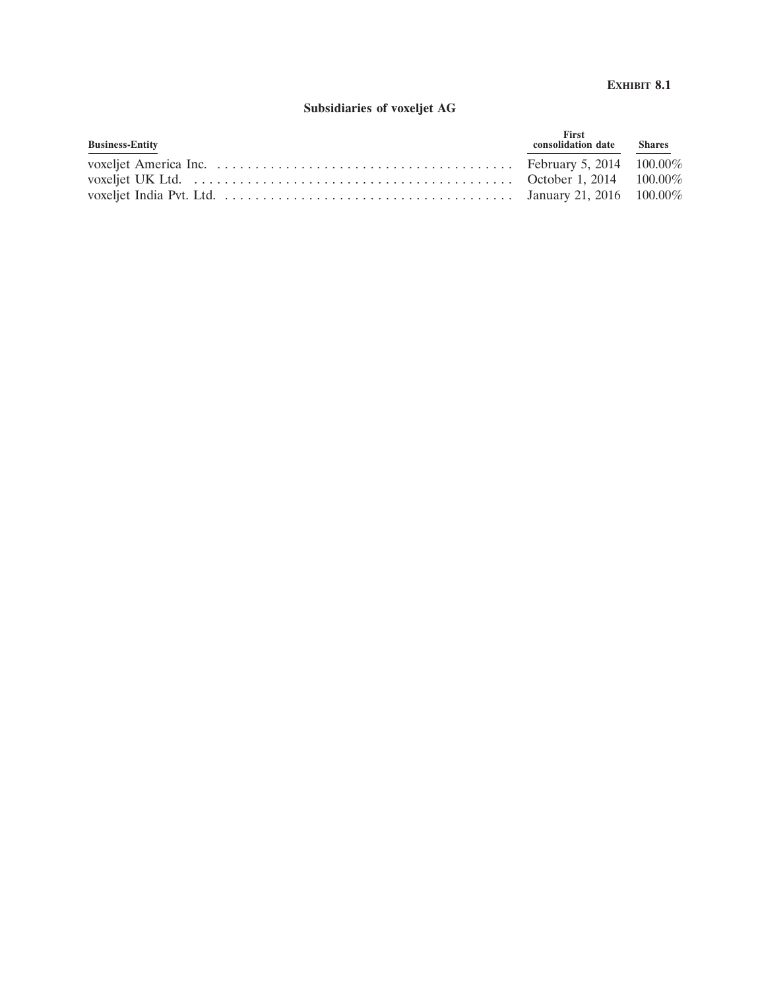## **EXHIBIT 8.1**

## **Subsidiaries of voxeljet AG**

| <b>Business-Entity</b> | First<br>consolidation date Shares |  |
|------------------------|------------------------------------|--|
|                        |                                    |  |
|                        |                                    |  |
|                        |                                    |  |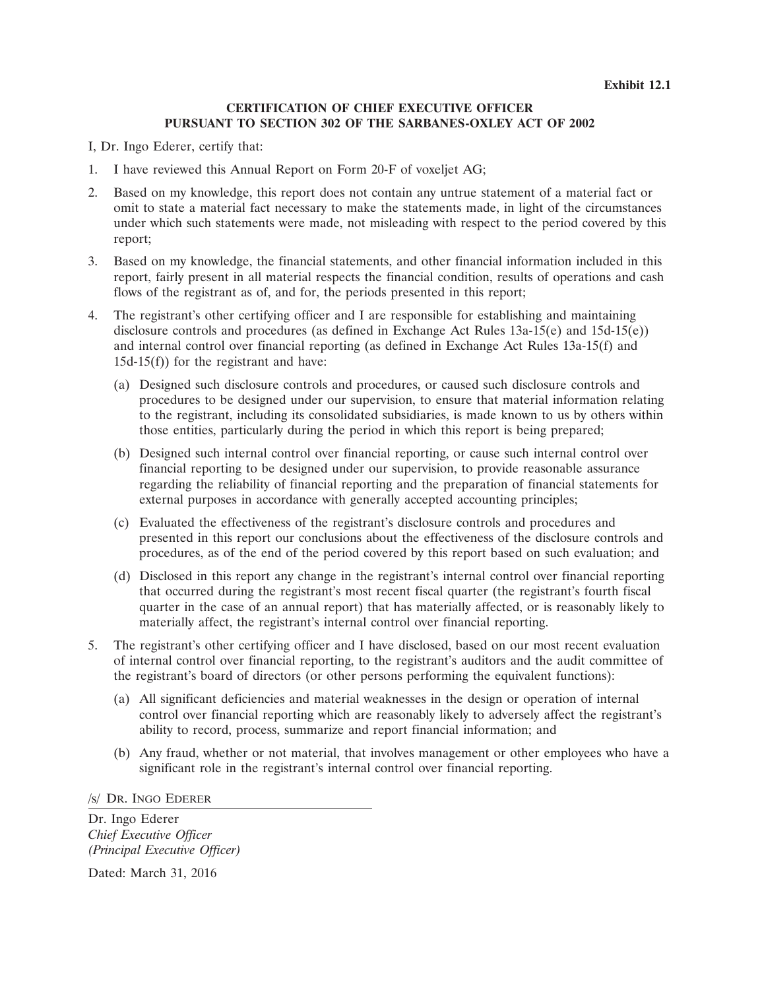## **CERTIFICATION OF CHIEF EXECUTIVE OFFICER PURSUANT TO SECTION 302 OF THE SARBANES-OXLEY ACT OF 2002**

I, Dr. Ingo Ederer, certify that:

- 1. I have reviewed this Annual Report on Form 20-F of voxeljet AG;
- 2. Based on my knowledge, this report does not contain any untrue statement of a material fact or omit to state a material fact necessary to make the statements made, in light of the circumstances under which such statements were made, not misleading with respect to the period covered by this report;
- 3. Based on my knowledge, the financial statements, and other financial information included in this report, fairly present in all material respects the financial condition, results of operations and cash flows of the registrant as of, and for, the periods presented in this report;
- 4. The registrant's other certifying officer and I are responsible for establishing and maintaining disclosure controls and procedures (as defined in Exchange Act Rules 13a-15(e) and 15d-15(e)) and internal control over financial reporting (as defined in Exchange Act Rules 13a-15(f) and 15d-15(f)) for the registrant and have:
	- (a) Designed such disclosure controls and procedures, or caused such disclosure controls and procedures to be designed under our supervision, to ensure that material information relating to the registrant, including its consolidated subsidiaries, is made known to us by others within those entities, particularly during the period in which this report is being prepared;
	- (b) Designed such internal control over financial reporting, or cause such internal control over financial reporting to be designed under our supervision, to provide reasonable assurance regarding the reliability of financial reporting and the preparation of financial statements for external purposes in accordance with generally accepted accounting principles;
	- (c) Evaluated the effectiveness of the registrant's disclosure controls and procedures and presented in this report our conclusions about the effectiveness of the disclosure controls and procedures, as of the end of the period covered by this report based on such evaluation; and
	- (d) Disclosed in this report any change in the registrant's internal control over financial reporting that occurred during the registrant's most recent fiscal quarter (the registrant's fourth fiscal quarter in the case of an annual report) that has materially affected, or is reasonably likely to materially affect, the registrant's internal control over financial reporting.
- 5. The registrant's other certifying officer and I have disclosed, based on our most recent evaluation of internal control over financial reporting, to the registrant's auditors and the audit committee of the registrant's board of directors (or other persons performing the equivalent functions):
	- (a) All significant deficiencies and material weaknesses in the design or operation of internal control over financial reporting which are reasonably likely to adversely affect the registrant's ability to record, process, summarize and report financial information; and
	- (b) Any fraud, whether or not material, that involves management or other employees who have a significant role in the registrant's internal control over financial reporting.

/s/ DR. INGO EDERER

Dr. Ingo Ederer *Chief Executive Officer (Principal Executive Officer)*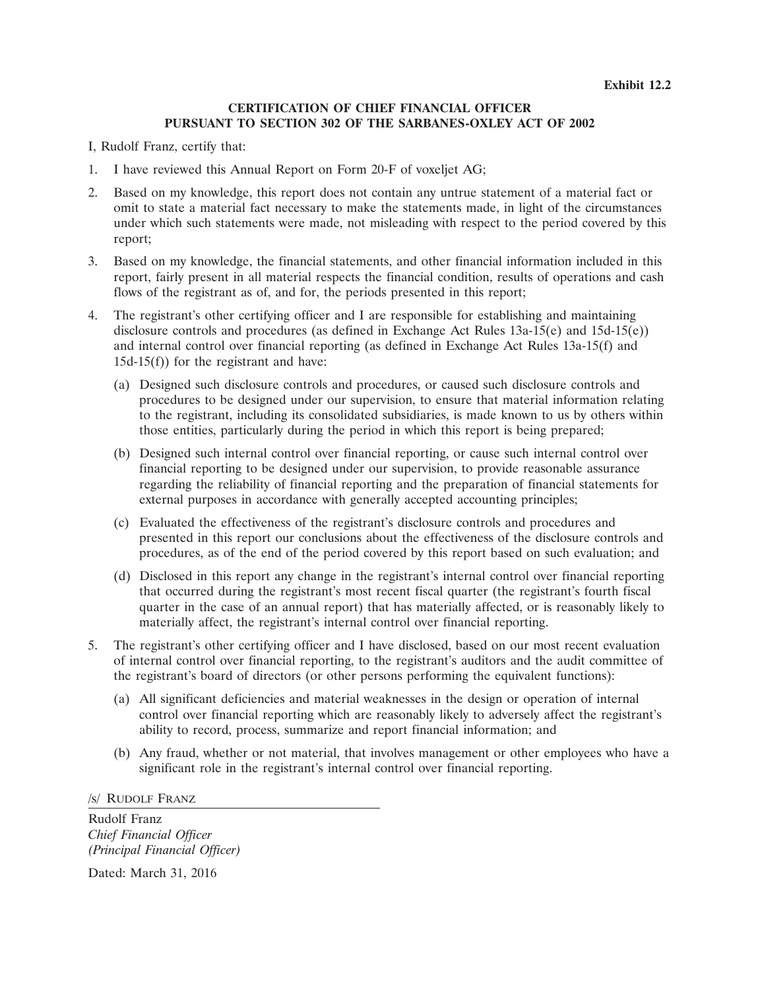## **CERTIFICATION OF CHIEF FINANCIAL OFFICER PURSUANT TO SECTION 302 OF THE SARBANES-OXLEY ACT OF 2002**

- I, Rudolf Franz, certify that:
- 1. I have reviewed this Annual Report on Form 20-F of voxeljet AG;
- 2. Based on my knowledge, this report does not contain any untrue statement of a material fact or omit to state a material fact necessary to make the statements made, in light of the circumstances under which such statements were made, not misleading with respect to the period covered by this report;
- 3. Based on my knowledge, the financial statements, and other financial information included in this report, fairly present in all material respects the financial condition, results of operations and cash flows of the registrant as of, and for, the periods presented in this report;
- 4. The registrant's other certifying officer and I are responsible for establishing and maintaining disclosure controls and procedures (as defined in Exchange Act Rules 13a-15(e) and 15d-15(e)) and internal control over financial reporting (as defined in Exchange Act Rules 13a-15(f) and 15d-15(f)) for the registrant and have:
	- (a) Designed such disclosure controls and procedures, or caused such disclosure controls and procedures to be designed under our supervision, to ensure that material information relating to the registrant, including its consolidated subsidiaries, is made known to us by others within those entities, particularly during the period in which this report is being prepared;
	- (b) Designed such internal control over financial reporting, or cause such internal control over financial reporting to be designed under our supervision, to provide reasonable assurance regarding the reliability of financial reporting and the preparation of financial statements for external purposes in accordance with generally accepted accounting principles;
	- (c) Evaluated the effectiveness of the registrant's disclosure controls and procedures and presented in this report our conclusions about the effectiveness of the disclosure controls and procedures, as of the end of the period covered by this report based on such evaluation; and
	- (d) Disclosed in this report any change in the registrant's internal control over financial reporting that occurred during the registrant's most recent fiscal quarter (the registrant's fourth fiscal quarter in the case of an annual report) that has materially affected, or is reasonably likely to materially affect, the registrant's internal control over financial reporting.
- 5. The registrant's other certifying officer and I have disclosed, based on our most recent evaluation of internal control over financial reporting, to the registrant's auditors and the audit committee of the registrant's board of directors (or other persons performing the equivalent functions):
	- (a) All significant deficiencies and material weaknesses in the design or operation of internal control over financial reporting which are reasonably likely to adversely affect the registrant's ability to record, process, summarize and report financial information; and
	- (b) Any fraud, whether or not material, that involves management or other employees who have a significant role in the registrant's internal control over financial reporting.

/s/ RUDOLF FRANZ

Rudolf Franz *Chief Financial Officer (Principal Financial Officer)*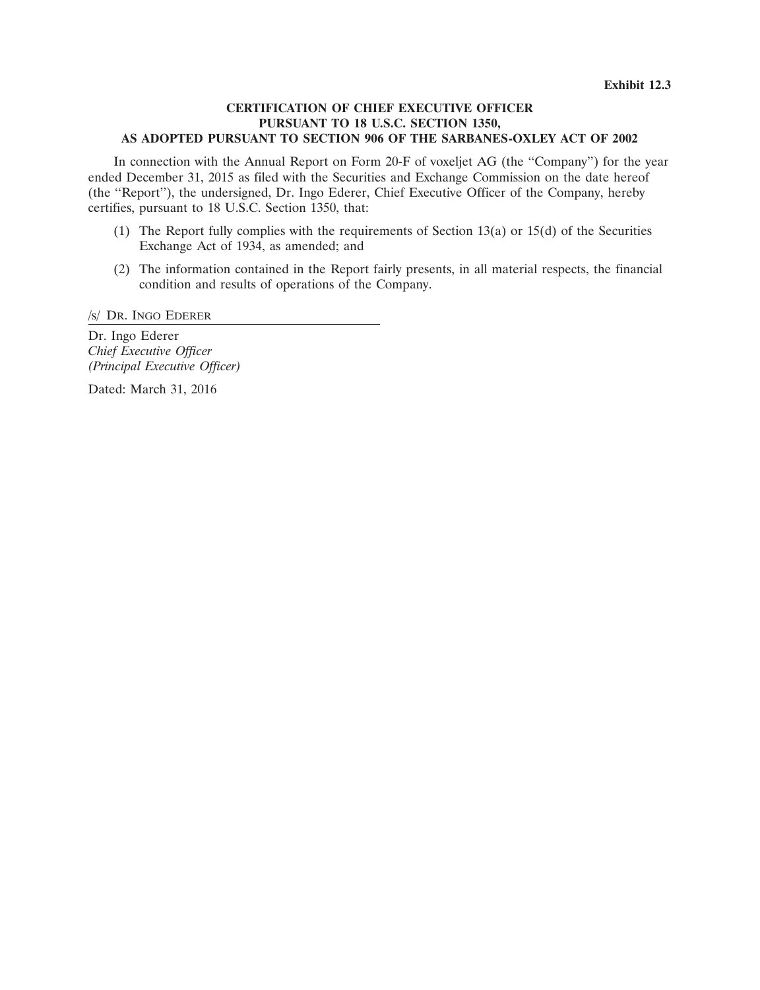## **CERTIFICATION OF CHIEF EXECUTIVE OFFICER PURSUANT TO 18 U.S.C. SECTION 1350, AS ADOPTED PURSUANT TO SECTION 906 OF THE SARBANES-OXLEY ACT OF 2002**

In connection with the Annual Report on Form 20-F of voxeljet AG (the ''Company'') for the year ended December 31, 2015 as filed with the Securities and Exchange Commission on the date hereof (the ''Report''), the undersigned, Dr. Ingo Ederer, Chief Executive Officer of the Company, hereby certifies, pursuant to 18 U.S.C. Section 1350, that:

- (1) The Report fully complies with the requirements of Section 13(a) or 15(d) of the Securities Exchange Act of 1934, as amended; and
- (2) The information contained in the Report fairly presents, in all material respects, the financial condition and results of operations of the Company.

/s/ DR. INGO EDERER

Dr. Ingo Ederer *Chief Executive Officer (Principal Executive Officer)*